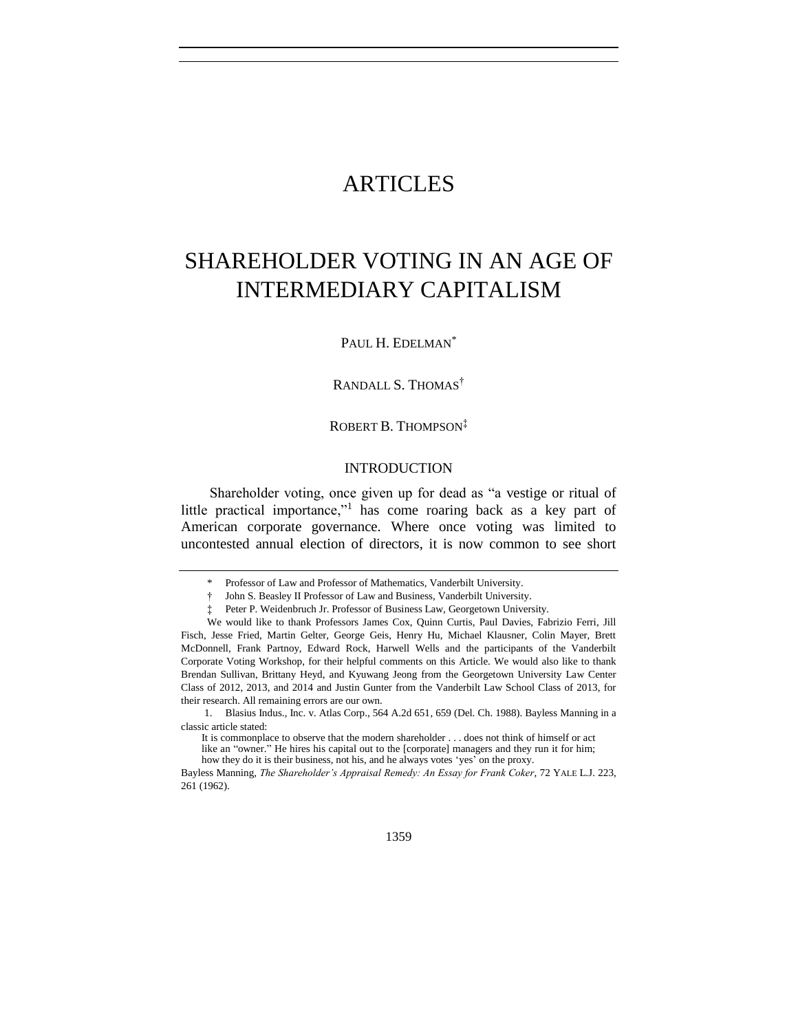## ARTICLES

# SHAREHOLDER VOTING IN AN AGE OF INTERMEDIARY CAPITALISM

#### PAUL H. EDELMAN<sup>\*</sup>

#### RANDALL S. THOMAS<sup>†</sup>

#### ROBERT B. THOMPSON‡

#### **INTRODUCTION**

Shareholder voting, once given up for dead as "a vestige or ritual of little practical importance,"<sup>1</sup> has come roaring back as a key part of American corporate governance. Where once voting was limited to uncontested annual election of directors, it is now common to see short

<sup>\*</sup> Professor of Law and Professor of Mathematics, Vanderbilt University.

<sup>†</sup> John S. Beasley II Professor of Law and Business, Vanderbilt University.

Peter P. Weidenbruch Jr. Professor of Business Law, Georgetown University.

We would like to thank Professors James Cox, Quinn Curtis, Paul Davies, Fabrizio Ferri, Jill Fisch, Jesse Fried, Martin Gelter, George Geis, Henry Hu, Michael Klausner, Colin Mayer, Brett McDonnell, Frank Partnoy, Edward Rock, Harwell Wells and the participants of the Vanderbilt Corporate Voting Workshop, for their helpful comments on this Article. We would also like to thank Brendan Sullivan, Brittany Heyd, and Kyuwang Jeong from the Georgetown University Law Center Class of 2012, 2013, and 2014 and Justin Gunter from the Vanderbilt Law School Class of 2013, for their research. All remaining errors are our own.

<sup>1.</sup> Blasius Indus., Inc. v. Atlas Corp., 564 A.2d 651, 659 (Del. Ch. 1988). Bayless Manning in a classic article stated:

It is commonplace to observe that the modern shareholder . . . does not think of himself or act like an "owner." He hires his capital out to the [corporate] managers and they run it for him; how they do it is their business, not his, and he always votes 'yes' on the proxy.

Bayless Manning, *The Shareholder's Appraisal Remedy: An Essay for Frank Coker*, 72 YALE L.J. 223, 261 (1962).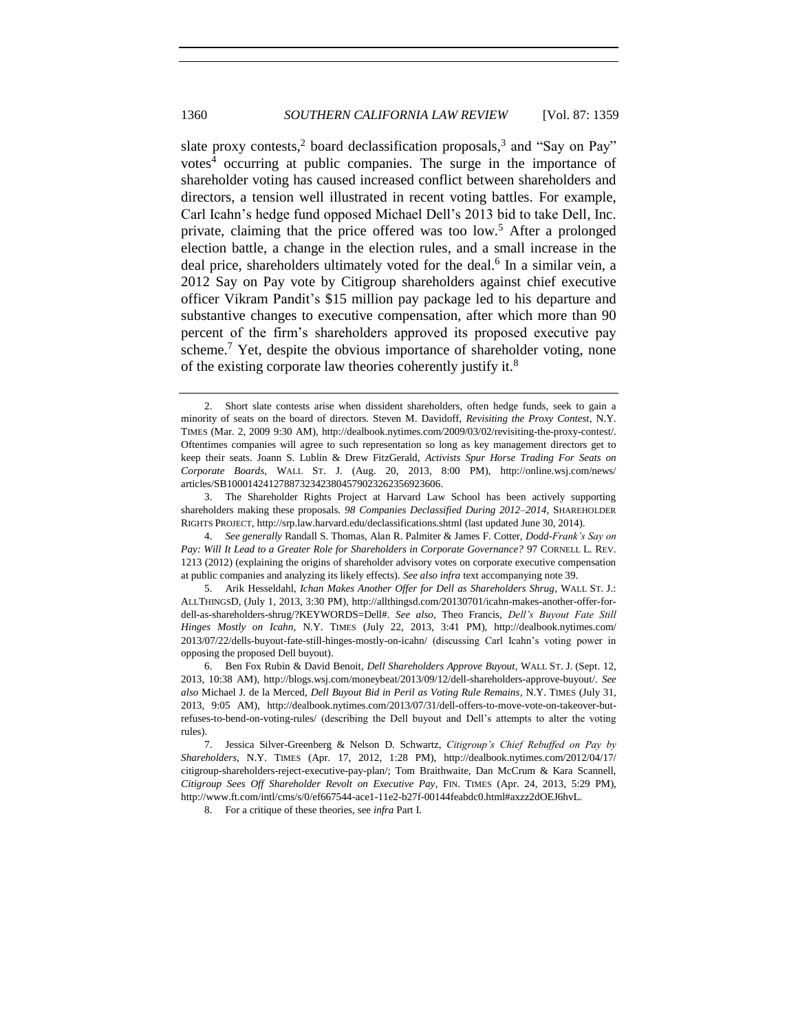<span id="page-1-0"></span>slate proxy contests,<sup>2</sup> board declassification proposals,<sup>3</sup> and "Say on Pay" votes<sup>4</sup> occurring at public companies. The surge in the importance of shareholder voting has caused increased conflict between shareholders and directors, a tension well illustrated in recent voting battles. For example, Carl Icahn's hedge fund opposed Michael Dell's 2013 bid to take Dell, Inc. private, claiming that the price offered was too low.<sup>5</sup> After a prolonged election battle, a change in the election rules, and a small increase in the deal price, shareholders ultimately voted for the deal.<sup>6</sup> In a similar vein, a 2012 Say on Pay vote by Citigroup shareholders against chief executive officer Vikram Pandit's \$15 million pay package led to his departure and substantive changes to executive compensation, after which more than 90 percent of the firm's shareholders approved its proposed executive pay scheme.<sup>7</sup> Yet, despite the obvious importance of shareholder voting, none of the existing corporate law theories coherently justify it.<sup>8</sup>

8. For a critique of these theories, see *infra* Part I.

<sup>2.</sup> Short slate contests arise when dissident shareholders, often hedge funds, seek to gain a minority of seats on the board of directors. Steven M. Davidoff, *Revisiting the Proxy Contest*, N.Y. TIMES (Mar. 2, 2009 9:30 AM), http://dealbook.nytimes.com/2009/03/02/revisiting-the-proxy-contest/. Oftentimes companies will agree to such representation so long as key management directors get to keep their seats. Joann S. Lublin & Drew FitzGerald, *Activists Spur Horse Trading For Seats on Corporate Boards*, WALL ST. J. (Aug. 20, 2013, 8:00 PM), http://online.wsj.com/news/ articles/SB10001424127887323423804579023262356923606.

<sup>3.</sup> The Shareholder Rights Project at Harvard Law School has been actively supporting shareholders making these proposals. *98 Companies Declassified During 2012–2014*, SHAREHOLDER RIGHTS PROJECT, http://srp.law.harvard.edu/declassifications.shtml (last updated June 30, 2014).

<sup>4.</sup> *See generally* Randall S. Thomas, Alan R. Palmiter & James F. Cotter, *Dodd-Frank's Say on Pay: Will It Lead to a Greater Role for Shareholders in Corporate Governance?* 97 CORNELL L. REV. 1213 (2012) (explaining the origins of shareholder advisory votes on corporate executive compensation at public companies and analyzing its likely effects). *See also infra* text accompanying note [39.](#page-9-0)

<sup>5.</sup> Arik Hesseldahl, *Ichan Makes Another Offer for Dell as Shareholders Shrug*, WALL ST. J.: ALLTHINGSD, (July 1, 2013, 3:30 PM), http://allthingsd.com/20130701/icahn-makes-another-offer-fordell-as-shareholders-shrug/?KEYWORDS=Dell#. *See also*, Theo Francis, *Dell's Buyout Fate Still Hinges Mostly on Icahn*, N.Y. TIMES (July 22, 2013, 3:41 PM), http://dealbook.nytimes.com/ 2013/07/22/dells-buyout-fate-still-hinges-mostly-on-icahn/ (discussing Carl Icahn's voting power in opposing the proposed Dell buyout).

<sup>6.</sup> Ben Fox Rubin & David Benoit, *Dell Shareholders Approve Buyout*, WALL ST. J. (Sept. 12, 2013, 10:38 AM), http://blogs.wsj.com/moneybeat/2013/09/12/dell-shareholders-approve-buyout/. *See also* Michael J. de la Merced, *Dell Buyout Bid in Peril as Voting Rule Remains*, N.Y. TIMES (July 31, 2013, 9:05 AM), http://dealbook.nytimes.com/2013/07/31/dell-offers-to-move-vote-on-takeover-butrefuses-to-bend-on-voting-rules/ (describing the Dell buyout and Dell's attempts to alter the voting rules).

<sup>7.</sup> Jessica Silver-Greenberg & Nelson D. Schwartz, *Citigroup's Chief Rebuffed on Pay by Shareholders*, N.Y. TIMES (Apr. 17, 2012, 1:28 PM), http://dealbook.nytimes.com/2012/04/17/ citigroup-shareholders-reject-executive-pay-plan/; Tom Braithwaite, Dan McCrum & Kara Scannell, *Citigroup Sees Off Shareholder Revolt on Executive Pay*, FIN. TIMES (Apr. 24, 2013, 5:29 PM), http://www.ft.com/intl/cms/s/0/ef667544-ace1-11e2-b27f-00144feabdc0.html#axzz2dOEJ6hvL.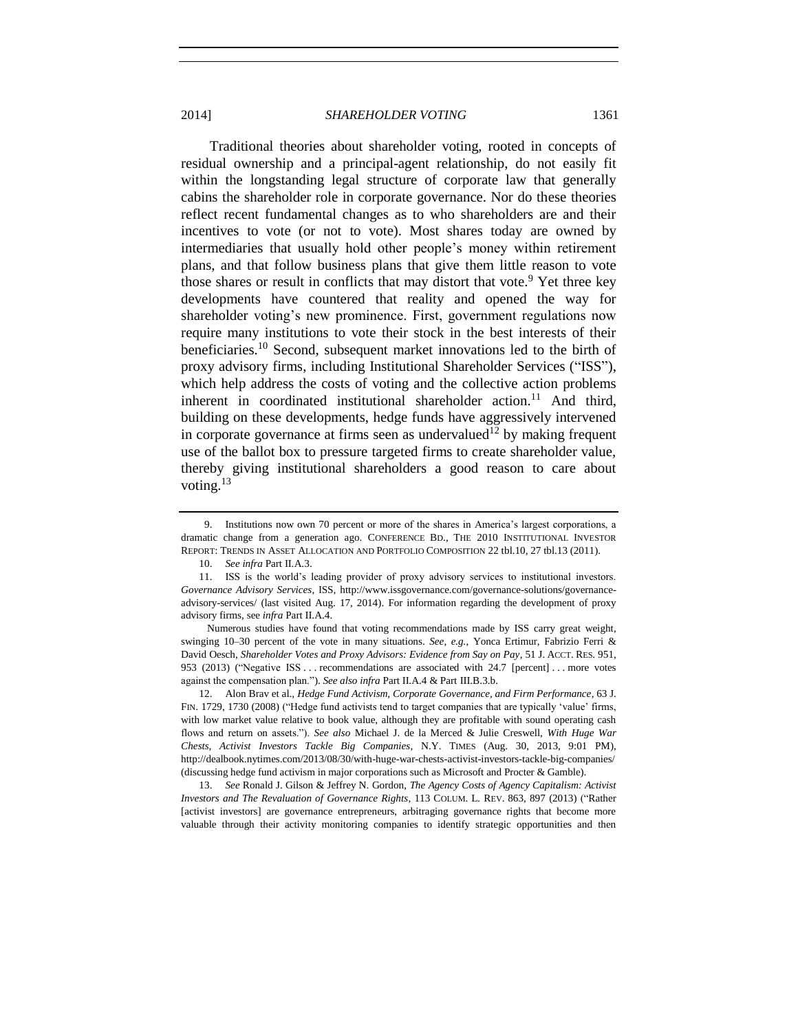<span id="page-2-1"></span>Traditional theories about shareholder voting, rooted in concepts of residual ownership and a principal-agent relationship, do not easily fit within the longstanding legal structure of corporate law that generally cabins the shareholder role in corporate governance. Nor do these theories reflect recent fundamental changes as to who shareholders are and their incentives to vote (or not to vote). Most shares today are owned by intermediaries that usually hold other people's money within retirement plans, and that follow business plans that give them little reason to vote those shares or result in conflicts that may distort that vote.<sup>9</sup> Yet three key developments have countered that reality and opened the way for shareholder voting's new prominence. First, government regulations now require many institutions to vote their stock in the best interests of their beneficiaries.<sup>10</sup> Second, subsequent market innovations led to the birth of proxy advisory firms, including Institutional Shareholder Services ("ISS"), which help address the costs of voting and the collective action problems inherent in coordinated institutional shareholder action.<sup>11</sup> And third, building on these developments, hedge funds have aggressively intervened in corporate governance at firms seen as undervalued<sup>12</sup> by making frequent use of the ballot box to pressure targeted firms to create shareholder value, thereby giving institutional shareholders a good reason to care about voting.<sup>13</sup>

<span id="page-2-0"></span><sup>9.</sup> Institutions now own 70 percent or more of the shares in America's largest corporations, a dramatic change from a generation ago. CONFERENCE BD., THE 2010 INSTITUTIONAL INVESTOR REPORT: TRENDS IN ASSET ALLOCATION AND PORTFOLIO COMPOSITION 22 tbl.10, 27 tbl.13 (2011).

<span id="page-2-2"></span><sup>10.</sup> *See infra* Part II.A.3.

<sup>11.</sup> ISS is the world's leading provider of proxy advisory services to institutional investors. *Governance Advisory Services*, ISS, http://www.issgovernance.com/governance-solutions/governanceadvisory-services/ (last visited Aug. 17, 2014). For information regarding the development of proxy advisory firms, see *infra* Part II.A.4.

Numerous studies have found that voting recommendations made by ISS carry great weight, swinging 10–30 percent of the vote in many situations. *See, e.g.*, Yonca Ertimur, Fabrizio Ferri & David Oesch, *Shareholder Votes and Proxy Advisors: Evidence from Say on Pay*, 51 J. ACCT. RES. 951, 953 (2013) ("Negative ISS ... recommendations are associated with 24.7 [percent] ... more votes against the compensation plan."). *See also infra* Part II.A.4 & Part III.B.3.b.

<sup>12.</sup> Alon Brav et al., *Hedge Fund Activism, Corporate Governance, and Firm Performance*, 63 J. FIN. 1729, 1730 (2008) ("Hedge fund activists tend to target companies that are typically 'value' firms, with low market value relative to book value, although they are profitable with sound operating cash flows and return on assets."). *See also* Michael J. de la Merced & Julie Creswell, *With Huge War Chests, Activist Investors Tackle Big Companies*, N.Y. TIMES (Aug. 30, 2013, 9:01 PM), http://dealbook.nytimes.com/2013/08/30/with-huge-war-chests-activist-investors-tackle-big-companies/ (discussing hedge fund activism in major corporations such as Microsoft and Procter & Gamble).

<sup>13.</sup> *See* Ronald J. Gilson & Jeffrey N. Gordon, *The Agency Costs of Agency Capitalism: Activist Investors and The Revaluation of Governance Rights*, 113 COLUM. L. REV. 863, 897 (2013) ("Rather [activist investors] are governance entrepreneurs, arbitraging governance rights that become more valuable through their activity monitoring companies to identify strategic opportunities and then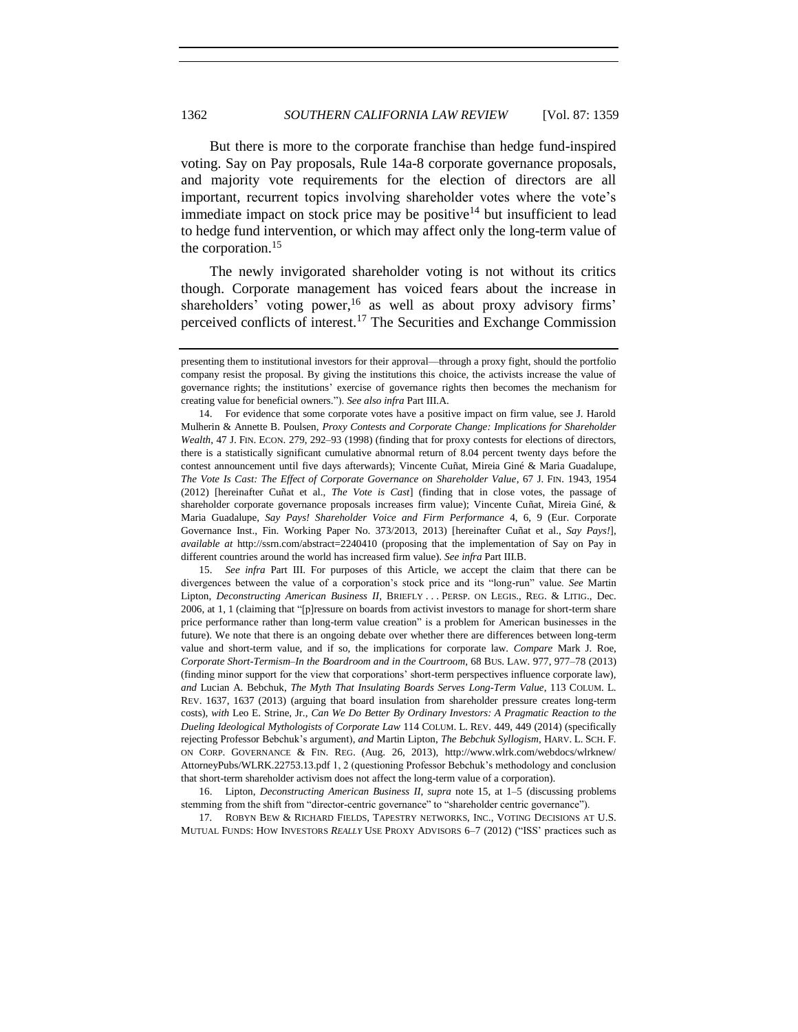But there is more to the corporate franchise than hedge fund-inspired voting. Say on Pay proposals, Rule 14a-8 corporate governance proposals, and majority vote requirements for the election of directors are all important, recurrent topics involving shareholder votes where the vote's immediate impact on stock price may be positive<sup>14</sup> but insufficient to lead to hedge fund intervention, or which may affect only the long-term value of the corporation.<sup>15</sup>

<span id="page-3-0"></span>The newly invigorated shareholder voting is not without its critics though. Corporate management has voiced fears about the increase in shareholders' voting power,  $16$  as well as about proxy advisory firms' perceived conflicts of interest.<sup>17</sup> The Securities and Exchange Commission

15. *See infra* Part III. For purposes of this Article, we accept the claim that there can be divergences between the value of a corporation's stock price and its "long-run" value. *See* Martin Lipton, *Deconstructing American Business II*, BRIEFLY . . . PERSP. ON LEGIS., REG. & LITIG., Dec. 2006, at 1, 1 (claiming that "[p]ressure on boards from activist investors to manage for short-term share price performance rather than long-term value creation" is a problem for American businesses in the future). We note that there is an ongoing debate over whether there are differences between long-term value and short-term value, and if so, the implications for corporate law. *Compare* Mark J. Roe, *Corporate Short-Termism–In the Boardroom and in the Courtroom*, 68 BUS. LAW. 977, 977–78 (2013) (finding minor support for the view that corporations' short-term perspectives influence corporate law), *and* Lucian A. Bebchuk, *The Myth That Insulating Boards Serves Long-Term Value*, 113 COLUM. L. REV. 1637, 1637 (2013) (arguing that board insulation from shareholder pressure creates long-term costs), *with* Leo E. Strine, Jr., *Can We Do Better By Ordinary Investors: A Pragmatic Reaction to the Dueling Ideological Mythologists of Corporate Law* 114 COLUM. L. REV. 449, 449 (2014) (specifically rejecting Professor Bebchuk's argument), *and* Martin Lipton, *The Bebchuk Syllogism*, HARV. L. SCH. F. ON CORP. GOVERNANCE & FIN. REG. (Aug. 26, 2013), http://www.wlrk.com/webdocs/wlrknew/ AttorneyPubs/WLRK.22753.13.pdf 1, 2 (questioning Professor Bebchuk's methodology and conclusion that short-term shareholder activism does not affect the long-term value of a corporation).

16. Lipton, *Deconstructing American Business II*, *supra* note [15,](#page-3-0) at 1–5 (discussing problems stemming from the shift from "director-centric governance" to "shareholder centric governance").

17*.* ROBYN BEW & RICHARD FIELDS, TAPESTRY NETWORKS, INC., VOTING DECISIONS AT U.S. MUTUAL FUNDS: HOW INVESTORS *REALLY* USE PROXY ADVISORS 6–7 (2012) ("ISS' practices such as

presenting them to institutional investors for their approval—through a proxy fight, should the portfolio company resist the proposal. By giving the institutions this choice, the activists increase the value of governance rights; the institutions' exercise of governance rights then becomes the mechanism for creating value for beneficial owners."). *See also infra* Part III.A.

<sup>14.</sup> For evidence that some corporate votes have a positive impact on firm value, see J. Harold Mulherin & Annette B. Poulsen, *Proxy Contests and Corporate Change: Implications for Shareholder Wealth*, 47 J. FIN. ECON. 279, 292–93 (1998) (finding that for proxy contests for elections of directors, there is a statistically significant cumulative abnormal return of 8.04 percent twenty days before the contest announcement until five days afterwards); Vincente Cuñat, Mireia Giné & Maria Guadalupe, *The Vote Is Cast: The Effect of Corporate Governance on Shareholder Value*, 67 J. FIN. 1943, 1954 (2012) [hereinafter Cuñat et al., *The Vote is Cast*] (finding that in close votes, the passage of shareholder corporate governance proposals increases firm value); Vincente Cuñat, Mireia Giné, & Maria Guadalupe, *Say Pays! Shareholder Voice and Firm Performance* 4, 6, 9 (Eur. Corporate Governance Inst., Fin. Working Paper No. 373/2013, 2013) [hereinafter Cuñat et al., *Say Pays!*], *available at* http://ssrn.com/abstract=2240410 (proposing that the implementation of Say on Pay in different countries around the world has increased firm value). *See infra* Part III.B.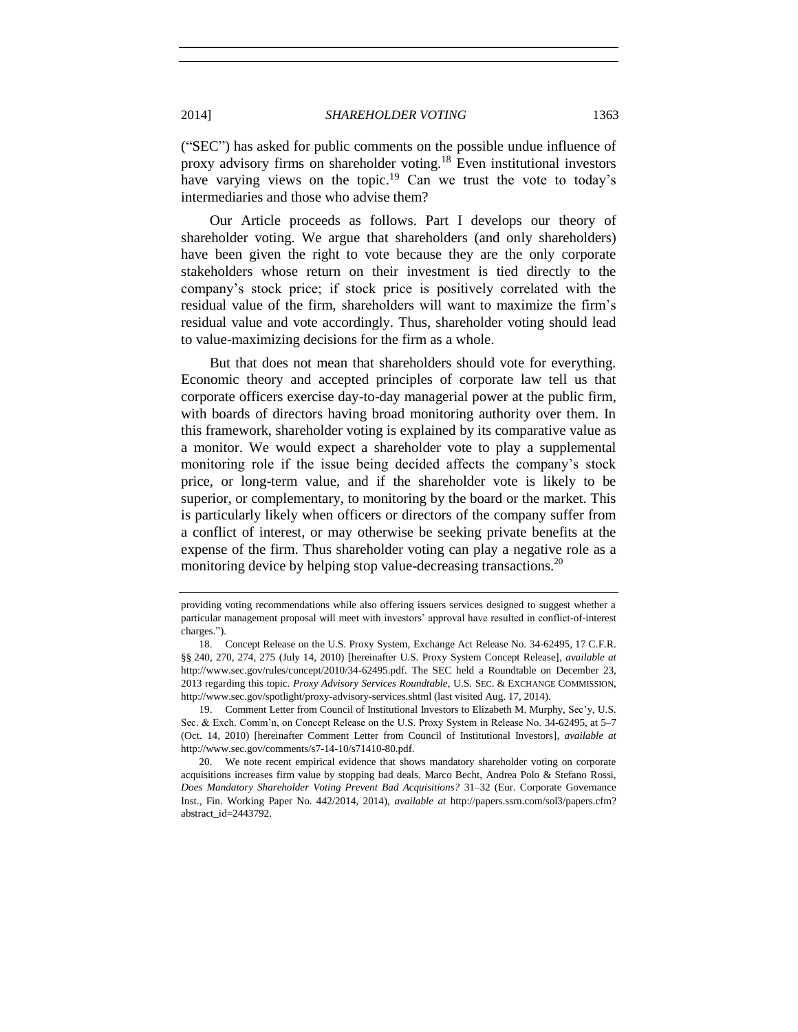("SEC") has asked for public comments on the possible undue influence of proxy advisory firms on shareholder voting.<sup>18</sup> Even institutional investors have varying views on the topic.<sup>19</sup> Can we trust the vote to today's intermediaries and those who advise them?

Our Article proceeds as follows. Part I develops our theory of shareholder voting. We argue that shareholders (and only shareholders) have been given the right to vote because they are the only corporate stakeholders whose return on their investment is tied directly to the company's stock price; if stock price is positively correlated with the residual value of the firm, shareholders will want to maximize the firm's residual value and vote accordingly. Thus, shareholder voting should lead to value-maximizing decisions for the firm as a whole.

But that does not mean that shareholders should vote for everything. Economic theory and accepted principles of corporate law tell us that corporate officers exercise day-to-day managerial power at the public firm, with boards of directors having broad monitoring authority over them. In this framework, shareholder voting is explained by its comparative value as a monitor. We would expect a shareholder vote to play a supplemental monitoring role if the issue being decided affects the company's stock price, or long-term value, and if the shareholder vote is likely to be superior, or complementary, to monitoring by the board or the market. This is particularly likely when officers or directors of the company suffer from a conflict of interest, or may otherwise be seeking private benefits at the expense of the firm. Thus shareholder voting can play a negative role as a monitoring device by helping stop value-decreasing transactions.<sup>20</sup>

providing voting recommendations while also offering issuers services designed to suggest whether a particular management proposal will meet with investors' approval have resulted in conflict-of-interest charges.").

<sup>18.</sup> Concept Release on the U.S. Proxy System, Exchange Act Release No. 34-62495, 17 C.F.R. §§ 240, 270, 274, 275 (July 14, 2010) [hereinafter U.S. Proxy System Concept Release], *available at*  http://www.sec.gov/rules/concept/2010/34-62495.pdf. The SEC held a Roundtable on December 23, 2013 regarding this topic. *Proxy Advisory Services Roundtable*, U.S. SEC. & EXCHANGE COMMISSION, http://www.sec.gov/spotlight/proxy-advisory-services.shtml (last visited Aug. 17, 2014).

<sup>19.</sup> Comment Letter from Council of Institutional Investors to Elizabeth M. Murphy, Sec'y, U.S. Sec. & Exch. Comm'n, on Concept Release on the U.S. Proxy System in Release No. 34-62495, at 5–7 (Oct. 14, 2010) [hereinafter Comment Letter from Council of Institutional Investors], *available at* http://www.sec.gov/comments/s7-14-10/s71410-80.pdf.

<sup>20.</sup> We note recent empirical evidence that shows mandatory shareholder voting on corporate acquisitions increases firm value by stopping bad deals. Marco Becht, Andrea Polo & Stefano Rossi, *Does Mandatory Shareholder Voting Prevent Bad Acquisitions?* 31–32 (Eur. Corporate Governance Inst., Fin. Working Paper No. 442/2014, 2014), *available at* http://papers.ssrn.com/sol3/papers.cfm? abstract\_id=2443792.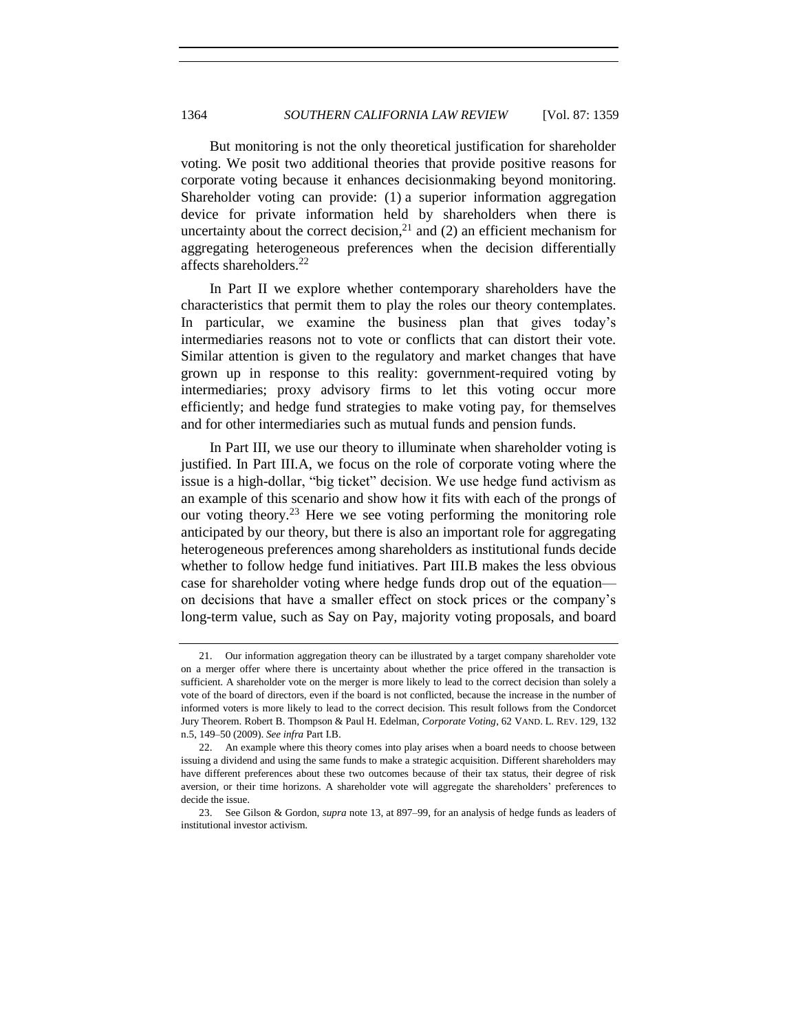But monitoring is not the only theoretical justification for shareholder voting. We posit two additional theories that provide positive reasons for corporate voting because it enhances decisionmaking beyond monitoring. Shareholder voting can provide: (1) a superior information aggregation device for private information held by shareholders when there is uncertainty about the correct decision, $^{21}$  and (2) an efficient mechanism for aggregating heterogeneous preferences when the decision differentially affects shareholders.<sup>22</sup>

<span id="page-5-0"></span>In Part II we explore whether contemporary shareholders have the characteristics that permit them to play the roles our theory contemplates. In particular, we examine the business plan that gives today's intermediaries reasons not to vote or conflicts that can distort their vote. Similar attention is given to the regulatory and market changes that have grown up in response to this reality: government-required voting by intermediaries; proxy advisory firms to let this voting occur more efficiently; and hedge fund strategies to make voting pay, for themselves and for other intermediaries such as mutual funds and pension funds.

In Part III, we use our theory to illuminate when shareholder voting is justified. In Part III.A, we focus on the role of corporate voting where the issue is a high-dollar, "big ticket" decision. We use hedge fund activism as an example of this scenario and show how it fits with each of the prongs of our voting theory.<sup>23</sup> Here we see voting performing the monitoring role anticipated by our theory, but there is also an important role for aggregating heterogeneous preferences among shareholders as institutional funds decide whether to follow hedge fund initiatives. Part III.B makes the less obvious case for shareholder voting where hedge funds drop out of the equation on decisions that have a smaller effect on stock prices or the company's long-term value, such as Say on Pay, majority voting proposals, and board

<sup>21.</sup> Our information aggregation theory can be illustrated by a target company shareholder vote on a merger offer where there is uncertainty about whether the price offered in the transaction is sufficient. A shareholder vote on the merger is more likely to lead to the correct decision than solely a vote of the board of directors, even if the board is not conflicted, because the increase in the number of informed voters is more likely to lead to the correct decision. This result follows from the Condorcet Jury Theorem. Robert B. Thompson & Paul H. Edelman, *Corporate Voting*, 62 VAND. L. REV. 129, 132 n.5, 149–50 (2009). *See infra* Part I.B.

<sup>22.</sup> An example where this theory comes into play arises when a board needs to choose between issuing a dividend and using the same funds to make a strategic acquisition. Different shareholders may have different preferences about these two outcomes because of their tax status, their degree of risk aversion, or their time horizons. A shareholder vote will aggregate the shareholders' preferences to decide the issue.

<sup>23.</sup> See Gilson & Gordon, *supra* not[e 13,](#page-2-0) at 897–99, for an analysis of hedge funds as leaders of institutional investor activism.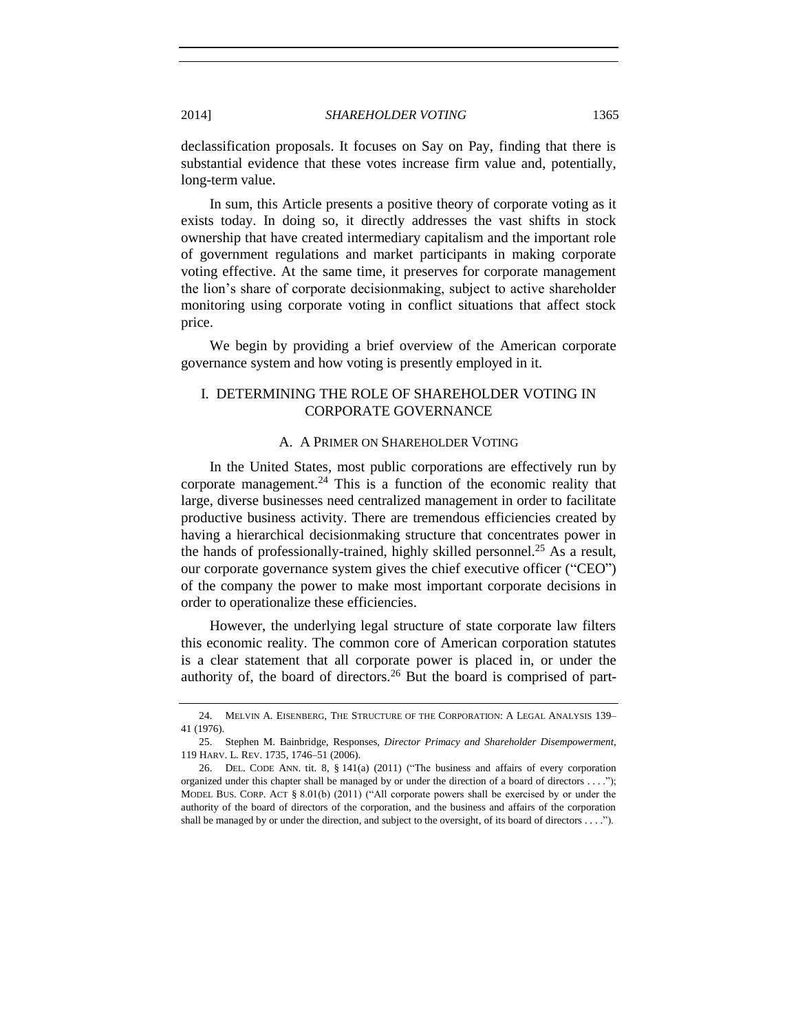declassification proposals. It focuses on Say on Pay, finding that there is substantial evidence that these votes increase firm value and, potentially, long-term value.

In sum, this Article presents a positive theory of corporate voting as it exists today. In doing so, it directly addresses the vast shifts in stock ownership that have created intermediary capitalism and the important role of government regulations and market participants in making corporate voting effective. At the same time, it preserves for corporate management the lion's share of corporate decisionmaking, subject to active shareholder monitoring using corporate voting in conflict situations that affect stock price.

We begin by providing a brief overview of the American corporate governance system and how voting is presently employed in it.

#### I. DETERMINING THE ROLE OF SHAREHOLDER VOTING IN CORPORATE GOVERNANCE

#### <span id="page-6-0"></span>A. A PRIMER ON SHAREHOLDER VOTING

In the United States, most public corporations are effectively run by corporate management.<sup>24</sup> This is a function of the economic reality that large, diverse businesses need centralized management in order to facilitate productive business activity. There are tremendous efficiencies created by having a hierarchical decisionmaking structure that concentrates power in the hands of professionally-trained, highly skilled personnel.<sup>25</sup> As a result, our corporate governance system gives the chief executive officer ("CEO") of the company the power to make most important corporate decisions in order to operationalize these efficiencies.

However, the underlying legal structure of state corporate law filters this economic reality. The common core of American corporation statutes is a clear statement that all corporate power is placed in, or under the authority of, the board of directors.<sup>26</sup> But the board is comprised of part-

<sup>24.</sup> MELVIN A. EISENBERG, THE STRUCTURE OF THE CORPORATION: A LEGAL ANALYSIS 139– 41 (1976).

<sup>25.</sup> Stephen M. Bainbridge, Responses, *Director Primacy and Shareholder Disempowerment*, 119 HARV. L. REV. 1735, 1746–51 (2006).

<sup>26.</sup> DEL. CODE ANN. tit. 8, § 141(a) (2011) ("The business and affairs of every corporation organized under this chapter shall be managed by or under the direction of a board of directors . . . ."); MODEL BUS. CORP. ACT § 8.01(b) (2011) ("All corporate powers shall be exercised by or under the authority of the board of directors of the corporation, and the business and affairs of the corporation shall be managed by or under the direction, and subject to the oversight, of its board of directors . . . .").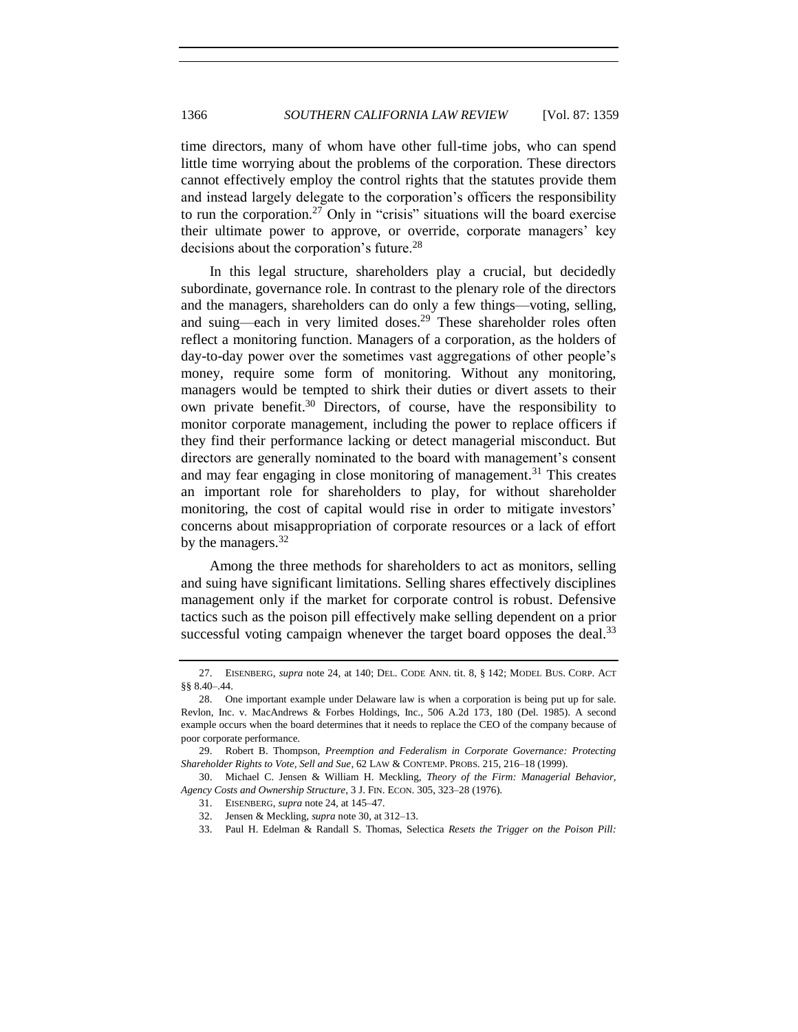time directors, many of whom have other full-time jobs, who can spend little time worrying about the problems of the corporation. These directors cannot effectively employ the control rights that the statutes provide them and instead largely delegate to the corporation's officers the responsibility to run the corporation.<sup>27</sup> Only in "crisis" situations will the board exercise their ultimate power to approve, or override, corporate managers' key decisions about the corporation's future.<sup>28</sup>

<span id="page-7-1"></span><span id="page-7-0"></span>In this legal structure, shareholders play a crucial, but decidedly subordinate, governance role. In contrast to the plenary role of the directors and the managers, shareholders can do only a few things—voting, selling, and suing—each in very limited doses.<sup>29</sup> These shareholder roles often reflect a monitoring function. Managers of a corporation, as the holders of day-to-day power over the sometimes vast aggregations of other people's money, require some form of monitoring. Without any monitoring, managers would be tempted to shirk their duties or divert assets to their own private benefit.<sup>30</sup> Directors, of course, have the responsibility to monitor corporate management, including the power to replace officers if they find their performance lacking or detect managerial misconduct. But directors are generally nominated to the board with management's consent and may fear engaging in close monitoring of management.<sup>31</sup> This creates an important role for shareholders to play, for without shareholder monitoring, the cost of capital would rise in order to mitigate investors' concerns about misappropriation of corporate resources or a lack of effort by the managers.<sup>32</sup>

Among the three methods for shareholders to act as monitors, selling and suing have significant limitations. Selling shares effectively disciplines management only if the market for corporate control is robust. Defensive tactics such as the poison pill effectively make selling dependent on a prior successful voting campaign whenever the target board opposes the deal. $33$ 

<sup>27.</sup> EISENBERG, *supra* not[e 24,](#page-6-0) at 140; DEL. CODE ANN. tit. 8, § 142; MODEL BUS. CORP. ACT §§ 8.40–.44.

<sup>28.</sup> One important example under Delaware law is when a corporation is being put up for sale. Revlon, Inc. v. MacAndrews & Forbes Holdings, Inc., 506 A.2d 173, 180 (Del. 1985). A second example occurs when the board determines that it needs to replace the CEO of the company because of poor corporate performance.

<sup>29.</sup> Robert B. Thompson, *Preemption and Federalism in Corporate Governance: Protecting Shareholder Rights to Vote, Sell and Sue*, 62 LAW & CONTEMP. PROBS. 215, 216–18 (1999).

<sup>30.</sup> Michael C. Jensen & William H. Meckling, *Theory of the Firm: Managerial Behavior, Agency Costs and Ownership Structure*, 3 J. FIN. ECON. 305, 323–28 (1976).

<sup>31.</sup> EISENBERG, *supra* not[e 24,](#page-6-0) at 145–47.

<sup>32.</sup> Jensen & Meckling, *supra* not[e 30,](#page-7-0) at 312–13.

<sup>33.</sup> Paul H. Edelman & Randall S. Thomas, Selectica *Resets the Trigger on the Poison Pill:*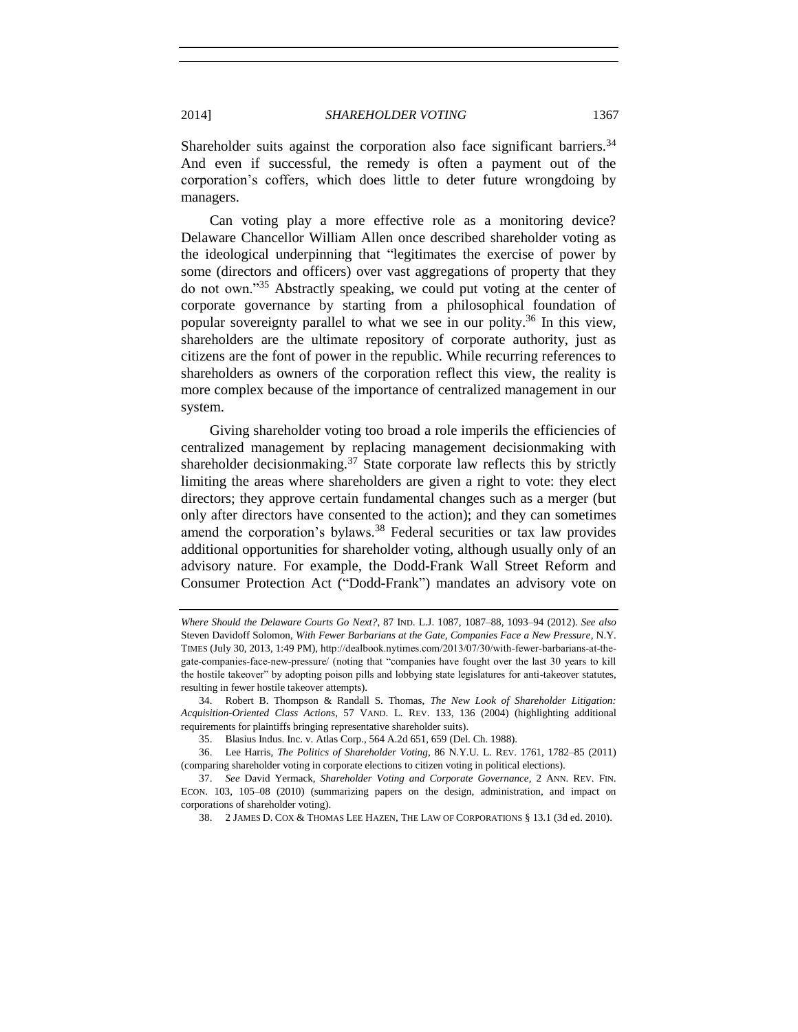Shareholder suits against the corporation also face significant barriers.<sup>34</sup> And even if successful, the remedy is often a payment out of the corporation's coffers, which does little to deter future wrongdoing by managers.

Can voting play a more effective role as a monitoring device? Delaware Chancellor William Allen once described shareholder voting as the ideological underpinning that "legitimates the exercise of power by some (directors and officers) over vast aggregations of property that they do not own."<sup>35</sup> Abstractly speaking, we could put voting at the center of corporate governance by starting from a philosophical foundation of popular sovereignty parallel to what we see in our polity.<sup>36</sup> In this view, shareholders are the ultimate repository of corporate authority, just as citizens are the font of power in the republic. While recurring references to shareholders as owners of the corporation reflect this view, the reality is more complex because of the importance of centralized management in our system.

Giving shareholder voting too broad a role imperils the efficiencies of centralized management by replacing management decisionmaking with shareholder decisionmaking.<sup>37</sup> State corporate law reflects this by strictly limiting the areas where shareholders are given a right to vote: they elect directors; they approve certain fundamental changes such as a merger (but only after directors have consented to the action); and they can sometimes amend the corporation's bylaws.<sup>38</sup> Federal securities or tax law provides additional opportunities for shareholder voting, although usually only of an advisory nature. For example, the Dodd-Frank Wall Street Reform and Consumer Protection Act ("Dodd-Frank") mandates an advisory vote on

<span id="page-8-0"></span>*Where Should the Delaware Courts Go Next?*, 87 IND. L.J. 1087, 1087–88, 1093–94 (2012). *See also* Steven Davidoff Solomon, *With Fewer Barbarians at the Gate, Companies Face a New Pressure*, N.Y. TIMES (July 30, 2013, 1:49 PM), http://dealbook.nytimes.com/2013/07/30/with-fewer-barbarians-at-thegate-companies-face-new-pressure/ (noting that "companies have fought over the last 30 years to kill the hostile takeover" by adopting poison pills and lobbying state legislatures for anti-takeover statutes, resulting in fewer hostile takeover attempts).

<sup>34.</sup> Robert B. Thompson & Randall S. Thomas, *The New Look of Shareholder Litigation: Acquisition-Oriented Class Actions*, 57 VAND. L. REV. 133, 136 (2004) (highlighting additional requirements for plaintiffs bringing representative shareholder suits).

<sup>35.</sup> Blasius Indus. Inc. v. Atlas Corp., 564 A.2d 651, 659 (Del. Ch. 1988).

<sup>36.</sup> Lee Harris, *The Politics of Shareholder Voting*, 86 N.Y.U. L. REV. 1761, 1782–85 (2011) (comparing shareholder voting in corporate elections to citizen voting in political elections).

<sup>37.</sup> *See* David Yermack, *Shareholder Voting and Corporate Governance*, 2 ANN. REV. FIN. ECON. 103, 105–08 (2010) (summarizing papers on the design, administration, and impact on corporations of shareholder voting).

<sup>38.</sup> 2 JAMES D. COX & THOMAS LEE HAZEN, THE LAW OF CORPORATIONS § 13.1 (3d ed. 2010).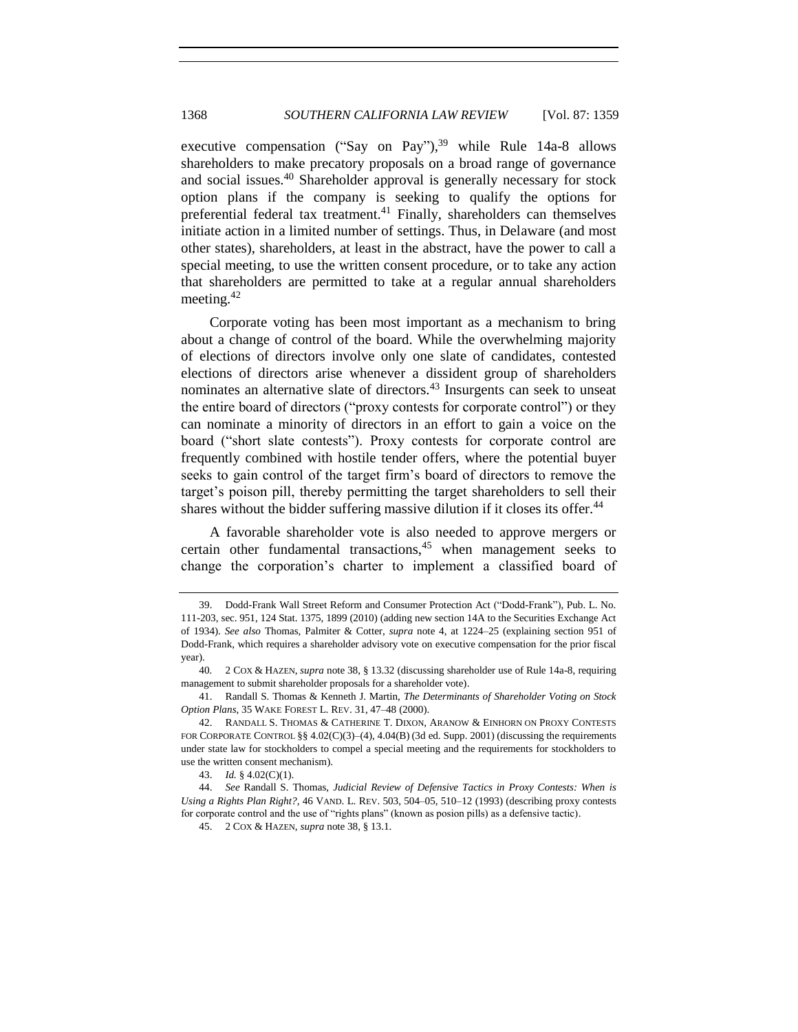executive compensation ("Say on Pay"),  $39$  while Rule 14a-8 allows shareholders to make precatory proposals on a broad range of governance and social issues.<sup>40</sup> Shareholder approval is generally necessary for stock option plans if the company is seeking to qualify the options for preferential federal tax treatment.<sup>41</sup> Finally, shareholders can themselves initiate action in a limited number of settings. Thus, in Delaware (and most other states), shareholders, at least in the abstract, have the power to call a special meeting, to use the written consent procedure, or to take any action that shareholders are permitted to take at a regular annual shareholders meeting.<sup>42</sup>

Corporate voting has been most important as a mechanism to bring about a change of control of the board. While the overwhelming majority of elections of directors involve only one slate of candidates, contested elections of directors arise whenever a dissident group of shareholders nominates an alternative slate of directors.<sup>43</sup> Insurgents can seek to unseat the entire board of directors ("proxy contests for corporate control") or they can nominate a minority of directors in an effort to gain a voice on the board ("short slate contests"). Proxy contests for corporate control are frequently combined with hostile tender offers, where the potential buyer seeks to gain control of the target firm's board of directors to remove the target's poison pill, thereby permitting the target shareholders to sell their shares without the bidder suffering massive dilution if it closes its offer.<sup>44</sup>

A favorable shareholder vote is also needed to approve mergers or certain other fundamental transactions, $45$  when management seeks to change the corporation's charter to implement a classified board of

<span id="page-9-0"></span>

<sup>39.</sup> Dodd-Frank Wall Street Reform and Consumer Protection Act ("Dodd-Frank"), Pub. L. No. 111-203, sec. 951, 124 Stat. 1375, 1899 (2010) (adding new section 14A to the Securities Exchange Act of 1934). *See also* Thomas, Palmiter & Cotter, *supra* note [4,](#page-1-0) at 1224–25 (explaining section 951 of Dodd-Frank, which requires a shareholder advisory vote on executive compensation for the prior fiscal year).

<sup>40</sup>*.* 2 COX & HAZEN, *supra* not[e 38,](#page-8-0) § 13.32 (discussing shareholder use of Rule 14a-8, requiring management to submit shareholder proposals for a shareholder vote).

<sup>41.</sup> Randall S. Thomas & Kenneth J. Martin, *The Determinants of Shareholder Voting on Stock Option Plans*, 35 WAKE FOREST L. REV. 31, 47–48 (2000).

<sup>42.</sup> RANDALL S. THOMAS & CATHERINE T. DIXON, ARANOW & EINHORN ON PROXY CONTESTS FOR CORPORATE CONTROL §§ 4.02(C)(3)–(4), 4.04(B) (3d ed. Supp. 2001) (discussing the requirements under state law for stockholders to compel a special meeting and the requirements for stockholders to use the written consent mechanism).

<sup>43.</sup> *Id.* § 4.02(C)(1).

<sup>44.</sup> *See* Randall S. Thomas, *Judicial Review of Defensive Tactics in Proxy Contests: When is Using a Rights Plan Right?*, 46 VAND. L. REV. 503, 504–05, 510–12 (1993) (describing proxy contests for corporate control and the use of "rights plans" (known as posion pills) as a defensive tactic).

<sup>45.</sup> 2 COX & HAZEN, *supra* not[e 38,](#page-8-0) § 13.1.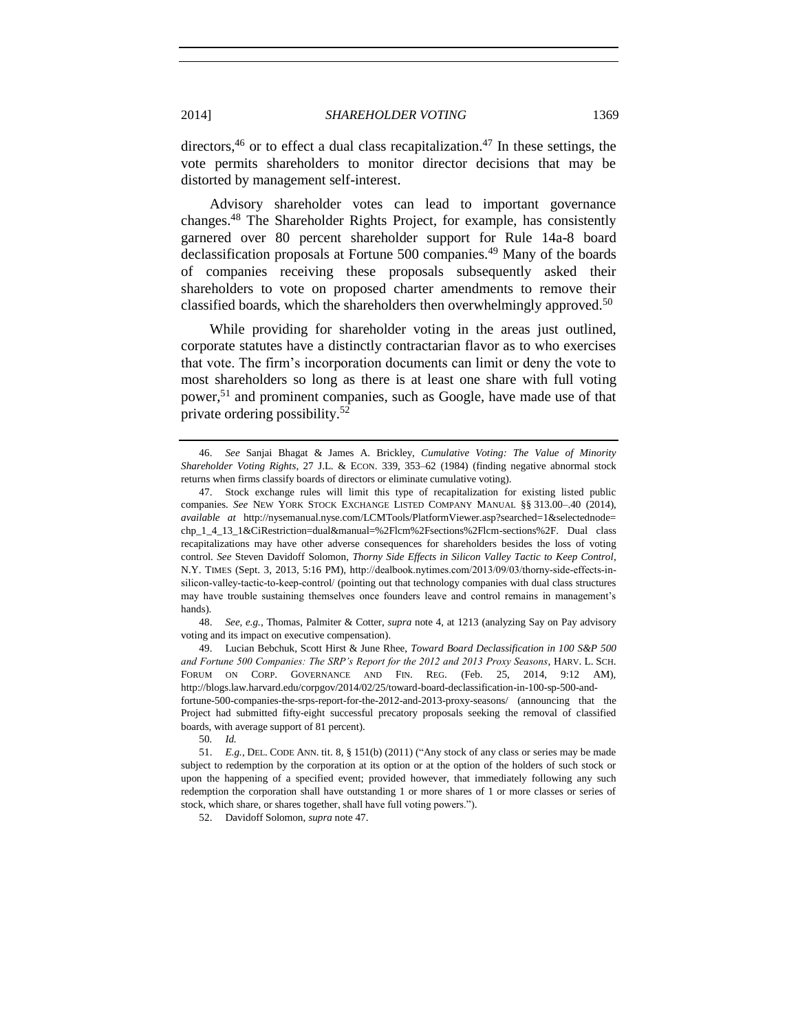directors,  $46$  or to effect a dual class recapitalization.  $47$  In these settings, the vote permits shareholders to monitor director decisions that may be distorted by management self-interest.

Advisory shareholder votes can lead to important governance changes.<sup>48</sup> The Shareholder Rights Project, for example, has consistently garnered over 80 percent shareholder support for Rule 14a-8 board declassification proposals at Fortune 500 companies.<sup>49</sup> Many of the boards of companies receiving these proposals subsequently asked their shareholders to vote on proposed charter amendments to remove their classified boards, which the shareholders then overwhelmingly approved.<sup>50</sup>

While providing for shareholder voting in the areas just outlined, corporate statutes have a distinctly contractarian flavor as to who exercises that vote. The firm's incorporation documents can limit or deny the vote to most shareholders so long as there is at least one share with full voting power,<sup>51</sup> and prominent companies, such as Google, have made use of that private ordering possibility.<sup>52</sup>

48. *See, e.g.*, Thomas, Palmiter & Cotter, *supra* not[e 4,](#page-1-0) at 1213 (analyzing Say on Pay advisory voting and its impact on executive compensation).

49. Lucian Bebchuk, Scott Hirst & June Rhee, *Toward Board Declassification in 100 S&P 500 and Fortune 500 Companies: The SRP's Report for the 2012 and 2013 Proxy Seasons*, HARV. L. SCH. FORUM ON CORP. GOVERNANCE AND FIN. REG. (Feb. 25, 2014, 9:12 AM), http://blogs.law.harvard.edu/corpgov/2014/02/25/toward-board-declassification-in-100-sp-500-andfortune-500-companies-the-srps-report-for-the-2012-and-2013-proxy-seasons/ (announcing that the

Project had submitted fifty-eight successful precatory proposals seeking the removal of classified boards, with average support of 81 percent).

50*. Id.*

51. *E.g.*, DEL. CODE ANN. tit. 8, § 151(b) (2011) ("Any stock of any class or series may be made subject to redemption by the corporation at its option or at the option of the holders of such stock or upon the happening of a specified event; provided however, that immediately following any such redemption the corporation shall have outstanding 1 or more shares of 1 or more classes or series of stock, which share, or shares together, shall have full voting powers.").

52. Davidoff Solomon, *supra* note [47.](#page-10-0)

<span id="page-10-0"></span>

<sup>46.</sup> *See* Sanjai Bhagat & James A. Brickley, *Cumulative Voting: The Value of Minority Shareholder Voting Rights*, 27 J.L. & ECON. 339, 353–62 (1984) (finding negative abnormal stock returns when firms classify boards of directors or eliminate cumulative voting).

<sup>47.</sup> Stock exchange rules will limit this type of recapitalization for existing listed public companies. *See* NEW YORK STOCK EXCHANGE LISTED COMPANY MANUAL §§ 313.00–.40 (2014), *available at* http://nysemanual.nyse.com/LCMTools/PlatformViewer.asp?searched=1&selectednode= chp\_1\_4\_13\_1&CiRestriction=dual&manual=%2Flcm%2Fsections%2Flcm-sections%2F. Dual class recapitalizations may have other adverse consequences for shareholders besides the loss of voting control. *See* Steven Davidoff Solomon, *Thorny Side Effects in Silicon Valley Tactic to Keep Control*, N.Y. TIMES (Sept. 3, 2013, 5:16 PM), http://dealbook.nytimes.com/2013/09/03/thorny-side-effects-insilicon-valley-tactic-to-keep-control/ (pointing out that technology companies with dual class structures may have trouble sustaining themselves once founders leave and control remains in management's hands).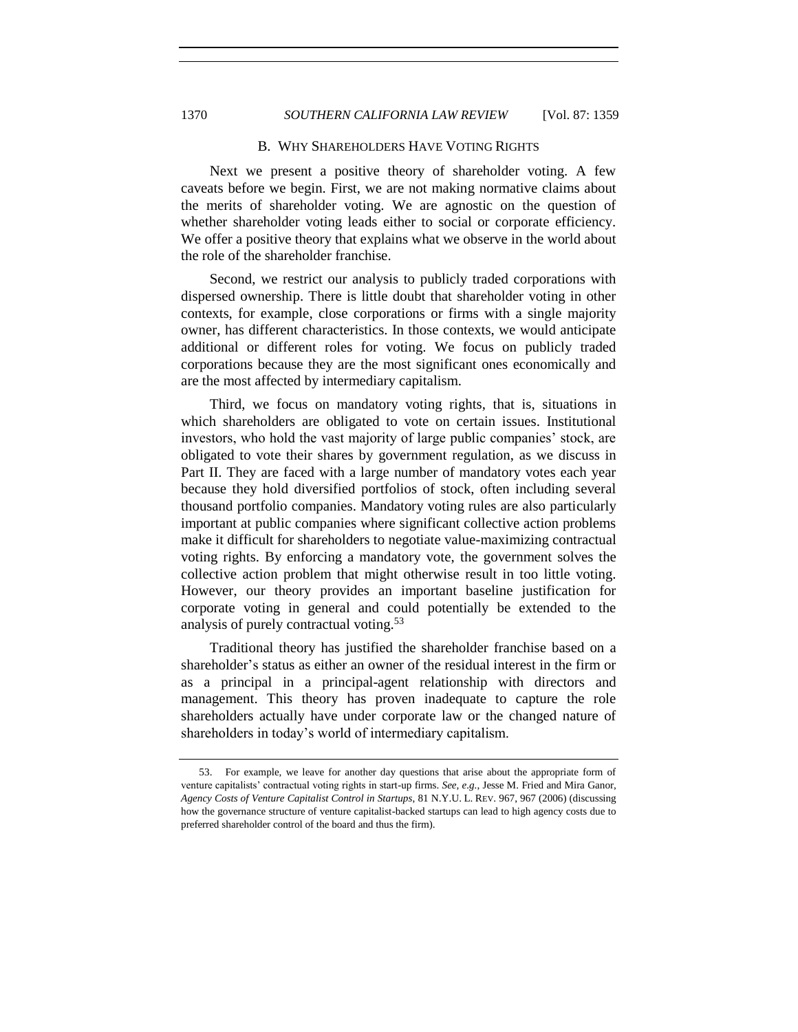#### B. WHY SHAREHOLDERS HAVE VOTING RIGHTS

Next we present a positive theory of shareholder voting. A few caveats before we begin. First, we are not making normative claims about the merits of shareholder voting. We are agnostic on the question of whether shareholder voting leads either to social or corporate efficiency. We offer a positive theory that explains what we observe in the world about the role of the shareholder franchise.

Second, we restrict our analysis to publicly traded corporations with dispersed ownership. There is little doubt that shareholder voting in other contexts, for example, close corporations or firms with a single majority owner, has different characteristics. In those contexts, we would anticipate additional or different roles for voting. We focus on publicly traded corporations because they are the most significant ones economically and are the most affected by intermediary capitalism.

Third, we focus on mandatory voting rights, that is, situations in which shareholders are obligated to vote on certain issues. Institutional investors, who hold the vast majority of large public companies' stock, are obligated to vote their shares by government regulation, as we discuss in Part II. They are faced with a large number of mandatory votes each year because they hold diversified portfolios of stock, often including several thousand portfolio companies. Mandatory voting rules are also particularly important at public companies where significant collective action problems make it difficult for shareholders to negotiate value-maximizing contractual voting rights. By enforcing a mandatory vote, the government solves the collective action problem that might otherwise result in too little voting. However, our theory provides an important baseline justification for corporate voting in general and could potentially be extended to the analysis of purely contractual voting.<sup>53</sup>

Traditional theory has justified the shareholder franchise based on a shareholder's status as either an owner of the residual interest in the firm or as a principal in a principal-agent relationship with directors and management. This theory has proven inadequate to capture the role shareholders actually have under corporate law or the changed nature of shareholders in today's world of intermediary capitalism.

<sup>53.</sup> For example, we leave for another day questions that arise about the appropriate form of venture capitalists' contractual voting rights in start-up firms. *See, e.g.*, Jesse M. Fried and Mira Ganor, *Agency Costs of Venture Capitalist Control in Startups*, 81 N.Y.U. L. REV. 967, 967 (2006) (discussing how the governance structure of venture capitalist-backed startups can lead to high agency costs due to preferred shareholder control of the board and thus the firm).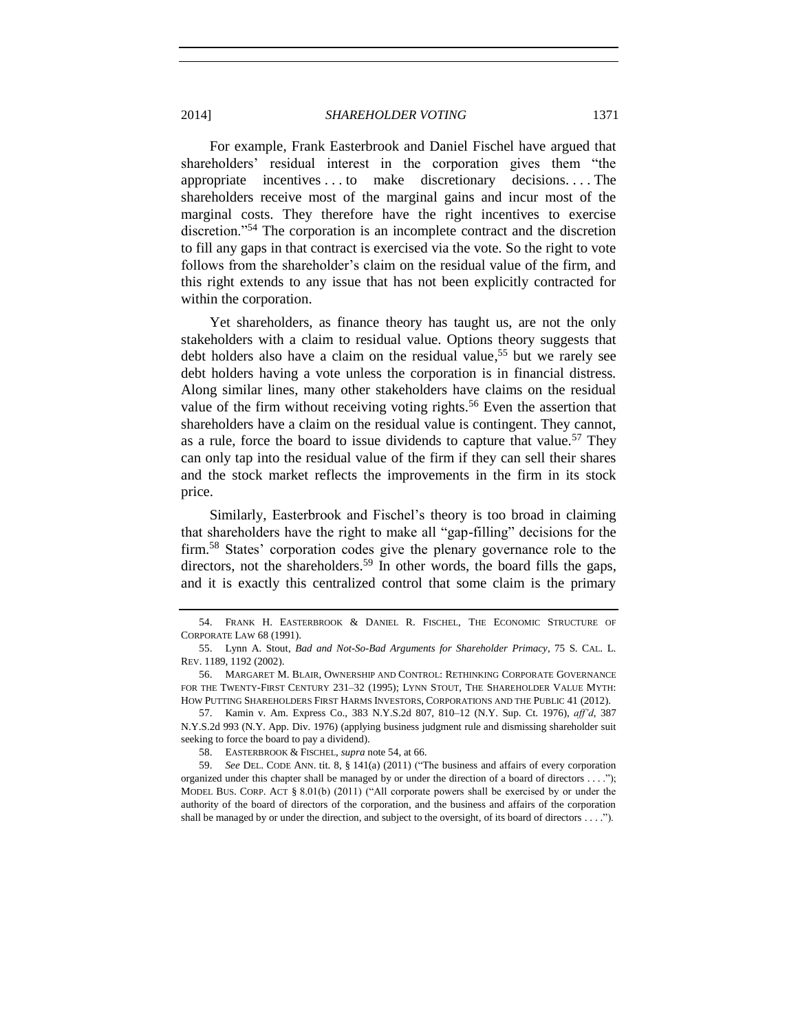<span id="page-12-0"></span>For example, Frank Easterbrook and Daniel Fischel have argued that shareholders' residual interest in the corporation gives them "the appropriate incentives . . . to make discretionary decisions. . . . The shareholders receive most of the marginal gains and incur most of the marginal costs. They therefore have the right incentives to exercise discretion."<sup>54</sup> The corporation is an incomplete contract and the discretion to fill any gaps in that contract is exercised via the vote. So the right to vote follows from the shareholder's claim on the residual value of the firm, and this right extends to any issue that has not been explicitly contracted for within the corporation.

<span id="page-12-1"></span>Yet shareholders, as finance theory has taught us, are not the only stakeholders with a claim to residual value. Options theory suggests that debt holders also have a claim on the residual value, <sup>55</sup> but we rarely see debt holders having a vote unless the corporation is in financial distress. Along similar lines, many other stakeholders have claims on the residual value of the firm without receiving voting rights.<sup>56</sup> Even the assertion that shareholders have a claim on the residual value is contingent. They cannot, as a rule, force the board to issue dividends to capture that value.<sup>57</sup> They can only tap into the residual value of the firm if they can sell their shares and the stock market reflects the improvements in the firm in its stock price.

Similarly, Easterbrook and Fischel's theory is too broad in claiming that shareholders have the right to make all "gap-filling" decisions for the firm.<sup>58</sup> States' corporation codes give the plenary governance role to the directors, not the shareholders.<sup>59</sup> In other words, the board fills the gaps, and it is exactly this centralized control that some claim is the primary

<sup>54.</sup> FRANK H. EASTERBROOK & DANIEL R. FISCHEL, THE ECONOMIC STRUCTURE OF CORPORATE LAW 68 (1991).

<sup>55.</sup> Lynn A. Stout, *Bad and Not-So-Bad Arguments for Shareholder Primacy*, 75 S. CAL. L. REV. 1189, 1192 (2002).

<sup>56.</sup> MARGARET M. BLAIR, OWNERSHIP AND CONTROL: RETHINKING CORPORATE GOVERNANCE FOR THE TWENTY-FIRST CENTURY 231–32 (1995); LYNN STOUT, THE SHAREHOLDER VALUE MYTH: HOW PUTTING SHAREHOLDERS FIRST HARMS INVESTORS, CORPORATIONS AND THE PUBLIC 41 (2012).

<sup>57.</sup> Kamin v. Am. Express Co., 383 N.Y.S.2d 807, 810–12 (N.Y. Sup. Ct. 1976), *aff'd*, 387 N.Y.S.2d 993 (N.Y. App. Div. 1976) (applying business judgment rule and dismissing shareholder suit seeking to force the board to pay a dividend).

<sup>58.</sup> EASTERBROOK & FISCHEL, *supra* note [54,](#page-12-0) at 66.

<sup>59.</sup> *See* DEL. CODE ANN. tit. 8, § 141(a) (2011) ("The business and affairs of every corporation organized under this chapter shall be managed by or under the direction of a board of directors . . . ."); MODEL BUS. CORP. ACT § 8.01(b) (2011) ("All corporate powers shall be exercised by or under the authority of the board of directors of the corporation, and the business and affairs of the corporation shall be managed by or under the direction, and subject to the oversight, of its board of directors . . . .").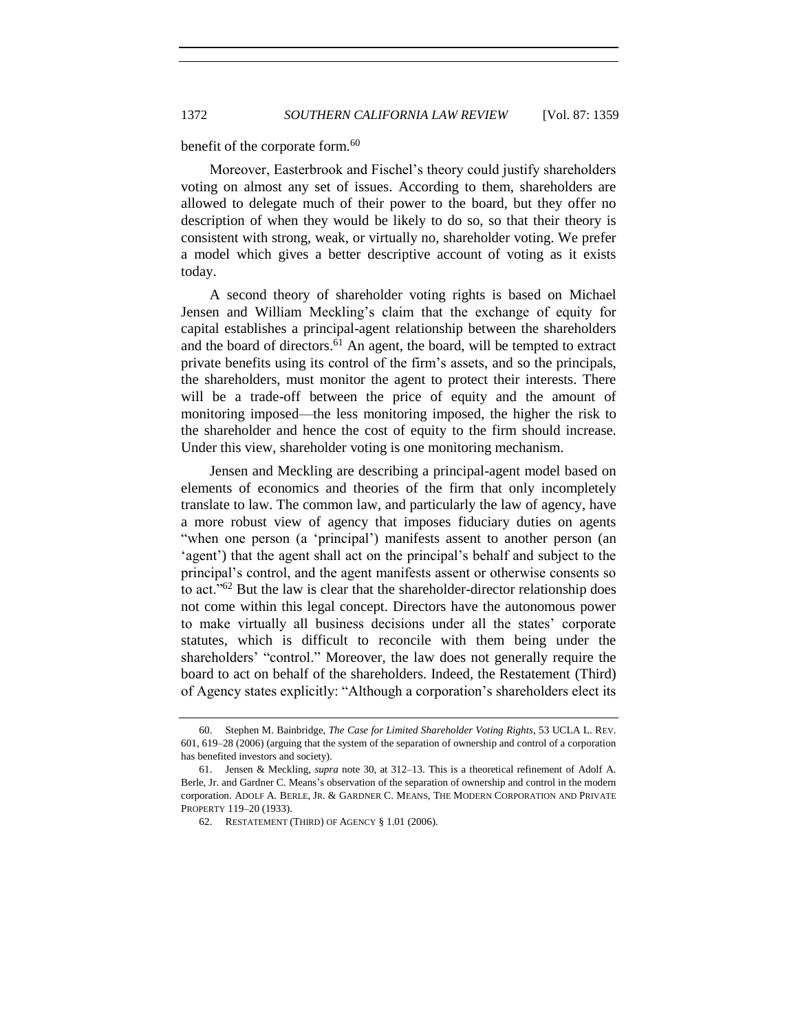<span id="page-13-0"></span>benefit of the corporate form.<sup>60</sup>

Moreover, Easterbrook and Fischel's theory could justify shareholders voting on almost any set of issues. According to them, shareholders are allowed to delegate much of their power to the board, but they offer no description of when they would be likely to do so, so that their theory is consistent with strong, weak, or virtually no, shareholder voting. We prefer a model which gives a better descriptive account of voting as it exists today.

A second theory of shareholder voting rights is based on Michael Jensen and William Meckling's claim that the exchange of equity for capital establishes a principal-agent relationship between the shareholders and the board of directors.<sup>61</sup> An agent, the board, will be tempted to extract private benefits using its control of the firm's assets, and so the principals, the shareholders, must monitor the agent to protect their interests. There will be a trade-off between the price of equity and the amount of monitoring imposed—the less monitoring imposed, the higher the risk to the shareholder and hence the cost of equity to the firm should increase. Under this view, shareholder voting is one monitoring mechanism.

Jensen and Meckling are describing a principal-agent model based on elements of economics and theories of the firm that only incompletely translate to law. The common law, and particularly the law of agency, have a more robust view of agency that imposes fiduciary duties on agents "when one person (a 'principal') manifests assent to another person (an 'agent') that the agent shall act on the principal's behalf and subject to the principal's control, and the agent manifests assent or otherwise consents so to act."<sup>62</sup> But the law is clear that the shareholder-director relationship does not come within this legal concept. Directors have the autonomous power to make virtually all business decisions under all the states' corporate statutes, which is difficult to reconcile with them being under the shareholders' "control." Moreover, the law does not generally require the board to act on behalf of the shareholders. Indeed, the Restatement (Third) of Agency states explicitly: "Although a corporation's shareholders elect its

<sup>60.</sup> Stephen M. Bainbridge, *The Case for Limited Shareholder Voting Rights*, 53 UCLA L. REV. 601, 619–28 (2006) (arguing that the system of the separation of ownership and control of a corporation has benefited investors and society).

<sup>61.</sup> Jensen & Meckling, *supra* note [30,](#page-7-0) at 312–13. This is a theoretical refinement of Adolf A. Berle, Jr. and Gardner C. Means's observation of the separation of ownership and control in the modern corporation. ADOLF A. BERLE, JR. & GARDNER C. MEANS, THE MODERN CORPORATION AND PRIVATE PROPERTY 119–20 (1933).

<sup>62.</sup> RESTATEMENT (THIRD) OF AGENCY § 1.01 (2006).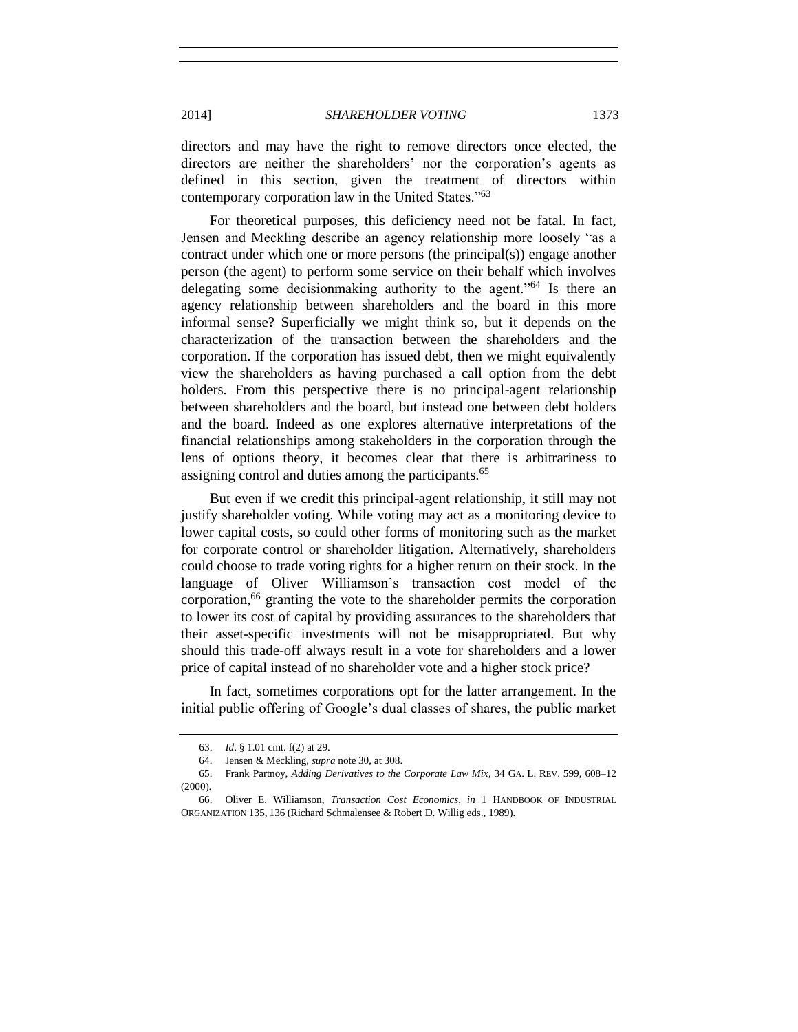directors and may have the right to remove directors once elected, the directors are neither the shareholders' nor the corporation's agents as defined in this section, given the treatment of directors within contemporary corporation law in the United States."<sup>63</sup>

For theoretical purposes, this deficiency need not be fatal. In fact, Jensen and Meckling describe an agency relationship more loosely "as a contract under which one or more persons (the principal(s)) engage another person (the agent) to perform some service on their behalf which involves delegating some decisionmaking authority to the agent."<sup>64</sup> Is there an agency relationship between shareholders and the board in this more informal sense? Superficially we might think so, but it depends on the characterization of the transaction between the shareholders and the corporation. If the corporation has issued debt, then we might equivalently view the shareholders as having purchased a call option from the debt holders. From this perspective there is no principal-agent relationship between shareholders and the board, but instead one between debt holders and the board. Indeed as one explores alternative interpretations of the financial relationships among stakeholders in the corporation through the lens of options theory, it becomes clear that there is arbitrariness to assigning control and duties among the participants.<sup>65</sup>

But even if we credit this principal-agent relationship, it still may not justify shareholder voting. While voting may act as a monitoring device to lower capital costs, so could other forms of monitoring such as the market for corporate control or shareholder litigation. Alternatively, shareholders could choose to trade voting rights for a higher return on their stock. In the language of Oliver Williamson's transaction cost model of the corporation, $66$  granting the vote to the shareholder permits the corporation to lower its cost of capital by providing assurances to the shareholders that their asset-specific investments will not be misappropriated. But why should this trade-off always result in a vote for shareholders and a lower price of capital instead of no shareholder vote and a higher stock price?

In fact, sometimes corporations opt for the latter arrangement. In the initial public offering of Google's dual classes of shares, the public market

<sup>63.</sup> *Id*. § 1.01 cmt. f(2) at 29.

<sup>64.</sup> Jensen & Meckling, *supra* not[e 30,](#page-7-0) at 308.

<sup>65.</sup> Frank Partnoy, *Adding Derivatives to the Corporate Law Mix*, 34 GA. L. REV. 599, 608–12 (2000).

<sup>66.</sup> Oliver E. Williamson, *Transaction Cost Economics*, *in* 1 HANDBOOK OF INDUSTRIAL ORGANIZATION 135, 136 (Richard Schmalensee & Robert D. Willig eds., 1989).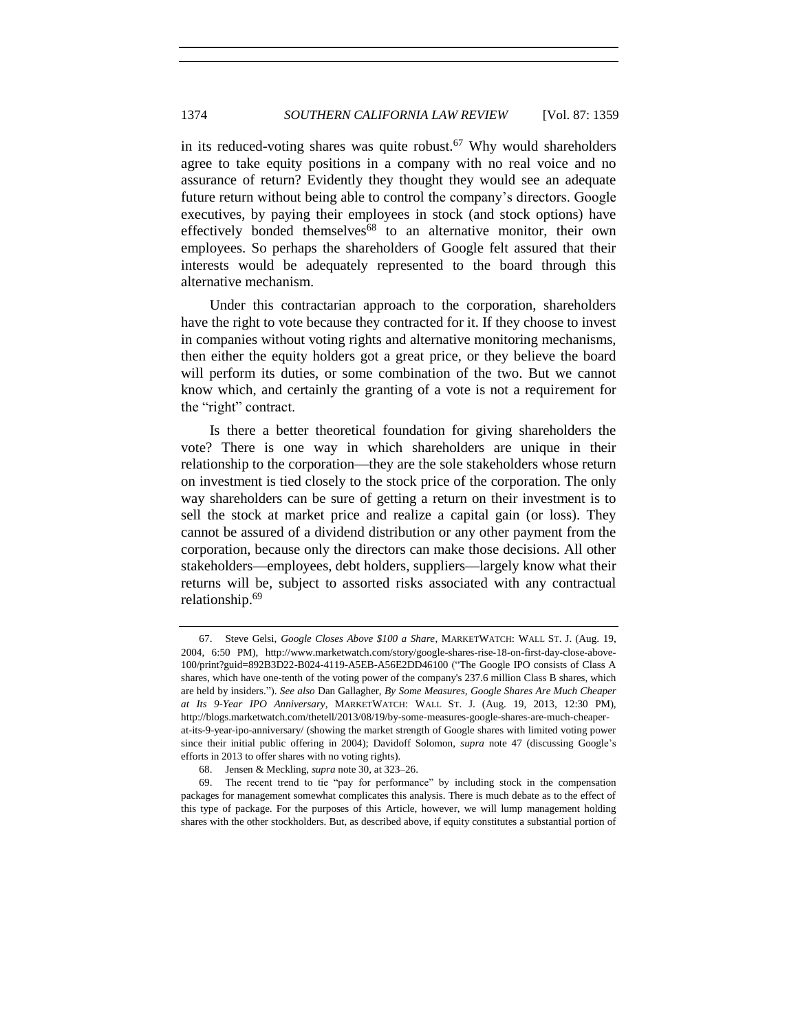in its reduced-voting shares was quite robust.<sup>67</sup> Why would shareholders agree to take equity positions in a company with no real voice and no assurance of return? Evidently they thought they would see an adequate future return without being able to control the company's directors. Google executives, by paying their employees in stock (and stock options) have effectively bonded themselves<sup>68</sup> to an alternative monitor, their own employees. So perhaps the shareholders of Google felt assured that their interests would be adequately represented to the board through this alternative mechanism.

Under this contractarian approach to the corporation, shareholders have the right to vote because they contracted for it. If they choose to invest in companies without voting rights and alternative monitoring mechanisms, then either the equity holders got a great price, or they believe the board will perform its duties, or some combination of the two. But we cannot know which, and certainly the granting of a vote is not a requirement for the "right" contract.

Is there a better theoretical foundation for giving shareholders the vote? There is one way in which shareholders are unique in their relationship to the corporation—they are the sole stakeholders whose return on investment is tied closely to the stock price of the corporation. The only way shareholders can be sure of getting a return on their investment is to sell the stock at market price and realize a capital gain (or loss). They cannot be assured of a dividend distribution or any other payment from the corporation, because only the directors can make those decisions. All other stakeholders—employees, debt holders, suppliers—largely know what their returns will be, subject to assorted risks associated with any contractual relationship.<sup>69</sup>

<sup>67.</sup> Steve Gelsi, *Google Closes Above \$100 a Share*, MARKETWATCH: WALL ST. J. (Aug. 19, 2004, 6:50 PM), http://www.marketwatch.com/story/google-shares-rise-18-on-first-day-close-above-100/print?guid=892B3D22-B024-4119-A5EB-A56E2DD46100 ("The Google IPO consists of Class A shares, which have one-tenth of the voting power of the company's 237.6 million Class B shares, which are held by insiders."). *See also* Dan Gallagher, *By Some Measures, Google Shares Are Much Cheaper at Its 9-Year IPO Anniversary*, MARKETWATCH: WALL ST. J. (Aug. 19, 2013, 12:30 PM), http://blogs.marketwatch.com/thetell/2013/08/19/by-some-measures-google-shares-are-much-cheaperat-its-9-year-ipo-anniversary/ (showing the market strength of Google shares with limited voting power since their initial public offering in 2004); Davidoff Solomon, *supra* note [47](#page-10-0) (discussing Google's efforts in 2013 to offer shares with no voting rights).

<sup>68.</sup> Jensen & Meckling, *supra* not[e 30,](#page-7-0) at 323–26.

<sup>69.</sup> The recent trend to tie "pay for performance" by including stock in the compensation packages for management somewhat complicates this analysis. There is much debate as to the effect of this type of package. For the purposes of this Article, however, we will lump management holding shares with the other stockholders. But, as described above, if equity constitutes a substantial portion of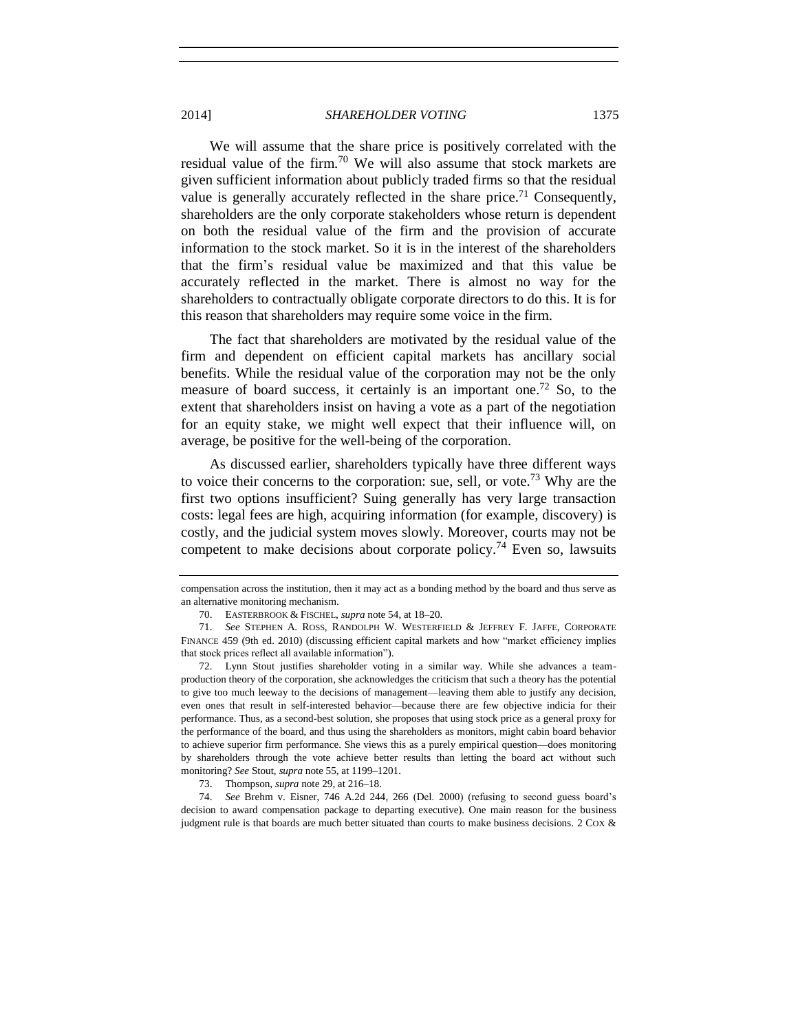We will assume that the share price is positively correlated with the residual value of the firm.<sup>70</sup> We will also assume that stock markets are given sufficient information about publicly traded firms so that the residual value is generally accurately reflected in the share price.<sup>71</sup> Consequently, shareholders are the only corporate stakeholders whose return is dependent on both the residual value of the firm and the provision of accurate information to the stock market. So it is in the interest of the shareholders that the firm's residual value be maximized and that this value be accurately reflected in the market. There is almost no way for the shareholders to contractually obligate corporate directors to do this. It is for this reason that shareholders may require some voice in the firm.

The fact that shareholders are motivated by the residual value of the firm and dependent on efficient capital markets has ancillary social benefits. While the residual value of the corporation may not be the only measure of board success, it certainly is an important one.<sup>72</sup> So, to the extent that shareholders insist on having a vote as a part of the negotiation for an equity stake, we might well expect that their influence will, on average, be positive for the well-being of the corporation.

As discussed earlier, shareholders typically have three different ways to voice their concerns to the corporation: sue, sell, or vote.<sup>73</sup> Why are the first two options insufficient? Suing generally has very large transaction costs: legal fees are high, acquiring information (for example, discovery) is costly, and the judicial system moves slowly. Moreover, courts may not be competent to make decisions about corporate policy.<sup>74</sup> Even so, lawsuits

compensation across the institution, then it may act as a bonding method by the board and thus serve as an alternative monitoring mechanism.

<sup>70.</sup> EASTERBROOK & FISCHEL, *supra* note [54,](#page-12-0) at 18–20.

<sup>71.</sup> *See* STEPHEN A. ROSS, RANDOLPH W. WESTERFIELD & JEFFREY F. JAFFE, CORPORATE FINANCE 459 (9th ed. 2010) (discussing efficient capital markets and how "market efficiency implies that stock prices reflect all available information").

<sup>72.</sup> Lynn Stout justifies shareholder voting in a similar way. While she advances a teamproduction theory of the corporation, she acknowledges the criticism that such a theory has the potential to give too much leeway to the decisions of management—leaving them able to justify any decision, even ones that result in self-interested behavior—because there are few objective indicia for their performance. Thus, as a second-best solution, she proposes that using stock price as a general proxy for the performance of the board, and thus using the shareholders as monitors, might cabin board behavior to achieve superior firm performance. She views this as a purely empirical question—does monitoring by shareholders through the vote achieve better results than letting the board act without such monitoring? *See* Stout, *supra* not[e 55,](#page-12-1) at 1199–1201.

<sup>73.</sup> Thompson, *supra* not[e 29,](#page-7-1) at 216–18.

<sup>74.</sup> *See* Brehm v. Eisner, 746 A.2d 244, 266 (Del. 2000) (refusing to second guess board's decision to award compensation package to departing executive). One main reason for the business judgment rule is that boards are much better situated than courts to make business decisions. 2 COX &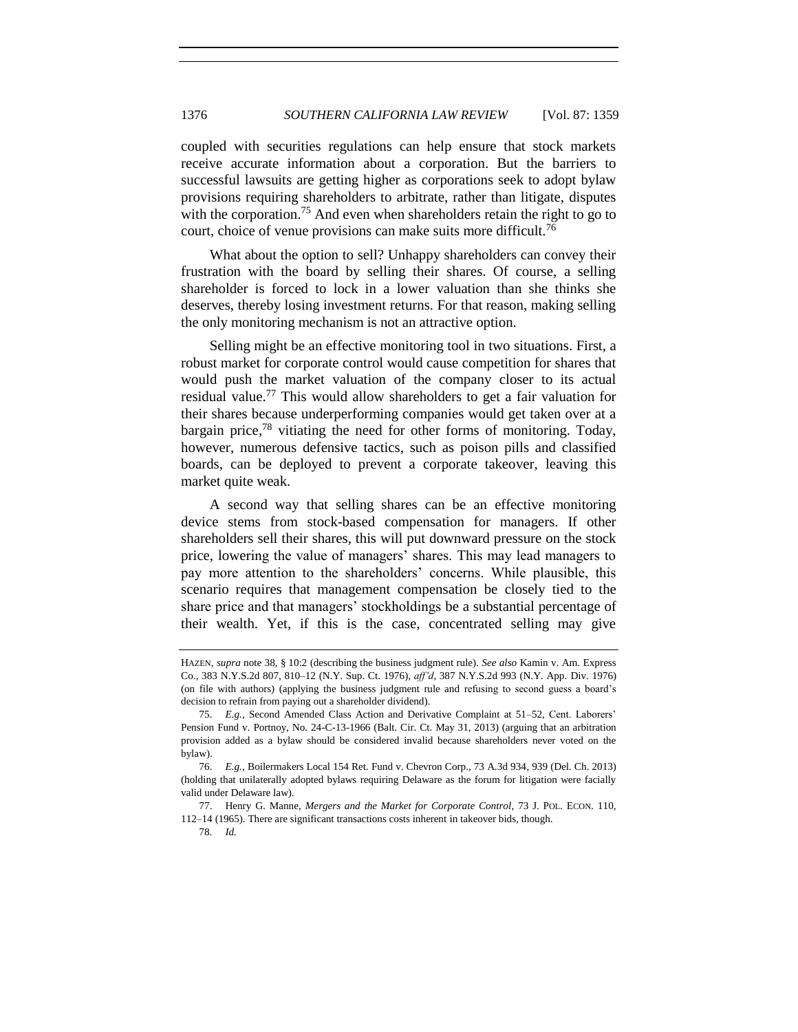coupled with securities regulations can help ensure that stock markets receive accurate information about a corporation. But the barriers to successful lawsuits are getting higher as corporations seek to adopt bylaw provisions requiring shareholders to arbitrate, rather than litigate, disputes with the corporation.<sup>75</sup> And even when shareholders retain the right to go to court, choice of venue provisions can make suits more difficult.<sup>76</sup>

What about the option to sell? Unhappy shareholders can convey their frustration with the board by selling their shares. Of course, a selling shareholder is forced to lock in a lower valuation than she thinks she deserves, thereby losing investment returns. For that reason, making selling the only monitoring mechanism is not an attractive option.

Selling might be an effective monitoring tool in two situations. First, a robust market for corporate control would cause competition for shares that would push the market valuation of the company closer to its actual residual value.<sup>77</sup> This would allow shareholders to get a fair valuation for their shares because underperforming companies would get taken over at a bargain price, $78$  vitiating the need for other forms of monitoring. Today, however, numerous defensive tactics, such as poison pills and classified boards, can be deployed to prevent a corporate takeover, leaving this market quite weak.

A second way that selling shares can be an effective monitoring device stems from stock-based compensation for managers. If other shareholders sell their shares, this will put downward pressure on the stock price, lowering the value of managers' shares. This may lead managers to pay more attention to the shareholders' concerns. While plausible, this scenario requires that management compensation be closely tied to the share price and that managers' stockholdings be a substantial percentage of their wealth. Yet, if this is the case, concentrated selling may give

78*. Id.*

HAZEN, *supra* note [38,](#page-8-0) § 10:2 (describing the business judgment rule). *See also* Kamin v. Am. Express Co., 383 N.Y.S.2d 807, 810–12 (N.Y. Sup. Ct. 1976), *aff'd*, 387 N.Y.S.2d 993 (N.Y. App. Div. 1976) (on file with authors) (applying the business judgment rule and refusing to second guess a board's decision to refrain from paying out a shareholder dividend).

<sup>75.</sup> *E.g.*, Second Amended Class Action and Derivative Complaint at 51–52, Cent. Laborers' Pension Fund v. Portnoy, No. 24-C-13-1966 (Balt. Cir. Ct. May 31, 2013) (arguing that an arbitration provision added as a bylaw should be considered invalid because shareholders never voted on the bylaw).

<sup>76.</sup> *E.g.*, Boilermakers Local 154 Ret. Fund v. Chevron Corp., 73 A.3d 934, 939 (Del. Ch. 2013) (holding that unilaterally adopted bylaws requiring Delaware as the forum for litigation were facially valid under Delaware law).

<sup>77.</sup> Henry G. Manne, *Mergers and the Market for Corporate Control*, 73 J. POL. ECON. 110, 112–14 (1965). There are significant transactions costs inherent in takeover bids, though.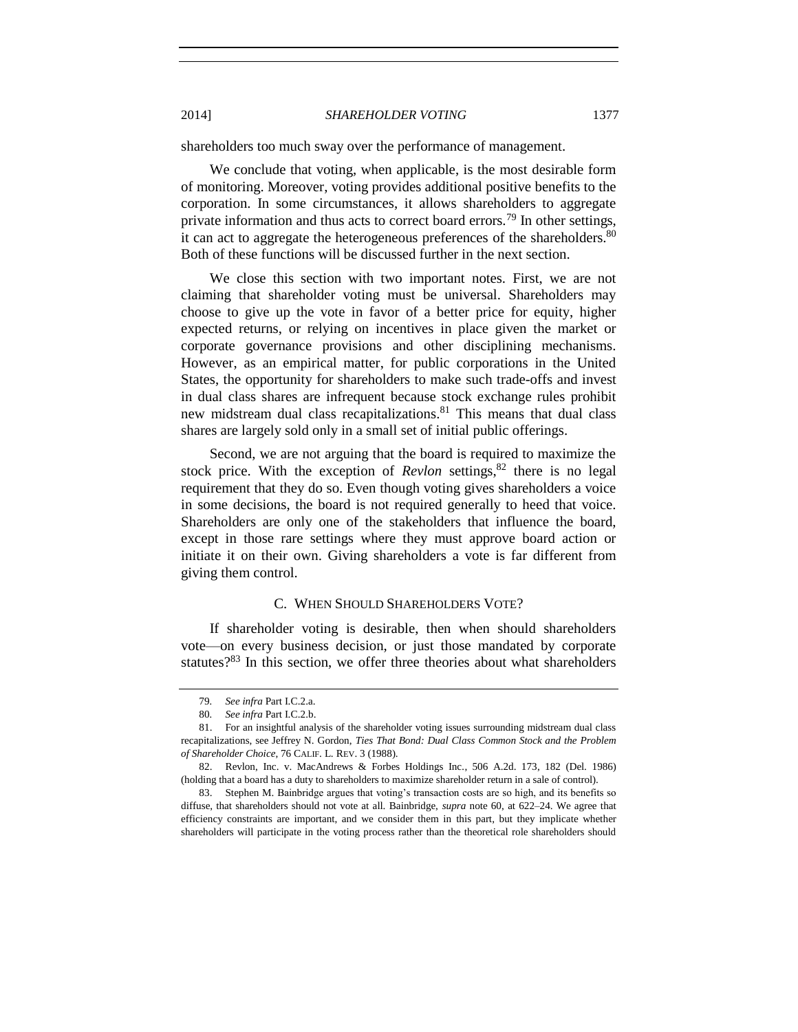shareholders too much sway over the performance of management.

We conclude that voting, when applicable, is the most desirable form of monitoring. Moreover, voting provides additional positive benefits to the corporation. In some circumstances, it allows shareholders to aggregate private information and thus acts to correct board errors.<sup>79</sup> In other settings, it can act to aggregate the heterogeneous preferences of the shareholders.<sup>80</sup> Both of these functions will be discussed further in the next section.

We close this section with two important notes. First, we are not claiming that shareholder voting must be universal. Shareholders may choose to give up the vote in favor of a better price for equity, higher expected returns, or relying on incentives in place given the market or corporate governance provisions and other disciplining mechanisms. However, as an empirical matter, for public corporations in the United States, the opportunity for shareholders to make such trade-offs and invest in dual class shares are infrequent because stock exchange rules prohibit new midstream dual class recapitalizations.<sup>81</sup> This means that dual class shares are largely sold only in a small set of initial public offerings.

Second, we are not arguing that the board is required to maximize the stock price. With the exception of  $Re$ *vlon* settings,  $82$  there is no legal requirement that they do so. Even though voting gives shareholders a voice in some decisions, the board is not required generally to heed that voice. Shareholders are only one of the stakeholders that influence the board, except in those rare settings where they must approve board action or initiate it on their own. Giving shareholders a vote is far different from giving them control.

#### C. WHEN SHOULD SHAREHOLDERS VOTE?

If shareholder voting is desirable, then when should shareholders vote—on every business decision, or just those mandated by corporate statutes? $83$  In this section, we offer three theories about what shareholders

83. Stephen M. Bainbridge argues that voting's transaction costs are so high, and its benefits so diffuse, that shareholders should not vote at all. Bainbridge, *supra* note [60,](#page-13-0) at 622–24. We agree that efficiency constraints are important, and we consider them in this part, but they implicate whether shareholders will participate in the voting process rather than the theoretical role shareholders should

<sup>79</sup>*. See infra* Part I.C.2.a.

<sup>80</sup>*. See infra* Part I.C.2.b.

<sup>81.</sup> For an insightful analysis of the shareholder voting issues surrounding midstream dual class recapitalizations, see Jeffrey N. Gordon, *Ties That Bond: Dual Class Common Stock and the Problem of Shareholder Choice*, 76 CALIF. L. REV. 3 (1988).

<sup>82.</sup> Revlon, Inc. v. MacAndrews & Forbes Holdings Inc*.*, 506 A.2d. 173, 182 (Del. 1986) (holding that a board has a duty to shareholders to maximize shareholder return in a sale of control).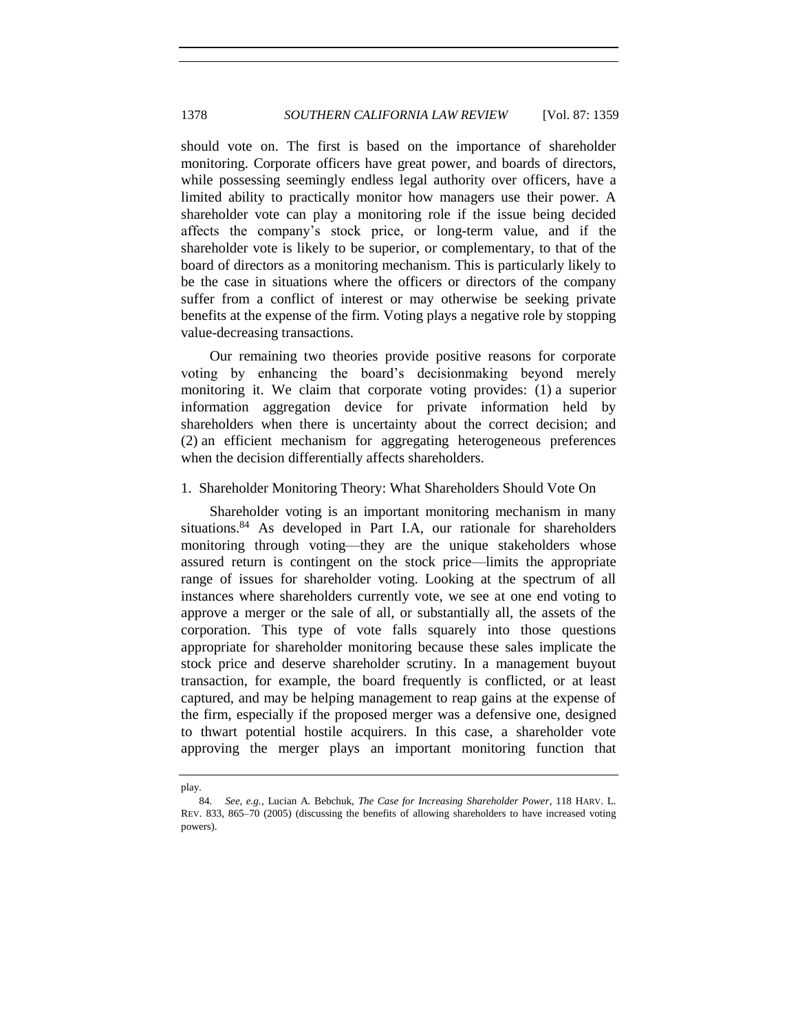should vote on. The first is based on the importance of shareholder monitoring. Corporate officers have great power, and boards of directors, while possessing seemingly endless legal authority over officers, have a limited ability to practically monitor how managers use their power. A shareholder vote can play a monitoring role if the issue being decided affects the company's stock price, or long-term value, and if the shareholder vote is likely to be superior, or complementary, to that of the board of directors as a monitoring mechanism. This is particularly likely to be the case in situations where the officers or directors of the company suffer from a conflict of interest or may otherwise be seeking private benefits at the expense of the firm. Voting plays a negative role by stopping value-decreasing transactions.

Our remaining two theories provide positive reasons for corporate voting by enhancing the board's decisionmaking beyond merely monitoring it. We claim that corporate voting provides: (1) a superior information aggregation device for private information held by shareholders when there is uncertainty about the correct decision; and (2) an efficient mechanism for aggregating heterogeneous preferences when the decision differentially affects shareholders.

#### 1. Shareholder Monitoring Theory: What Shareholders Should Vote On

Shareholder voting is an important monitoring mechanism in many situations.<sup>84</sup> As developed in Part I.A, our rationale for shareholders monitoring through voting—they are the unique stakeholders whose assured return is contingent on the stock price—limits the appropriate range of issues for shareholder voting. Looking at the spectrum of all instances where shareholders currently vote, we see at one end voting to approve a merger or the sale of all, or substantially all, the assets of the corporation. This type of vote falls squarely into those questions appropriate for shareholder monitoring because these sales implicate the stock price and deserve shareholder scrutiny. In a management buyout transaction, for example, the board frequently is conflicted, or at least captured, and may be helping management to reap gains at the expense of the firm, especially if the proposed merger was a defensive one, designed to thwart potential hostile acquirers. In this case, a shareholder vote approving the merger plays an important monitoring function that

play.

<sup>84</sup>*. See, e.g.*, Lucian A. Bebchuk, *The Case for Increasing Shareholder Power*, 118 HARV. L. REV. 833, 865–70 (2005) (discussing the benefits of allowing shareholders to have increased voting powers).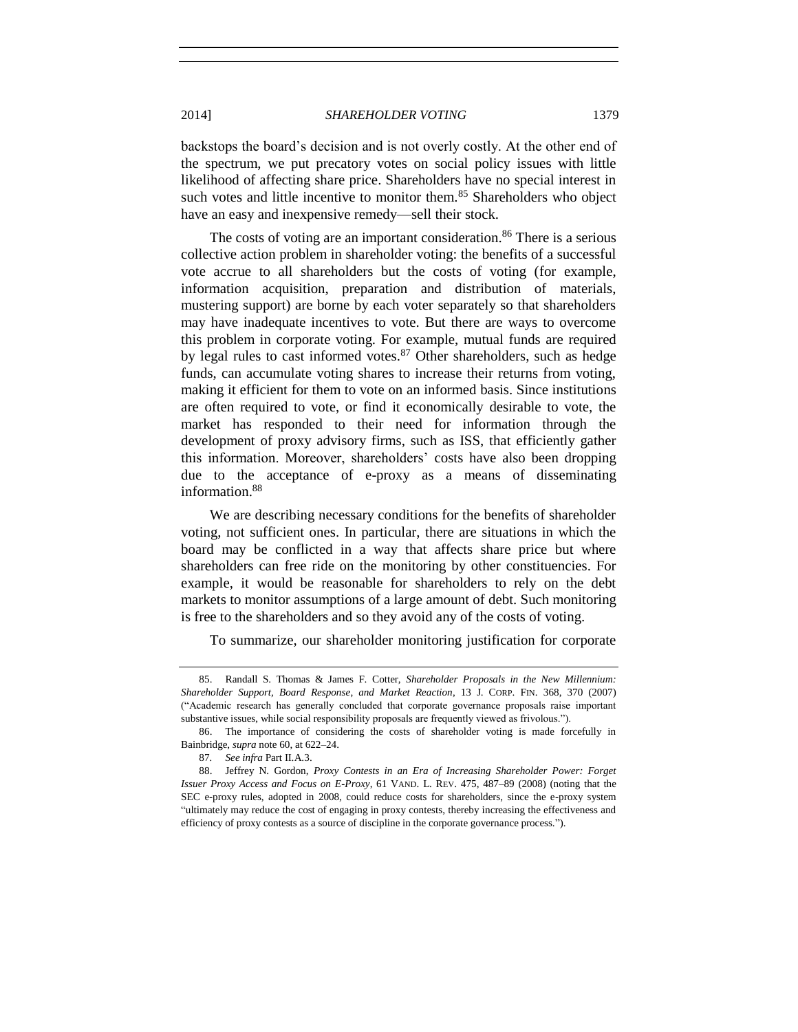backstops the board's decision and is not overly costly. At the other end of the spectrum, we put precatory votes on social policy issues with little likelihood of affecting share price. Shareholders have no special interest in such votes and little incentive to monitor them.<sup>85</sup> Shareholders who object have an easy and inexpensive remedy—sell their stock.

The costs of voting are an important consideration.<sup>86</sup> There is a serious collective action problem in shareholder voting: the benefits of a successful vote accrue to all shareholders but the costs of voting (for example, information acquisition, preparation and distribution of materials, mustering support) are borne by each voter separately so that shareholders may have inadequate incentives to vote. But there are ways to overcome this problem in corporate voting. For example, mutual funds are required by legal rules to cast informed votes. $87$  Other shareholders, such as hedge funds, can accumulate voting shares to increase their returns from voting, making it efficient for them to vote on an informed basis. Since institutions are often required to vote, or find it economically desirable to vote, the market has responded to their need for information through the development of proxy advisory firms, such as ISS, that efficiently gather this information. Moreover, shareholders' costs have also been dropping due to the acceptance of e-proxy as a means of disseminating information.<sup>88</sup>

We are describing necessary conditions for the benefits of shareholder voting, not sufficient ones. In particular, there are situations in which the board may be conflicted in a way that affects share price but where shareholders can free ride on the monitoring by other constituencies. For example, it would be reasonable for shareholders to rely on the debt markets to monitor assumptions of a large amount of debt. Such monitoring is free to the shareholders and so they avoid any of the costs of voting.

To summarize, our shareholder monitoring justification for corporate

<sup>85.</sup> Randall S. Thomas & James F. Cotter, *Shareholder Proposals in the New Millennium: Shareholder Support, Board Response, and Market Reaction*, 13 J. CORP. FIN. 368, 370 (2007) ("Academic research has generally concluded that corporate governance proposals raise important substantive issues, while social responsibility proposals are frequently viewed as frivolous.").

<sup>86.</sup> The importance of considering the costs of shareholder voting is made forcefully in Bainbridge, *supra* not[e 60,](#page-13-0) at 622–24.

<sup>87</sup>*. See infra* Part II.A.3.

<sup>88.</sup> Jeffrey N. Gordon, *Proxy Contests in an Era of Increasing Shareholder Power: Forget Issuer Proxy Access and Focus on E-Proxy*, 61 VAND. L. REV. 475, 487–89 (2008) (noting that the SEC e-proxy rules, adopted in 2008, could reduce costs for shareholders, since the e-proxy system "ultimately may reduce the cost of engaging in proxy contests, thereby increasing the effectiveness and efficiency of proxy contests as a source of discipline in the corporate governance process.").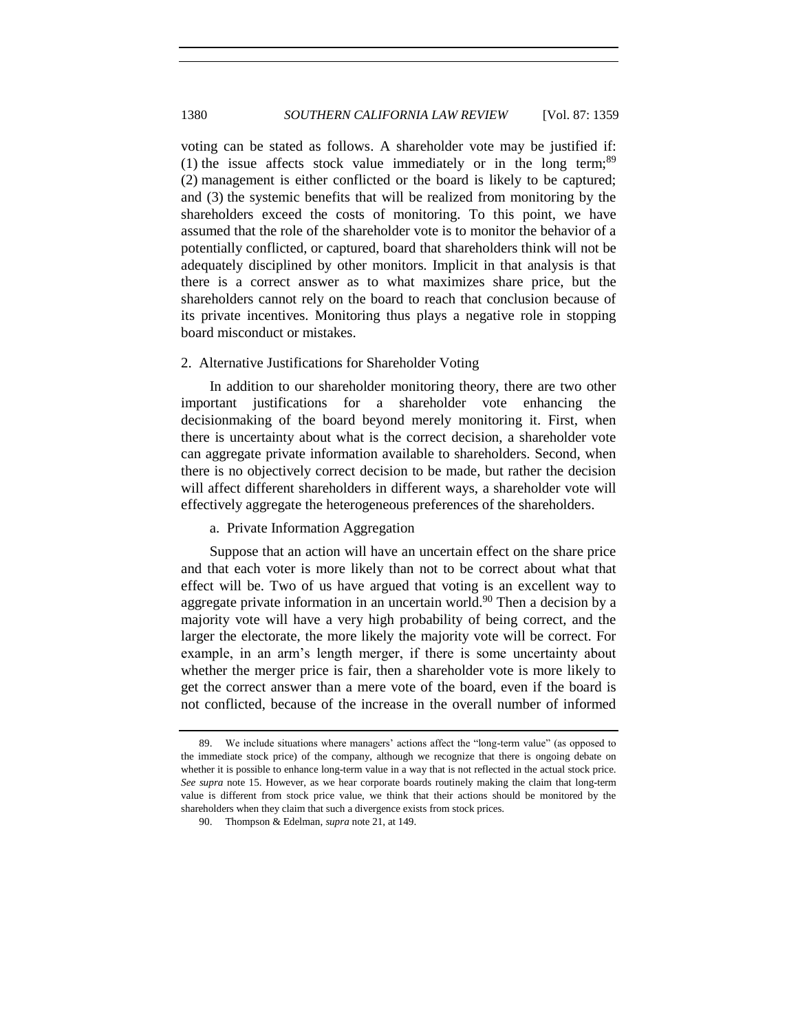voting can be stated as follows. A shareholder vote may be justified if: (1) the issue affects stock value immediately or in the long term;<sup>89</sup> (2) management is either conflicted or the board is likely to be captured; and (3) the systemic benefits that will be realized from monitoring by the shareholders exceed the costs of monitoring. To this point, we have assumed that the role of the shareholder vote is to monitor the behavior of a potentially conflicted, or captured, board that shareholders think will not be adequately disciplined by other monitors. Implicit in that analysis is that there is a correct answer as to what maximizes share price, but the shareholders cannot rely on the board to reach that conclusion because of its private incentives. Monitoring thus plays a negative role in stopping board misconduct or mistakes.

#### 2. Alternative Justifications for Shareholder Voting

In addition to our shareholder monitoring theory, there are two other important justifications for a shareholder vote enhancing the decisionmaking of the board beyond merely monitoring it. First, when there is uncertainty about what is the correct decision, a shareholder vote can aggregate private information available to shareholders. Second, when there is no objectively correct decision to be made, but rather the decision will affect different shareholders in different ways, a shareholder vote will effectively aggregate the heterogeneous preferences of the shareholders.

#### a. Private Information Aggregation

Suppose that an action will have an uncertain effect on the share price and that each voter is more likely than not to be correct about what that effect will be. Two of us have argued that voting is an excellent way to aggregate private information in an uncertain world.<sup>90</sup> Then a decision by a majority vote will have a very high probability of being correct, and the larger the electorate, the more likely the majority vote will be correct. For example, in an arm's length merger, if there is some uncertainty about whether the merger price is fair, then a shareholder vote is more likely to get the correct answer than a mere vote of the board, even if the board is not conflicted, because of the increase in the overall number of informed

<sup>89.</sup> We include situations where managers' actions affect the "long-term value" (as opposed to the immediate stock price) of the company, although we recognize that there is ongoing debate on whether it is possible to enhance long-term value in a way that is not reflected in the actual stock price. *See supra* note [15.](#page-3-0) However, as we hear corporate boards routinely making the claim that long-term value is different from stock price value, we think that their actions should be monitored by the shareholders when they claim that such a divergence exists from stock prices.

<sup>90.</sup> Thompson & Edelman, *supra* note [21,](#page-5-0) at 149.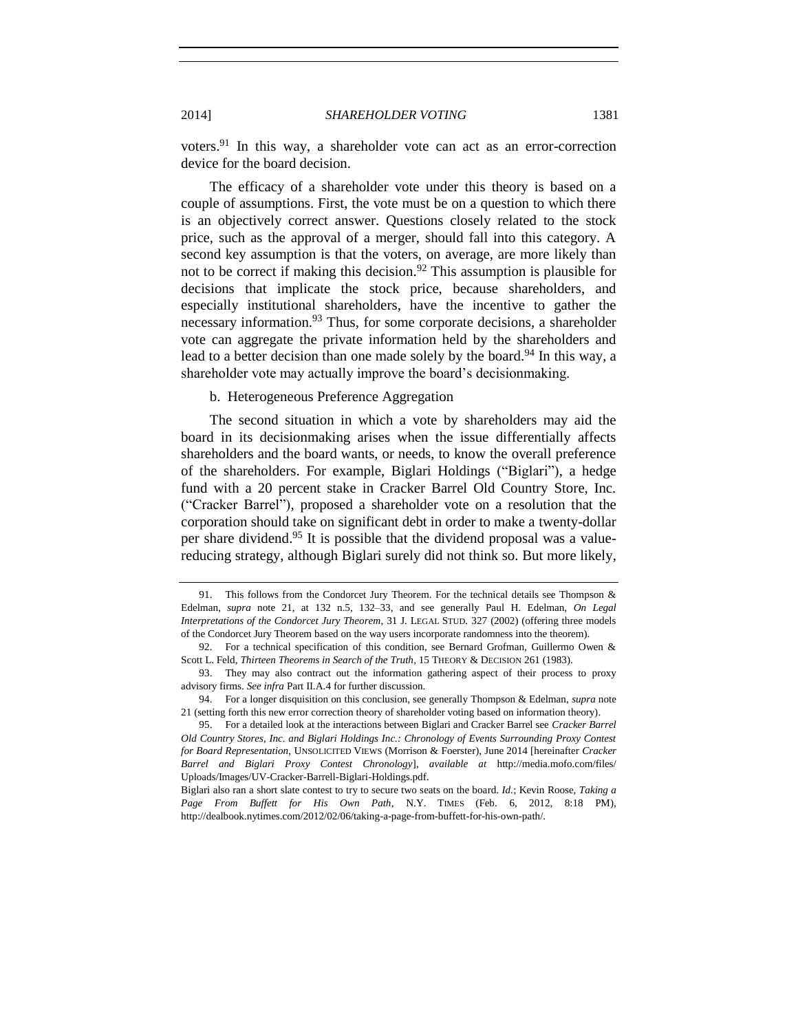voters.<sup>91</sup> In this way, a shareholder vote can act as an error-correction device for the board decision.

The efficacy of a shareholder vote under this theory is based on a couple of assumptions. First, the vote must be on a question to which there is an objectively correct answer. Questions closely related to the stock price, such as the approval of a merger, should fall into this category. A second key assumption is that the voters, on average, are more likely than not to be correct if making this decision.<sup>92</sup> This assumption is plausible for decisions that implicate the stock price, because shareholders, and especially institutional shareholders, have the incentive to gather the necessary information.<sup>93</sup> Thus, for some corporate decisions, a shareholder vote can aggregate the private information held by the shareholders and lead to a better decision than one made solely by the board.<sup>94</sup> In this way, a shareholder vote may actually improve the board's decisionmaking.

#### b. Heterogeneous Preference Aggregation

The second situation in which a vote by shareholders may aid the board in its decisionmaking arises when the issue differentially affects shareholders and the board wants, or needs, to know the overall preference of the shareholders. For example, Biglari Holdings ("Biglari"), a hedge fund with a 20 percent stake in Cracker Barrel Old Country Store, Inc. ("Cracker Barrel"), proposed a shareholder vote on a resolution that the corporation should take on significant debt in order to make a twenty-dollar per share dividend. <sup>95</sup> It is possible that the dividend proposal was a valuereducing strategy, although Biglari surely did not think so. But more likely,

<sup>91.</sup> This follows from the Condorcet Jury Theorem. For the technical details see Thompson & Edelman, *supra* note [21,](#page-5-0) at 132 n.5, 132–33, and see generally Paul H. Edelman, *On Legal Interpretations of the Condorcet Jury Theorem*, 31 J. LEGAL STUD. 327 (2002) (offering three models of the Condorcet Jury Theorem based on the way users incorporate randomness into the theorem).

<sup>92.</sup> For a technical specification of this condition, see Bernard Grofman, Guillermo Owen & Scott L. Feld, *Thirteen Theorems in Search of the Truth*, 15 THEORY & DECISION 261 (1983).

<sup>93.</sup> They may also contract out the information gathering aspect of their process to proxy advisory firms. *See infra* Part II.A.4 for further discussion.

<sup>94.</sup> For a longer disquisition on this conclusion, see generally Thompson & Edelman, *supra* note [21](#page-5-0) (setting forth this new error correction theory of shareholder voting based on information theory).

<sup>95.</sup> For a detailed look at the interactions between Biglari and Cracker Barrel see *Cracker Barrel Old Country Stores, Inc. and Biglari Holdings Inc.: Chronology of Events Surrounding Proxy Contest for Board Representation*, UNSOLICITED VIEWS (Morrison & Foerster), June 2014 [hereinafter *Cracker Barrel and Biglari Proxy Contest Chronology*], *available at* http://media.mofo.com/files/ Uploads/Images/UV-Cracker-Barrell-Biglari-Holdings.pdf.

Biglari also ran a short slate contest to try to secure two seats on the board. *Id.*; Kevin Roose, *Taking a Page From Buffett for His Own Path*, N.Y. TIMES (Feb. 6, 2012, 8:18 PM), http://dealbook.nytimes.com/2012/02/06/taking-a-page-from-buffett-for-his-own-path/.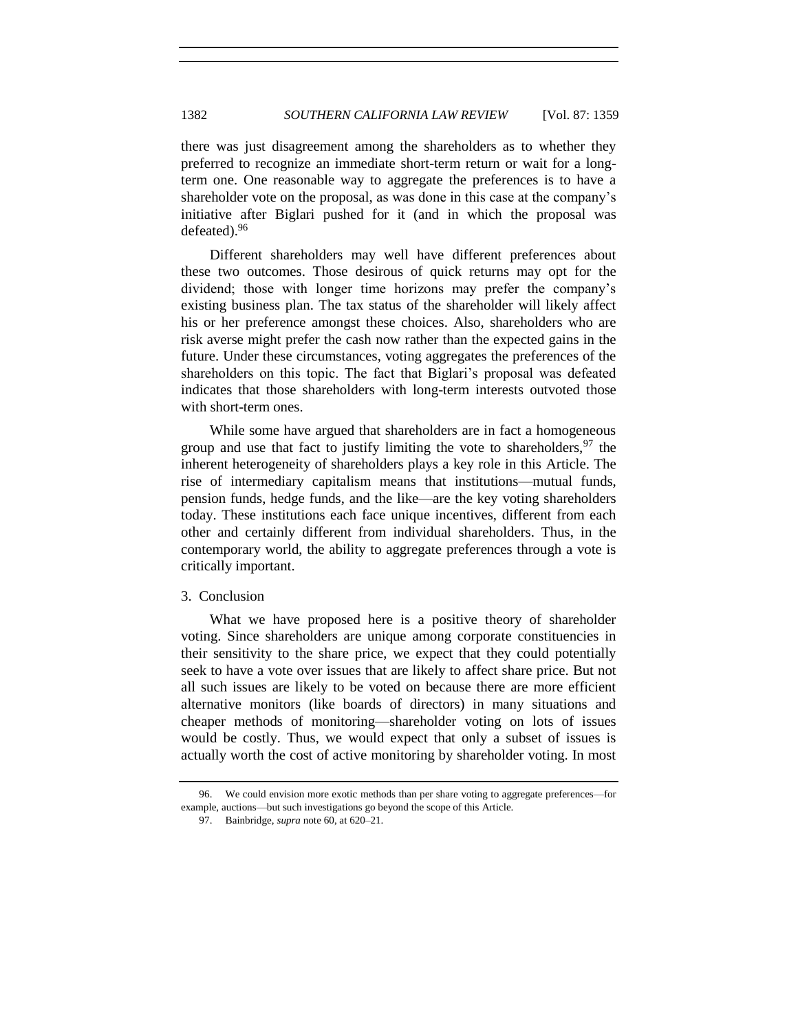there was just disagreement among the shareholders as to whether they preferred to recognize an immediate short-term return or wait for a longterm one. One reasonable way to aggregate the preferences is to have a shareholder vote on the proposal, as was done in this case at the company's initiative after Biglari pushed for it (and in which the proposal was defeated).<sup>96</sup>

Different shareholders may well have different preferences about these two outcomes. Those desirous of quick returns may opt for the dividend; those with longer time horizons may prefer the company's existing business plan. The tax status of the shareholder will likely affect his or her preference amongst these choices. Also, shareholders who are risk averse might prefer the cash now rather than the expected gains in the future. Under these circumstances, voting aggregates the preferences of the shareholders on this topic. The fact that Biglari's proposal was defeated indicates that those shareholders with long-term interests outvoted those with short-term ones.

While some have argued that shareholders are in fact a homogeneous group and use that fact to justify limiting the vote to shareholders,  $97$  the inherent heterogeneity of shareholders plays a key role in this Article. The rise of intermediary capitalism means that institutions—mutual funds, pension funds, hedge funds, and the like—are the key voting shareholders today. These institutions each face unique incentives, different from each other and certainly different from individual shareholders. Thus, in the contemporary world, the ability to aggregate preferences through a vote is critically important.

#### 3. Conclusion

What we have proposed here is a positive theory of shareholder voting. Since shareholders are unique among corporate constituencies in their sensitivity to the share price, we expect that they could potentially seek to have a vote over issues that are likely to affect share price. But not all such issues are likely to be voted on because there are more efficient alternative monitors (like boards of directors) in many situations and cheaper methods of monitoring—shareholder voting on lots of issues would be costly. Thus, we would expect that only a subset of issues is actually worth the cost of active monitoring by shareholder voting. In most

<sup>96.</sup> We could envision more exotic methods than per share voting to aggregate preferences—for example, auctions—but such investigations go beyond the scope of this Article.

<sup>97.</sup> Bainbridge, *supra* not[e 60,](#page-13-0) at 620–21.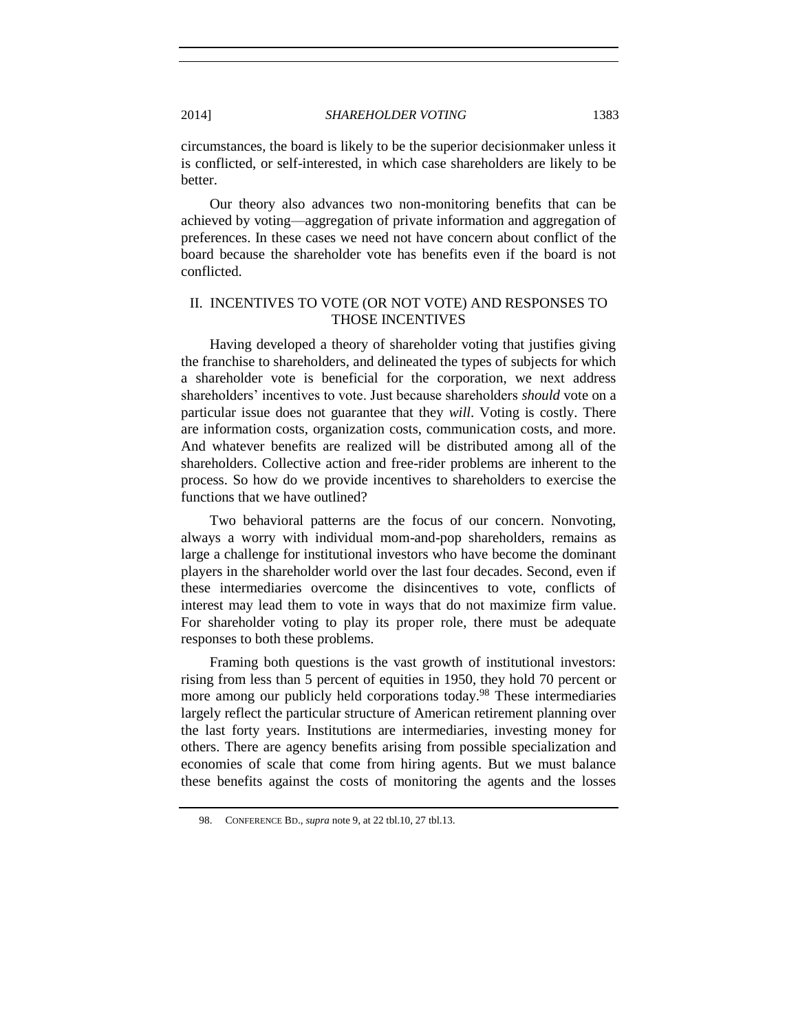circumstances, the board is likely to be the superior decisionmaker unless it is conflicted, or self-interested, in which case shareholders are likely to be better.

Our theory also advances two non-monitoring benefits that can be achieved by voting—aggregation of private information and aggregation of preferences. In these cases we need not have concern about conflict of the board because the shareholder vote has benefits even if the board is not conflicted.

#### II. INCENTIVES TO VOTE (OR NOT VOTE) AND RESPONSES TO THOSE INCENTIVES

Having developed a theory of shareholder voting that justifies giving the franchise to shareholders, and delineated the types of subjects for which a shareholder vote is beneficial for the corporation, we next address shareholders' incentives to vote. Just because shareholders *should* vote on a particular issue does not guarantee that they *will*. Voting is costly. There are information costs, organization costs, communication costs, and more. And whatever benefits are realized will be distributed among all of the shareholders. Collective action and free-rider problems are inherent to the process. So how do we provide incentives to shareholders to exercise the functions that we have outlined?

Two behavioral patterns are the focus of our concern. Nonvoting, always a worry with individual mom-and-pop shareholders, remains as large a challenge for institutional investors who have become the dominant players in the shareholder world over the last four decades. Second, even if these intermediaries overcome the disincentives to vote, conflicts of interest may lead them to vote in ways that do not maximize firm value. For shareholder voting to play its proper role, there must be adequate responses to both these problems.

Framing both questions is the vast growth of institutional investors: rising from less than 5 percent of equities in 1950, they hold 70 percent or more among our publicly held corporations today.<sup>98</sup> These intermediaries largely reflect the particular structure of American retirement planning over the last forty years. Institutions are intermediaries, investing money for others. There are agency benefits arising from possible specialization and economies of scale that come from hiring agents. But we must balance these benefits against the costs of monitoring the agents and the losses

<sup>98.</sup> CONFERENCE BD., *supra* not[e 9,](#page-2-1) at 22 tbl.10, 27 tbl.13.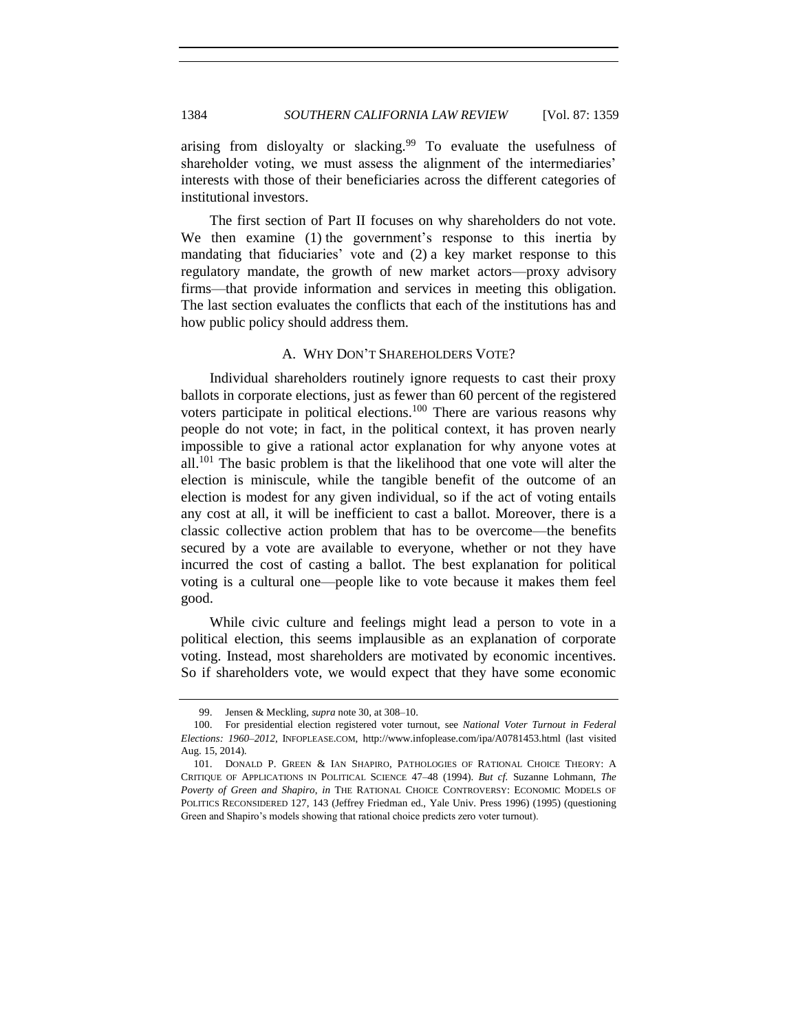arising from disloyalty or slacking.<sup>99</sup> To evaluate the usefulness of shareholder voting, we must assess the alignment of the intermediaries' interests with those of their beneficiaries across the different categories of institutional investors.

The first section of Part II focuses on why shareholders do not vote. We then examine (1) the government's response to this inertia by mandating that fiduciaries' vote and (2) a key market response to this regulatory mandate, the growth of new market actors—proxy advisory firms—that provide information and services in meeting this obligation. The last section evaluates the conflicts that each of the institutions has and how public policy should address them.

#### A. WHY DON'T SHAREHOLDERS VOTE?

Individual shareholders routinely ignore requests to cast their proxy ballots in corporate elections, just as fewer than 60 percent of the registered voters participate in political elections.<sup>100</sup> There are various reasons why people do not vote; in fact, in the political context, it has proven nearly impossible to give a rational actor explanation for why anyone votes at  $all.<sup>101</sup>$  The basic problem is that the likelihood that one vote will alter the election is miniscule, while the tangible benefit of the outcome of an election is modest for any given individual, so if the act of voting entails any cost at all, it will be inefficient to cast a ballot. Moreover, there is a classic collective action problem that has to be overcome—the benefits secured by a vote are available to everyone, whether or not they have incurred the cost of casting a ballot. The best explanation for political voting is a cultural one—people like to vote because it makes them feel good.

While civic culture and feelings might lead a person to vote in a political election, this seems implausible as an explanation of corporate voting. Instead, most shareholders are motivated by economic incentives. So if shareholders vote, we would expect that they have some economic

<sup>99.</sup> Jensen & Meckling, *supra* not[e 30,](#page-7-0) at 308–10.

<sup>100.</sup> For presidential election registered voter turnout, see *National Voter Turnout in Federal Elections: 1960–2012*, INFOPLEASE.COM, http://www.infoplease.com/ipa/A0781453.html (last visited Aug. 15, 2014).

<sup>101.</sup> DONALD P. GREEN & IAN SHAPIRO, PATHOLOGIES OF RATIONAL CHOICE THEORY: A CRITIQUE OF APPLICATIONS IN POLITICAL SCIENCE 47–48 (1994). *But cf.* Suzanne Lohmann, *The Poverty of Green and Shapiro*, *in* THE RATIONAL CHOICE CONTROVERSY: ECONOMIC MODELS OF POLITICS RECONSIDERED 127, 143 (Jeffrey Friedman ed., Yale Univ. Press 1996) (1995) (questioning Green and Shapiro's models showing that rational choice predicts zero voter turnout).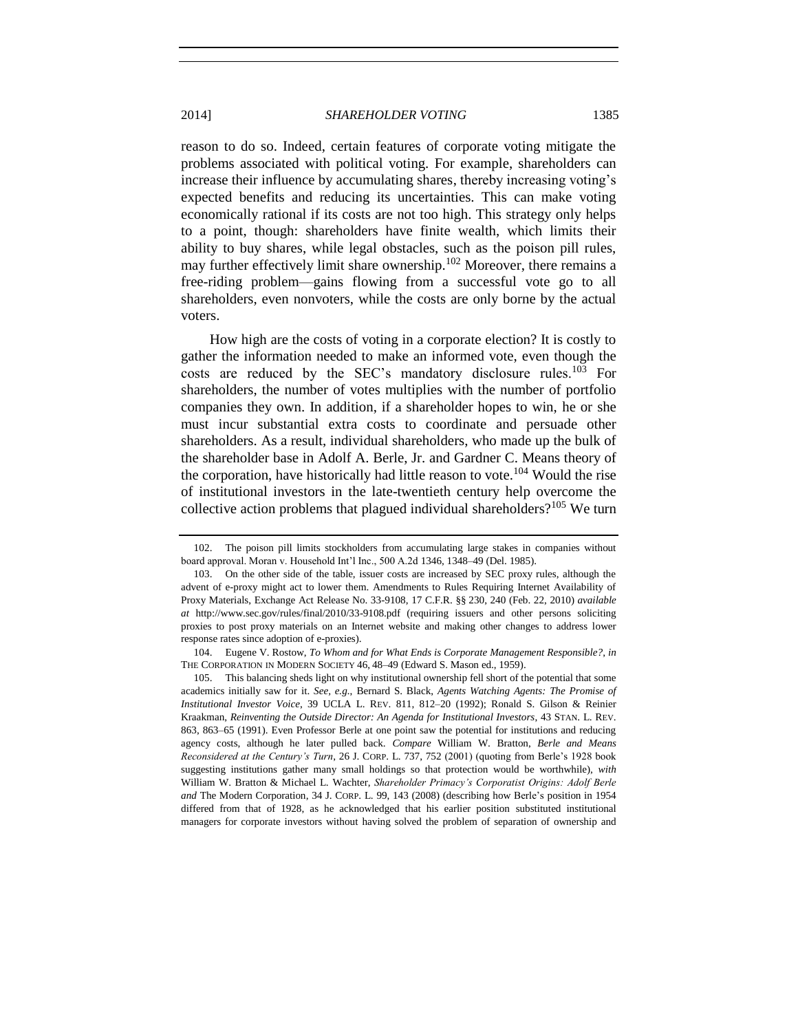reason to do so. Indeed, certain features of corporate voting mitigate the problems associated with political voting. For example, shareholders can increase their influence by accumulating shares, thereby increasing voting's expected benefits and reducing its uncertainties. This can make voting economically rational if its costs are not too high. This strategy only helps to a point, though: shareholders have finite wealth, which limits their ability to buy shares, while legal obstacles, such as the poison pill rules, may further effectively limit share ownership.<sup>102</sup> Moreover, there remains a free-riding problem—gains flowing from a successful vote go to all shareholders, even nonvoters, while the costs are only borne by the actual voters.

How high are the costs of voting in a corporate election? It is costly to gather the information needed to make an informed vote, even though the costs are reduced by the SEC's mandatory disclosure rules.<sup>103</sup> For shareholders, the number of votes multiplies with the number of portfolio companies they own. In addition, if a shareholder hopes to win, he or she must incur substantial extra costs to coordinate and persuade other shareholders. As a result, individual shareholders, who made up the bulk of the shareholder base in Adolf A. Berle, Jr. and Gardner C. Means theory of the corporation, have historically had little reason to vote.<sup>104</sup> Would the rise of institutional investors in the late-twentieth century help overcome the collective action problems that plagued individual shareholders?<sup>105</sup> We turn

<sup>102.</sup> The poison pill limits stockholders from accumulating large stakes in companies without board approval. Moran v. Household Int'l Inc., 500 A.2d 1346, 1348–49 (Del. 1985).

<sup>103.</sup> On the other side of the table, issuer costs are increased by SEC proxy rules, although the advent of e-proxy might act to lower them. Amendments to Rules Requiring Internet Availability of Proxy Materials, Exchange Act Release No. 33-9108, 17 C.F.R. §§ 230, 240 (Feb. 22, 2010) *available at* http://www.sec.gov/rules/final/2010/33-9108.pdf (requiring issuers and other persons soliciting proxies to post proxy materials on an Internet website and making other changes to address lower response rates since adoption of e-proxies).

<sup>104.</sup> Eugene V. Rostow, *To Whom and for What Ends is Corporate Management Responsible?*, *in* THE CORPORATION IN MODERN SOCIETY 46, 48–49 (Edward S. Mason ed., 1959).

<sup>105.</sup> This balancing sheds light on why institutional ownership fell short of the potential that some academics initially saw for it. *See, e.g.*, Bernard S. Black, *Agents Watching Agents: The Promise of Institutional Investor Voice*, 39 UCLA L. REV. 811, 812–20 (1992); Ronald S. Gilson & Reinier Kraakman, *Reinventing the Outside Director: An Agenda for Institutional Investors*, 43 STAN. L. REV. 863, 863–65 (1991). Even Professor Berle at one point saw the potential for institutions and reducing agency costs, although he later pulled back. *Compare* William W. Bratton, *Berle and Means Reconsidered at the Century's Turn*, 26 J. CORP. L. 737, 752 (2001) (quoting from Berle's 1928 book suggesting institutions gather many small holdings so that protection would be worthwhile), *with*  William W. Bratton & Michael L. Wachter, *Shareholder Primacy's Corporatist Origins: Adolf Berle and* The Modern Corporation, 34 J. CORP. L. 99, 143 (2008) (describing how Berle's position in 1954 differed from that of 1928, as he acknowledged that his earlier position substituted institutional managers for corporate investors without having solved the problem of separation of ownership and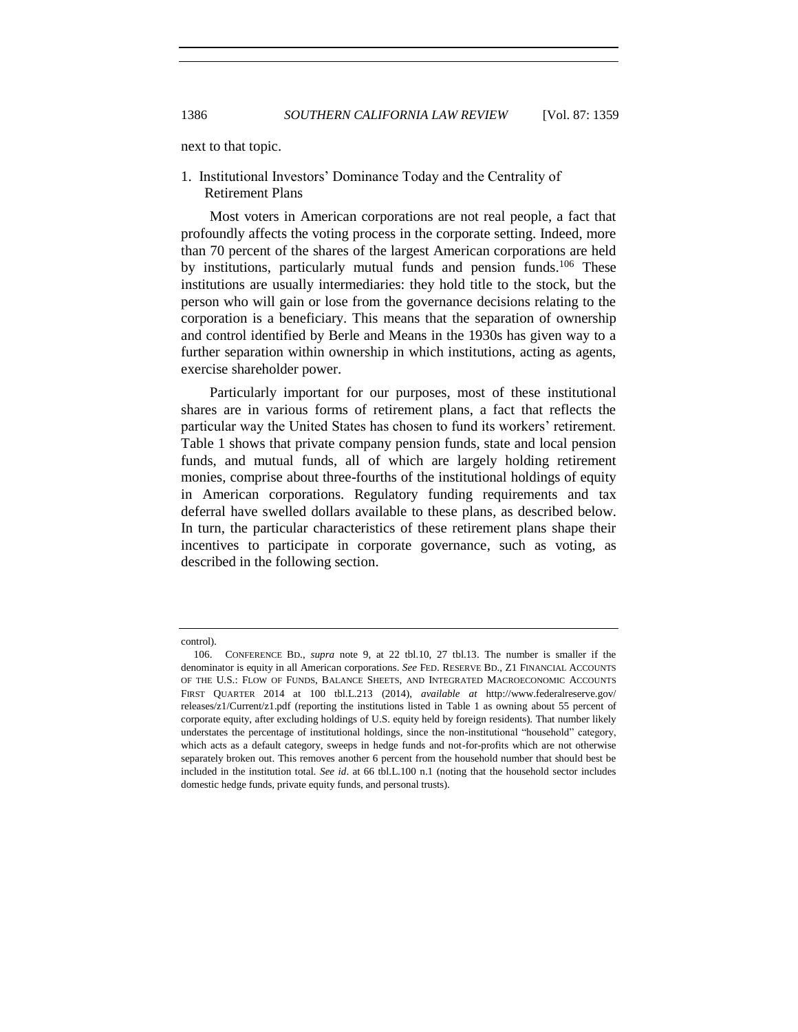<span id="page-27-0"></span>

next to that topic.

1. Institutional Investors' Dominance Today and the Centrality of Retirement Plans

Most voters in American corporations are not real people, a fact that profoundly affects the voting process in the corporate setting. Indeed, more than 70 percent of the shares of the largest American corporations are held by institutions, particularly mutual funds and pension funds.<sup>106</sup> These institutions are usually intermediaries: they hold title to the stock, but the person who will gain or lose from the governance decisions relating to the corporation is a beneficiary. This means that the separation of ownership and control identified by Berle and Means in the 1930s has given way to a further separation within ownership in which institutions, acting as agents, exercise shareholder power.

Particularly important for our purposes, most of these institutional shares are in various forms of retirement plans, a fact that reflects the particular way the United States has chosen to fund its workers' retirement. Table 1 shows that private company pension funds, state and local pension funds, and mutual funds, all of which are largely holding retirement monies, comprise about three-fourths of the institutional holdings of equity in American corporations. Regulatory funding requirements and tax deferral have swelled dollars available to these plans, as described below. In turn, the particular characteristics of these retirement plans shape their incentives to participate in corporate governance, such as voting, as described in the following section.

control).

<sup>106.</sup> CONFERENCE BD., *supra* note [9,](#page-2-1) at 22 tbl.10, 27 tbl.13. The number is smaller if the denominator is equity in all American corporations. *See* FED. RESERVE BD., Z1 FINANCIAL ACCOUNTS OF THE U.S.: FLOW OF FUNDS, BALANCE SHEETS, AND INTEGRATED MACROECONOMIC ACCOUNTS FIRST QUARTER 2014 at 100 tbl.L.213 (2014), *available at* http://www.federalreserve.gov/ releases/z1/Current/z1.pdf (reporting the institutions listed in Table 1 as owning about 55 percent of corporate equity, after excluding holdings of U.S. equity held by foreign residents). That number likely understates the percentage of institutional holdings, since the non-institutional "household" category, which acts as a default category, sweeps in hedge funds and not-for-profits which are not otherwise separately broken out. This removes another 6 percent from the household number that should best be included in the institution total. *See id*. at 66 tbl.L.100 n.1 (noting that the household sector includes domestic hedge funds, private equity funds, and personal trusts).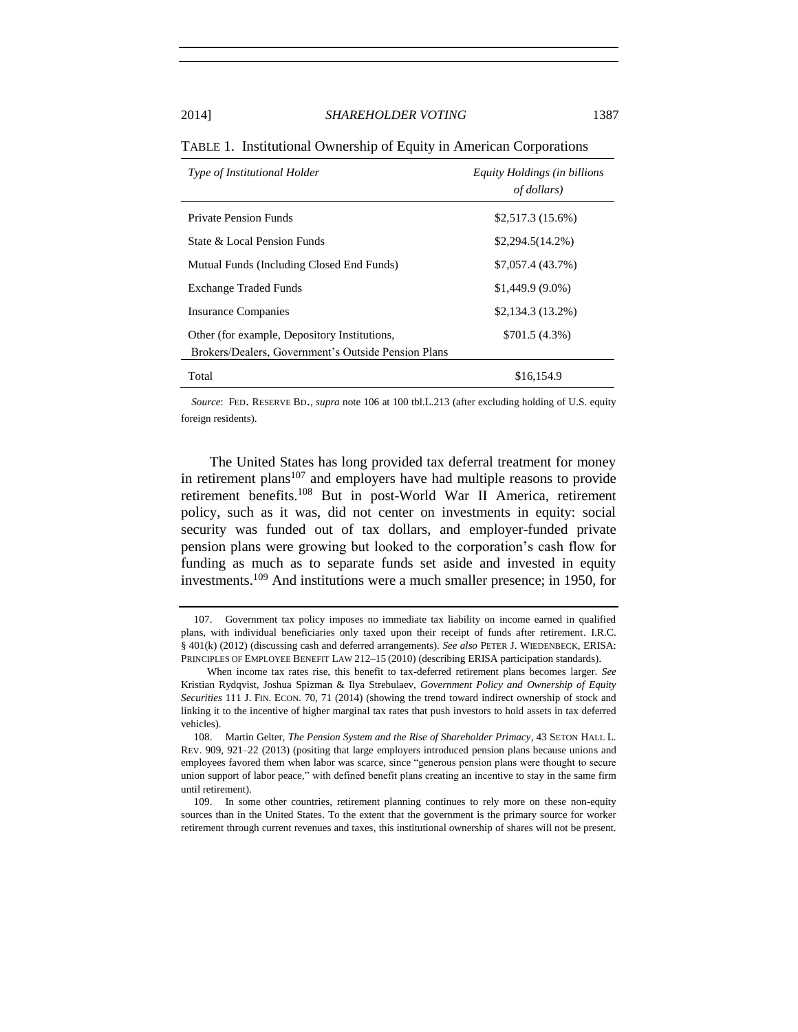| Type of Institutional Holder                                                                        | Equity Holdings (in billions<br><i>of dollars</i> ) |
|-----------------------------------------------------------------------------------------------------|-----------------------------------------------------|
| <b>Private Pension Funds</b>                                                                        | \$2,517.3(15.6%)                                    |
| State & Local Pension Funds                                                                         | $$2,294.5(14.2\%)$                                  |
| Mutual Funds (Including Closed End Funds)                                                           | \$7,057.4 (43.7%)                                   |
| <b>Exchange Traded Funds</b>                                                                        | $$1,449.9(9.0\%)$                                   |
| <b>Insurance Companies</b>                                                                          | $$2,134.3(13.2\%)$                                  |
| Other (for example, Depository Institutions,<br>Brokers/Dealers, Government's Outside Pension Plans | \$701.5(4.3%)                                       |
| Total                                                                                               | \$16,154.9                                          |

TABLE 1. Institutional Ownership of Equity in American Corporations

 *Source*: FED. RESERVE BD., *supra* note [106](#page-27-0) at 100 tbl.L.213 (after excluding holding of U.S. equity foreign residents).

<span id="page-28-0"></span>The United States has long provided tax deferral treatment for money in retirement plans $107$  and employers have had multiple reasons to provide retirement benefits.<sup>108</sup> But in post-World War II America, retirement policy, such as it was, did not center on investments in equity: social security was funded out of tax dollars, and employer-funded private pension plans were growing but looked to the corporation's cash flow for funding as much as to separate funds set aside and invested in equity investments.<sup>109</sup> And institutions were a much smaller presence; in 1950, for

<sup>107.</sup> Government tax policy imposes no immediate tax liability on income earned in qualified plans, with individual beneficiaries only taxed upon their receipt of funds after retirement. I.R.C. § 401(k) (2012) (discussing cash and deferred arrangements). *See also* PETER J. WIEDENBECK, ERISA: PRINCIPLES OF EMPLOYEE BENEFIT LAW 212–15 (2010) (describing ERISA participation standards).

When income tax rates rise, this benefit to tax-deferred retirement plans becomes larger. *See* Kristian Rydqvist, Joshua Spizman & Ilya Strebulaev, *Government Policy and Ownership of Equity Securities* 111 J. FIN. ECON. 70, 71 (2014) (showing the trend toward indirect ownership of stock and linking it to the incentive of higher marginal tax rates that push investors to hold assets in tax deferred vehicles).

<sup>108.</sup> Martin Gelter, *The Pension System and the Rise of Shareholder Primacy*, 43 SETON HALL L. REV. 909, 921–22 (2013) (positing that large employers introduced pension plans because unions and employees favored them when labor was scarce, since "generous pension plans were thought to secure union support of labor peace," with defined benefit plans creating an incentive to stay in the same firm until retirement).

<sup>109.</sup> In some other countries, retirement planning continues to rely more on these non-equity sources than in the United States. To the extent that the government is the primary source for worker retirement through current revenues and taxes, this institutional ownership of shares will not be present.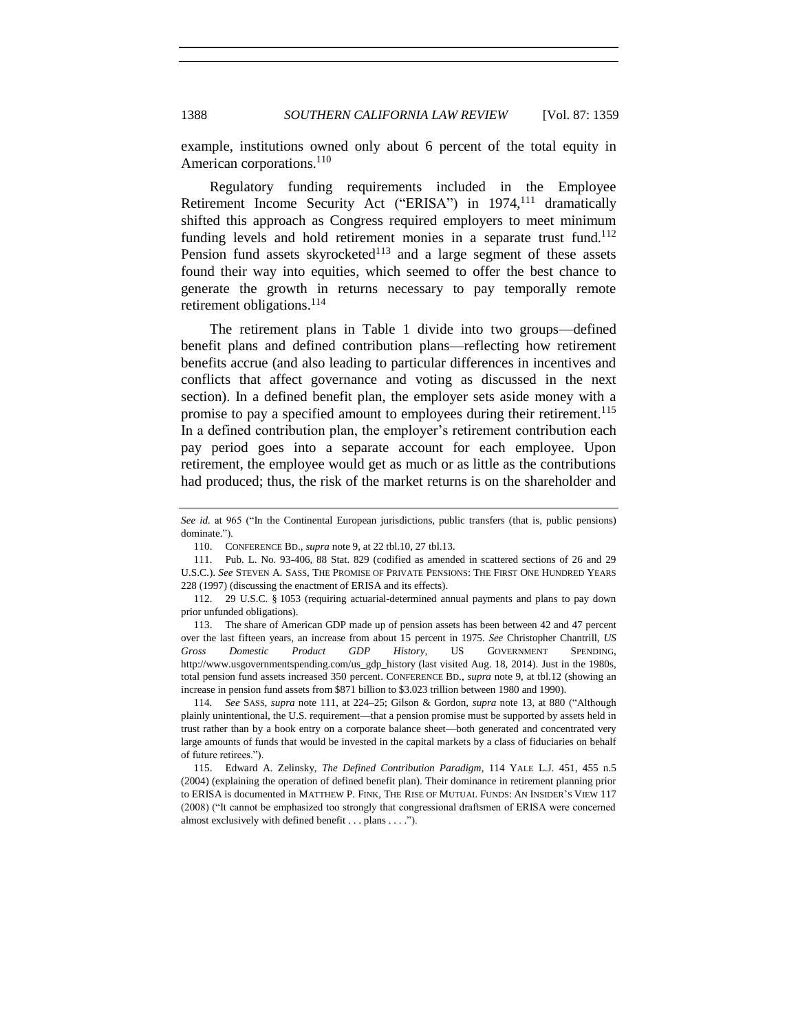example, institutions owned only about 6 percent of the total equity in American corporations.<sup>110</sup>

<span id="page-29-0"></span>Regulatory funding requirements included in the Employee Retirement Income Security Act ("ERISA") in 1974,<sup>111</sup> dramatically shifted this approach as Congress required employers to meet minimum funding levels and hold retirement monies in a separate trust fund.<sup>112</sup> Pension fund assets skyrocketed $113$  and a large segment of these assets found their way into equities, which seemed to offer the best chance to generate the growth in returns necessary to pay temporally remote retirement obligations.<sup>114</sup>

<span id="page-29-1"></span>The retirement plans in Table 1 divide into two groups—defined benefit plans and defined contribution plans—reflecting how retirement benefits accrue (and also leading to particular differences in incentives and conflicts that affect governance and voting as discussed in the next section). In a defined benefit plan, the employer sets aside money with a promise to pay a specified amount to employees during their retirement.<sup>115</sup> In a defined contribution plan, the employer's retirement contribution each pay period goes into a separate account for each employee. Upon retirement, the employee would get as much or as little as the contributions had produced; thus, the risk of the market returns is on the shareholder and

*See id.* at 965 ("In the Continental European jurisdictions, public transfers (that is, public pensions) dominate.").

<sup>110.</sup> CONFERENCE BD., *supra* not[e 9,](#page-2-1) at 22 tbl.10, 27 tbl.13.

<sup>111.</sup> Pub. L. No. 93-406, 88 Stat. 829 (codified as amended in scattered sections of 26 and 29 U.S.C.). *See* STEVEN A. SASS, THE PROMISE OF PRIVATE PENSIONS: THE FIRST ONE HUNDRED YEARS 228 (1997) (discussing the enactment of ERISA and its effects).

<sup>112.</sup> 29 U.S.C. § 1053 (requiring actuarial-determined annual payments and plans to pay down prior unfunded obligations).

<sup>113.</sup> The share of American GDP made up of pension assets has been between 42 and 47 percent over the last fifteen years, an increase from about 15 percent in 1975. *See* Christopher Chantrill, *US Gross Domestic Product GDP History*, US GOVERNMENT SPENDING, http://www.usgovernmentspending.com/us\_gdp\_history (last visited Aug. 18, 2014). Just in the 1980s, total pension fund assets increased 350 percent. CONFERENCE BD., *supra* not[e 9,](#page-2-1) at tbl.12 (showing an increase in pension fund assets from \$871 billion to \$3.023 trillion between 1980 and 1990).

<sup>114</sup>*. See* SASS, *supra* note [111,](#page-29-0) at 224–25; Gilson & Gordon, *supra* note [13,](#page-2-0) at 880 ("Although plainly unintentional, the U.S. requirement—that a pension promise must be supported by assets held in trust rather than by a book entry on a corporate balance sheet—both generated and concentrated very large amounts of funds that would be invested in the capital markets by a class of fiduciaries on behalf of future retirees.").

<sup>115.</sup> Edward A. Zelinsky, *The Defined Contribution Paradigm*, 114 YALE L.J. 451, 455 n.5 (2004) (explaining the operation of defined benefit plan). Their dominance in retirement planning prior to ERISA is documented in MATTHEW P. FINK, THE RISE OF MUTUAL FUNDS: AN INSIDER'S VIEW 117 (2008) ("It cannot be emphasized too strongly that congressional draftsmen of ERISA were concerned almost exclusively with defined benefit . . . plans . . . .").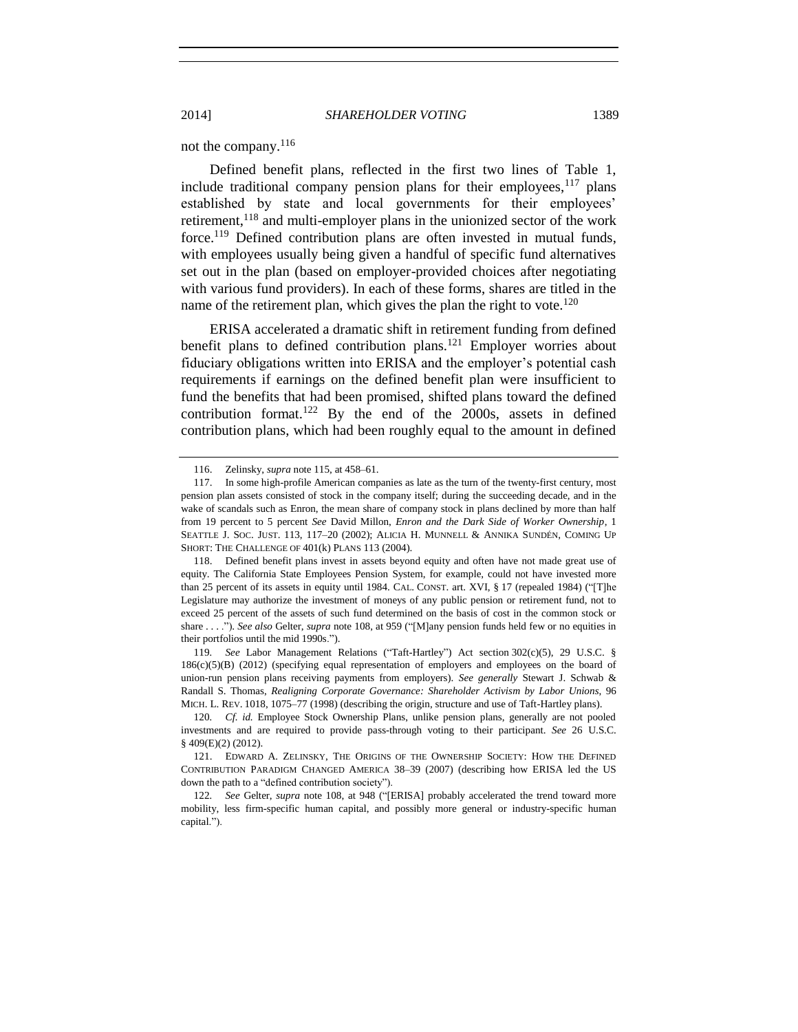### not the company.<sup>116</sup>

Defined benefit plans, reflected in the first two lines of Table 1, include traditional company pension plans for their employees,  $117$  plans established by state and local governments for their employees' retirement,<sup>118</sup> and multi-employer plans in the unionized sector of the work force.<sup>119</sup> Defined contribution plans are often invested in mutual funds, with employees usually being given a handful of specific fund alternatives set out in the plan (based on employer-provided choices after negotiating with various fund providers). In each of these forms, shares are titled in the name of the retirement plan, which gives the plan the right to vote.<sup>120</sup>

ERISA accelerated a dramatic shift in retirement funding from defined benefit plans to defined contribution plans.<sup>121</sup> Employer worries about fiduciary obligations written into ERISA and the employer's potential cash requirements if earnings on the defined benefit plan were insufficient to fund the benefits that had been promised, shifted plans toward the defined contribution format.<sup>122</sup> By the end of the 2000s, assets in defined contribution plans, which had been roughly equal to the amount in defined

<sup>116.</sup> Zelinsky, *supra* note [115,](#page-29-1) at 458–61.

<sup>117.</sup> In some high-profile American companies as late as the turn of the twenty-first century, most pension plan assets consisted of stock in the company itself; during the succeeding decade, and in the wake of scandals such as Enron, the mean share of company stock in plans declined by more than half from 19 percent to 5 percent *See* David Millon, *Enron and the Dark Side of Worker Ownership*, 1 SEATTLE J. SOC. JUST. 113, 117–20 (2002); ALICIA H. MUNNELL & ANNIKA SUNDÉN, COMING UP SHORT: THE CHALLENGE OF 401(k) PLANS 113 (2004).

<sup>118.</sup> Defined benefit plans invest in assets beyond equity and often have not made great use of equity. The California State Employees Pension System, for example, could not have invested more than 25 percent of its assets in equity until 1984. CAL. CONST. art. XVI, § 17 (repealed 1984) ("[T]he Legislature may authorize the investment of moneys of any public pension or retirement fund, not to exceed 25 percent of the assets of such fund determined on the basis of cost in the common stock or share . . . ."). *See also* Gelter, *supra* note [108,](#page-28-0) at 959 ("[M]any pension funds held few or no equities in their portfolios until the mid 1990s.").

<sup>119</sup>*. See* Labor Management Relations ("Taft-Hartley") Act section 302(c)(5), 29 U.S.C. § 186(c)(5)(B) (2012) (specifying equal representation of employers and employees on the board of union-run pension plans receiving payments from employers). *See generally* Stewart J. Schwab & Randall S. Thomas, *Realigning Corporate Governance: Shareholder Activism by Labor Unions*, 96 MICH. L. REV. 1018, 1075–77 (1998) (describing the origin, structure and use of Taft-Hartley plans).

<sup>120</sup>*. Cf. id.* Employee Stock Ownership Plans, unlike pension plans, generally are not pooled investments and are required to provide pass-through voting to their participant. *See* 26 U.S.C. § 409(E)(2) (2012).

<sup>121.</sup> EDWARD A. ZELINSKY, THE ORIGINS OF THE OWNERSHIP SOCIETY: HOW THE DEFINED CONTRIBUTION PARADIGM CHANGED AMERICA 38–39 (2007) (describing how ERISA led the US down the path to a "defined contribution society").

<sup>122</sup>*. See* Gelter, *supra* note [108,](#page-28-0) at 948 ("[ERISA] probably accelerated the trend toward more mobility, less firm-specific human capital, and possibly more general or industry-specific human capital.").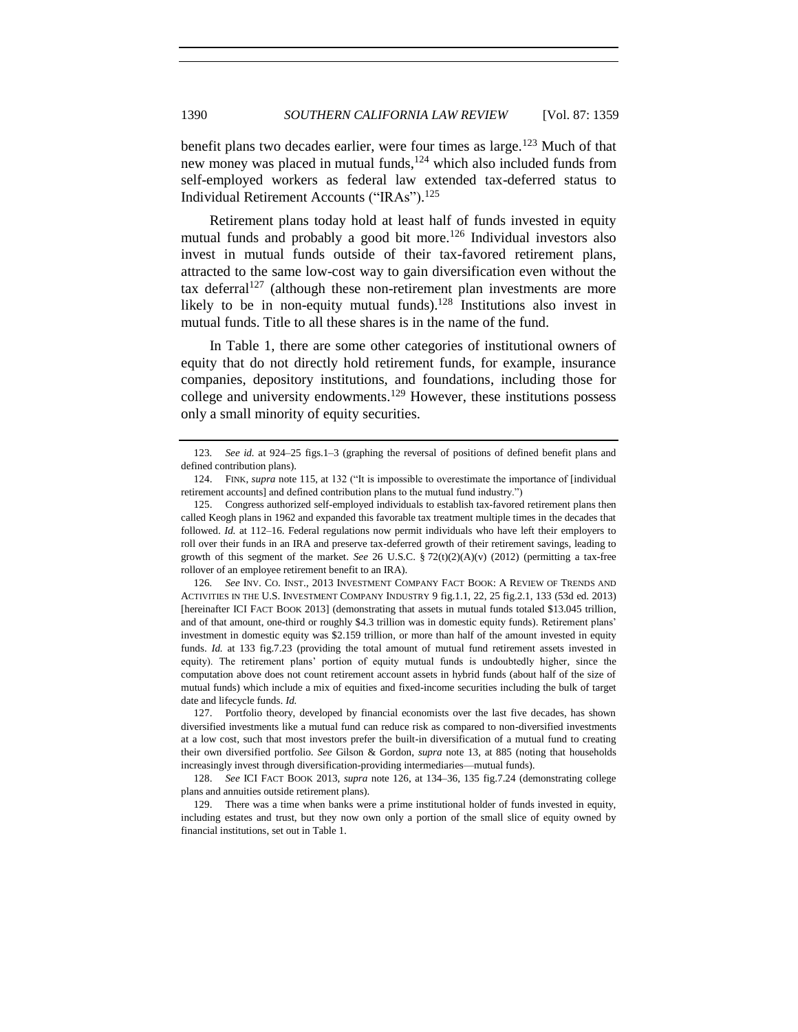benefit plans two decades earlier, were four times as large.<sup>123</sup> Much of that new money was placed in mutual funds, $124$  which also included funds from self-employed workers as federal law extended tax-deferred status to Individual Retirement Accounts ("IRAs"). 125

<span id="page-31-0"></span>Retirement plans today hold at least half of funds invested in equity mutual funds and probably a good bit more.<sup>126</sup> Individual investors also invest in mutual funds outside of their tax-favored retirement plans, attracted to the same low-cost way to gain diversification even without the tax deferral<sup>127</sup> (although these non-retirement plan investments are more likely to be in non-equity mutual funds).<sup>128</sup> Institutions also invest in mutual funds. Title to all these shares is in the name of the fund.

In Table 1, there are some other categories of institutional owners of equity that do not directly hold retirement funds, for example, insurance companies, depository institutions, and foundations, including those for college and university endowments.<sup>129</sup> However, these institutions possess only a small minority of equity securities.

<sup>123</sup>*. See id.* at 924–25 figs.1–3 (graphing the reversal of positions of defined benefit plans and defined contribution plans).

<sup>124.</sup> FINK, *supra* note [115,](#page-29-1) at 132 ("It is impossible to overestimate the importance of [individual retirement accounts] and defined contribution plans to the mutual fund industry.")

<sup>125.</sup> Congress authorized self-employed individuals to establish tax-favored retirement plans then called Keogh plans in 1962 and expanded this favorable tax treatment multiple times in the decades that followed. *Id.* at 112–16. Federal regulations now permit individuals who have left their employers to roll over their funds in an IRA and preserve tax-deferred growth of their retirement savings, leading to growth of this segment of the market. *See* 26 U.S.C. § 72(t)(2)(A)(v) (2012) (permitting a tax-free rollover of an employee retirement benefit to an IRA).

<sup>126</sup>*. See* INV. CO. INST., 2013 INVESTMENT COMPANY FACT BOOK: A REVIEW OF TRENDS AND ACTIVITIES IN THE U.S. INVESTMENT COMPANY INDUSTRY 9 fig.1.1, 22, 25 fig.2.1, 133 (53d ed. 2013) [hereinafter ICI FACT BOOK 2013] (demonstrating that assets in mutual funds totaled \$13.045 trillion, and of that amount, one-third or roughly \$4.3 trillion was in domestic equity funds). Retirement plans' investment in domestic equity was \$2.159 trillion, or more than half of the amount invested in equity funds. *Id.* at 133 fig.7.23 (providing the total amount of mutual fund retirement assets invested in equity). The retirement plans' portion of equity mutual funds is undoubtedly higher, since the computation above does not count retirement account assets in hybrid funds (about half of the size of mutual funds) which include a mix of equities and fixed-income securities including the bulk of target date and lifecycle funds. *Id.*

<sup>127.</sup> Portfolio theory, developed by financial economists over the last five decades, has shown diversified investments like a mutual fund can reduce risk as compared to non-diversified investments at a low cost, such that most investors prefer the built-in diversification of a mutual fund to creating their own diversified portfolio. *See* Gilson & Gordon, *supra* note [13,](#page-2-0) at 885 (noting that households increasingly invest through diversification-providing intermediaries—mutual funds).

<sup>128.</sup> *See* ICI FACT BOOK 2013, *supra* note [126,](#page-31-0) at 134–36, 135 fig.7.24 (demonstrating college plans and annuities outside retirement plans).

<sup>129.</sup> There was a time when banks were a prime institutional holder of funds invested in equity, including estates and trust, but they now own only a portion of the small slice of equity owned by financial institutions, set out in Table 1.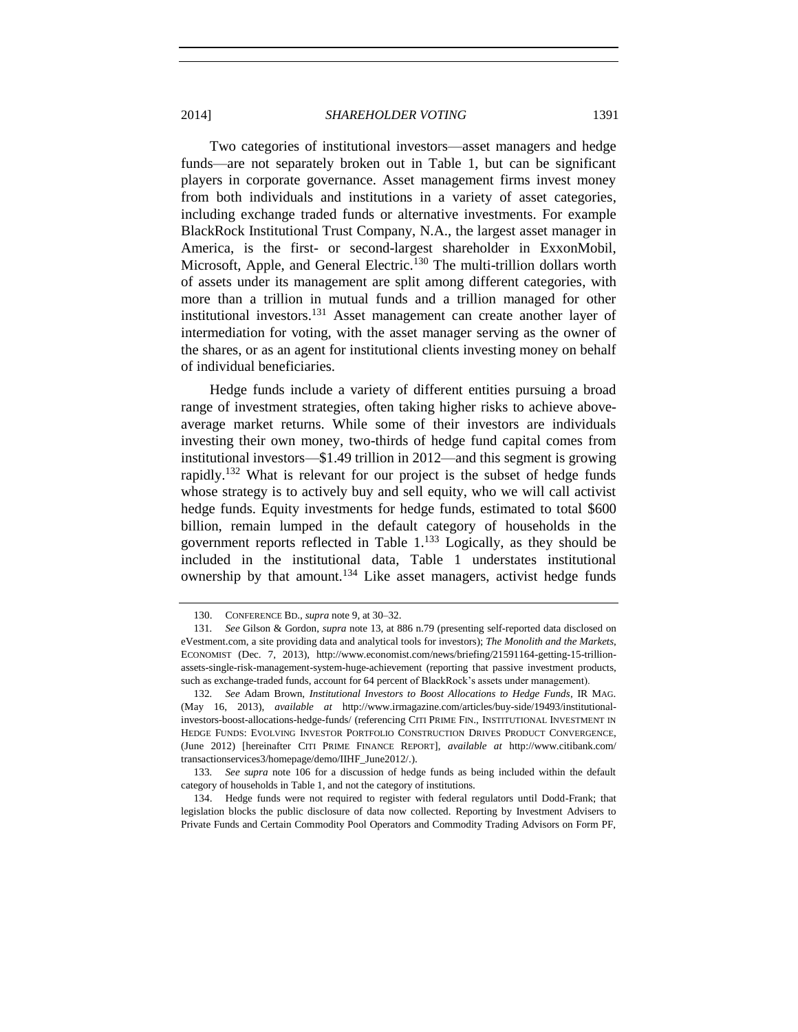Two categories of institutional investors—asset managers and hedge funds—are not separately broken out in Table 1, but can be significant players in corporate governance. Asset management firms invest money from both individuals and institutions in a variety of asset categories, including exchange traded funds or alternative investments. For example BlackRock Institutional Trust Company, N.A., the largest asset manager in America, is the first- or second-largest shareholder in ExxonMobil, Microsoft, Apple, and General Electric.<sup>130</sup> The multi-trillion dollars worth of assets under its management are split among different categories, with more than a trillion in mutual funds and a trillion managed for other institutional investors.<sup>131</sup> Asset management can create another layer of intermediation for voting, with the asset manager serving as the owner of the shares, or as an agent for institutional clients investing money on behalf

Hedge funds include a variety of different entities pursuing a broad range of investment strategies, often taking higher risks to achieve aboveaverage market returns. While some of their investors are individuals investing their own money, two-thirds of hedge fund capital comes from institutional investors—\$1.49 trillion in 2012—and this segment is growing rapidly.<sup>132</sup> What is relevant for our project is the subset of hedge funds whose strategy is to actively buy and sell equity, who we will call activist hedge funds. Equity investments for hedge funds, estimated to total \$600 billion, remain lumped in the default category of households in the government reports reflected in Table 1.<sup>133</sup> Logically, as they should be included in the institutional data, Table 1 understates institutional ownership by that amount.<sup>134</sup> Like asset managers, activist hedge funds

of individual beneficiaries.

<sup>130.</sup> CONFERENCE BD., *supra* not[e 9,](#page-2-1) at 30–32.

<sup>131</sup>*. See* Gilson & Gordon, *supra* not[e 13,](#page-2-0) at 886 n.79 (presenting self-reported data disclosed on eVestment.com, a site providing data and analytical tools for investors); *The Monolith and the Markets*, ECONOMIST (Dec. 7, 2013), http://www.economist.com/news/briefing/21591164-getting-15-trillionassets-single-risk-management-system-huge-achievement (reporting that passive investment products, such as exchange-traded funds, account for 64 percent of BlackRock's assets under management).

<sup>132</sup>*. See* Adam Brown, *Institutional Investors to Boost Allocations to Hedge Funds*, IR MAG. (May 16, 2013), *available at* http://www.irmagazine.com/articles/buy-side/19493/institutionalinvestors-boost-allocations-hedge-funds/ (referencing CITI PRIME FIN., INSTITUTIONAL INVESTMENT IN HEDGE FUNDS: EVOLVING INVESTOR PORTFOLIO CONSTRUCTION DRIVES PRODUCT CONVERGENCE, (June 2012) [hereinafter CITI PRIME FINANCE REPORT], *available at* http://www.citibank.com/ transactionservices3/homepage/demo/IIHF\_June2012/.).

<sup>133</sup>*. See supra* note [106](#page-27-0) for a discussion of hedge funds as being included within the default category of households in Table 1, and not the category of institutions.

<sup>134.</sup> Hedge funds were not required to register with federal regulators until Dodd-Frank; that legislation blocks the public disclosure of data now collected. Reporting by Investment Advisers to Private Funds and Certain Commodity Pool Operators and Commodity Trading Advisors on Form PF,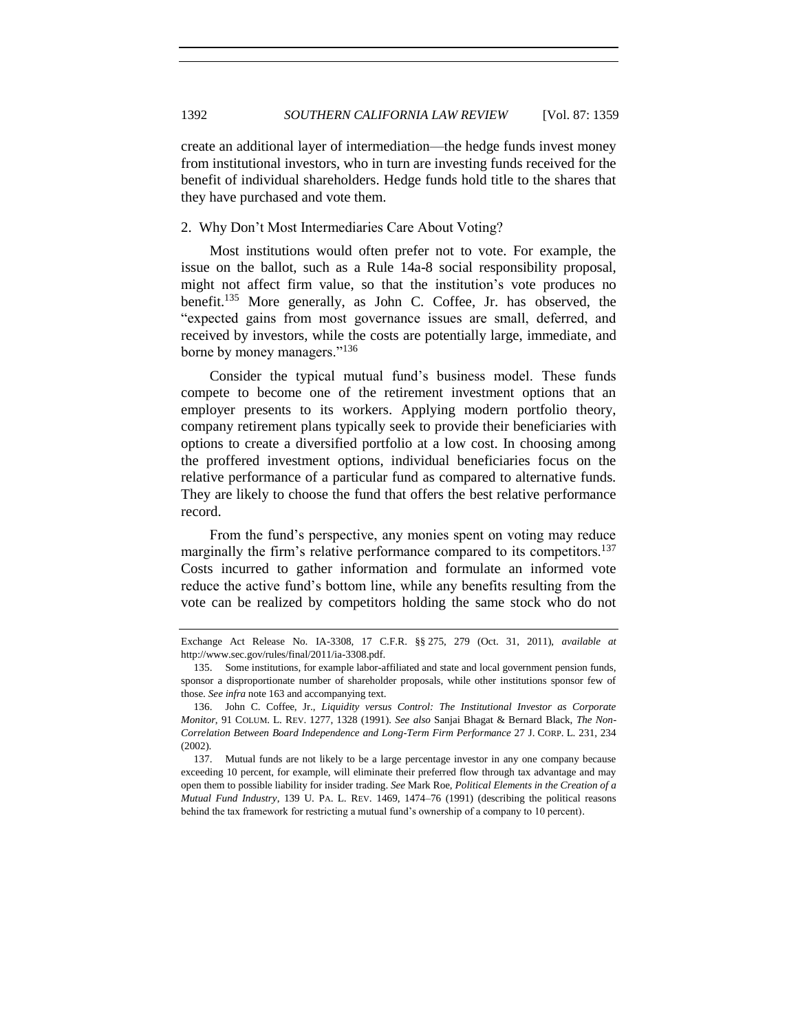create an additional layer of intermediation—the hedge funds invest money from institutional investors, who in turn are investing funds received for the benefit of individual shareholders. Hedge funds hold title to the shares that they have purchased and vote them.

#### 2. Why Don't Most Intermediaries Care About Voting?

Most institutions would often prefer not to vote. For example, the issue on the ballot, such as a Rule 14a-8 social responsibility proposal, might not affect firm value, so that the institution's vote produces no benefit.<sup>135</sup> More generally, as John C. Coffee, Jr. has observed, the "expected gains from most governance issues are small, deferred, and received by investors, while the costs are potentially large, immediate, and borne by money managers."<sup>136</sup>

Consider the typical mutual fund's business model. These funds compete to become one of the retirement investment options that an employer presents to its workers. Applying modern portfolio theory, company retirement plans typically seek to provide their beneficiaries with options to create a diversified portfolio at a low cost. In choosing among the proffered investment options, individual beneficiaries focus on the relative performance of a particular fund as compared to alternative funds. They are likely to choose the fund that offers the best relative performance record.

From the fund's perspective, any monies spent on voting may reduce marginally the firm's relative performance compared to its competitors.<sup>137</sup> Costs incurred to gather information and formulate an informed vote reduce the active fund's bottom line, while any benefits resulting from the vote can be realized by competitors holding the same stock who do not

Exchange Act Release No. IA-3308, 17 C.F.R. §§ 275, 279 (Oct. 31, 2011), *available at* http://www.sec.gov/rules/final/2011/ia-3308.pdf.

<sup>135.</sup> Some institutions, for example labor-affiliated and state and local government pension funds, sponsor a disproportionate number of shareholder proposals, while other institutions sponsor few of those. *See infra* not[e 163](#page-38-0) and accompanying text.

<sup>136.</sup> John C. Coffee, Jr., *Liquidity versus Control: The Institutional Investor as Corporate Monitor*, 91 COLUM. L. REV. 1277, 1328 (1991)*. See also* Sanjai Bhagat & Bernard Black, *The Non-Correlation Between Board Independence and Long-Term Firm Performance* 27 J. CORP. L. 231, 234 (2002).

<sup>137.</sup> Mutual funds are not likely to be a large percentage investor in any one company because exceeding 10 percent, for example, will eliminate their preferred flow through tax advantage and may open them to possible liability for insider trading. *See* Mark Roe, *Political Elements in the Creation of a Mutual Fund Industry*, 139 U. PA. L. REV. 1469, 1474–76 (1991) (describing the political reasons behind the tax framework for restricting a mutual fund's ownership of a company to 10 percent).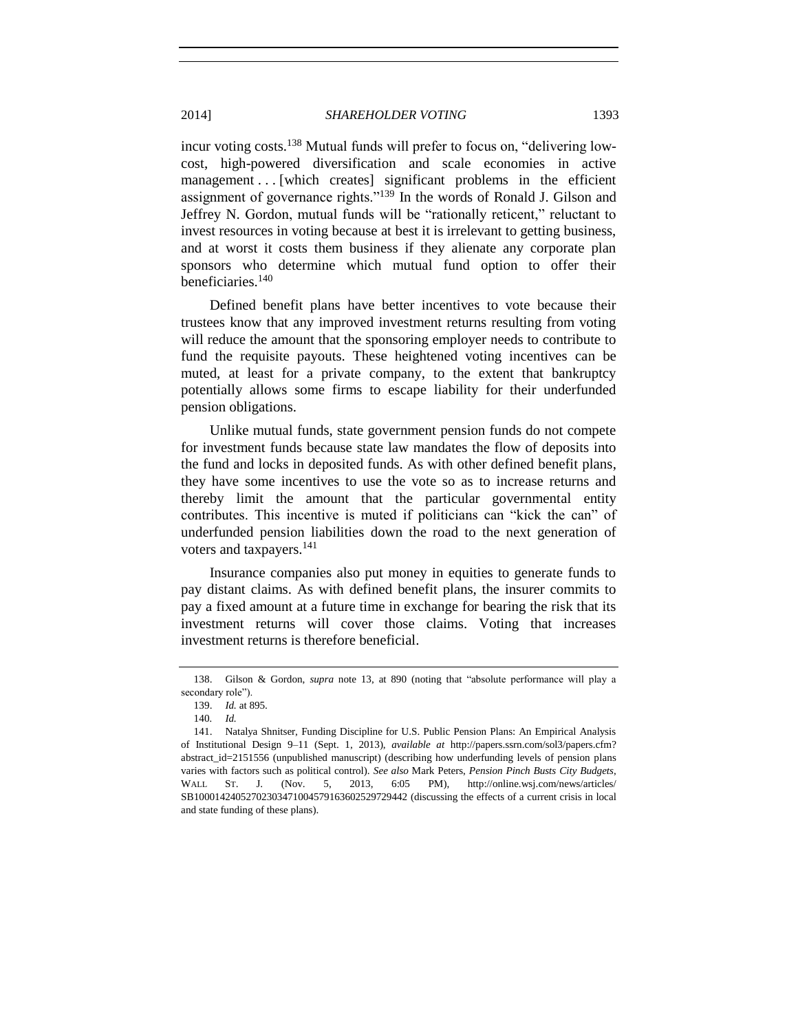incur voting costs.<sup>138</sup> Mutual funds will prefer to focus on, "delivering lowcost, high-powered diversification and scale economies in active management . . . [which creates] significant problems in the efficient assignment of governance rights."<sup>139</sup> In the words of Ronald J. Gilson and Jeffrey N. Gordon, mutual funds will be "rationally reticent," reluctant to invest resources in voting because at best it is irrelevant to getting business, and at worst it costs them business if they alienate any corporate plan sponsors who determine which mutual fund option to offer their beneficiaries.<sup>140</sup>

Defined benefit plans have better incentives to vote because their trustees know that any improved investment returns resulting from voting will reduce the amount that the sponsoring employer needs to contribute to fund the requisite payouts. These heightened voting incentives can be muted, at least for a private company, to the extent that bankruptcy potentially allows some firms to escape liability for their underfunded pension obligations.

Unlike mutual funds, state government pension funds do not compete for investment funds because state law mandates the flow of deposits into the fund and locks in deposited funds. As with other defined benefit plans, they have some incentives to use the vote so as to increase returns and thereby limit the amount that the particular governmental entity contributes. This incentive is muted if politicians can "kick the can" of underfunded pension liabilities down the road to the next generation of voters and taxpayers.<sup>141</sup>

Insurance companies also put money in equities to generate funds to pay distant claims. As with defined benefit plans, the insurer commits to pay a fixed amount at a future time in exchange for bearing the risk that its investment returns will cover those claims. Voting that increases investment returns is therefore beneficial.

<sup>138.</sup> Gilson & Gordon, *supra* note [13,](#page-2-0) at 890 (noting that "absolute performance will play a secondary role").

<sup>139.</sup> *Id.* at 895.

<sup>140</sup>*. Id.*

<sup>141.</sup> Natalya Shnitser, Funding Discipline for U.S. Public Pension Plans: An Empirical Analysis of Institutional Design 9–11 (Sept. 1, 2013), *available at* http://papers.ssrn.com/sol3/papers.cfm? abstract\_id=2151556 (unpublished manuscript) (describing how underfunding levels of pension plans varies with factors such as political control). *See also* Mark Peters, *Pension Pinch Busts City Budgets*, WALL ST. J. (Nov. 5, 2013, 6:05 PM), http://online.wsj.com/news/articles/ SB10001424052702303471004579163602529729442 (discussing the effects of a current crisis in local and state funding of these plans).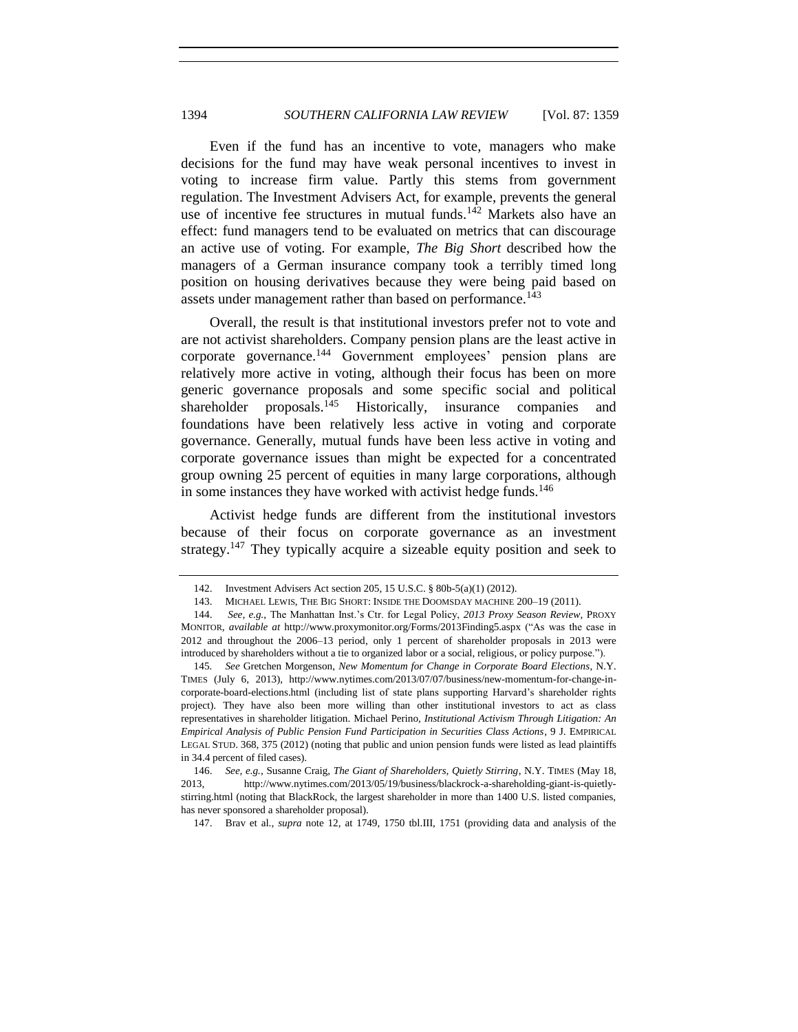Even if the fund has an incentive to vote, managers who make decisions for the fund may have weak personal incentives to invest in voting to increase firm value. Partly this stems from government regulation. The Investment Advisers Act, for example, prevents the general use of incentive fee structures in mutual funds.<sup>142</sup> Markets also have an effect: fund managers tend to be evaluated on metrics that can discourage an active use of voting. For example, *The Big Short* described how the managers of a German insurance company took a terribly timed long position on housing derivatives because they were being paid based on assets under management rather than based on performance.<sup>143</sup>

Overall, the result is that institutional investors prefer not to vote and are not activist shareholders. Company pension plans are the least active in corporate governance.<sup>144</sup> Government employees' pension plans are relatively more active in voting, although their focus has been on more generic governance proposals and some specific social and political shareholder proposals.<sup>145</sup> Historically, insurance companies and foundations have been relatively less active in voting and corporate governance. Generally, mutual funds have been less active in voting and corporate governance issues than might be expected for a concentrated group owning 25 percent of equities in many large corporations, although in some instances they have worked with activist hedge funds.<sup>146</sup>

Activist hedge funds are different from the institutional investors because of their focus on corporate governance as an investment strategy.<sup>147</sup> They typically acquire a sizeable equity position and seek to

147. Brav et al., *supra* note [12,](#page-2-2) at 1749, 1750 tbl.III, 1751 (providing data and analysis of the

<sup>142.</sup> Investment Advisers Act section 205, 15 U.S.C. § 80b-5(a)(1) (2012).

<sup>143.</sup> MICHAEL LEWIS, THE BIG SHORT: INSIDE THE DOOMSDAY MACHINE 200–19 (2011).

<sup>144.</sup> *See, e.g.*, The Manhattan Inst.'s Ctr. for Legal Policy, *2013 Proxy Season Review*, PROXY MONITOR, *available at* http://www.proxymonitor.org/Forms/2013Finding5.aspx ("As was the case in 2012 and throughout the 2006–13 period, only 1 percent of shareholder proposals in 2013 were introduced by shareholders without a tie to organized labor or a social, religious, or policy purpose.").

<sup>145</sup>*. See* Gretchen Morgenson, *New Momentum for Change in Corporate Board Elections*, N.Y. TIMES (July 6, 2013), http://www.nytimes.com/2013/07/07/business/new-momentum-for-change-incorporate-board-elections.html (including list of state plans supporting Harvard's shareholder rights project). They have also been more willing than other institutional investors to act as class representatives in shareholder litigation. Michael Perino, *Institutional Activism Through Litigation: An Empirical Analysis of Public Pension Fund Participation in Securities Class Actions*, 9 J. EMPIRICAL LEGAL STUD. 368, 375 (2012) (noting that public and union pension funds were listed as lead plaintiffs in 34.4 percent of filed cases).

<sup>146.</sup> *See, e.g.*, Susanne Craig, *The Giant of Shareholders, Quietly Stirring*, N.Y. TIMES (May 18, 2013, http://www.nytimes.com/2013/05/19/business/blackrock-a-shareholding-giant-is-quietlystirring.html (noting that BlackRock, the largest shareholder in more than 1400 U.S. listed companies, has never sponsored a shareholder proposal).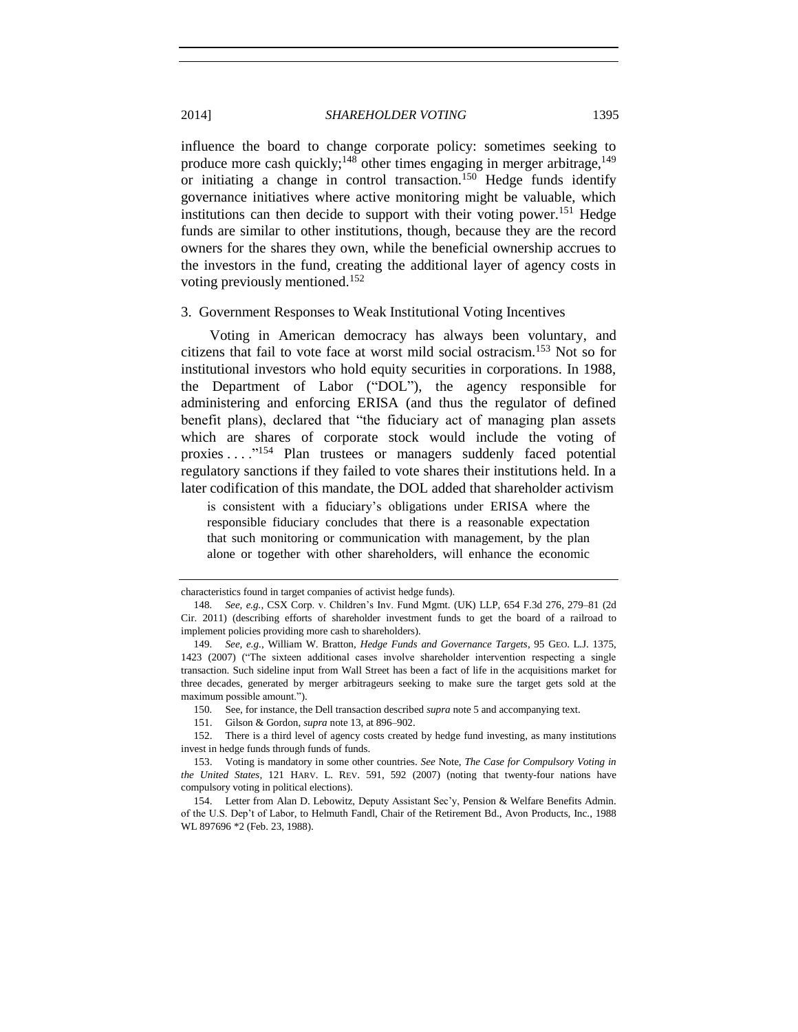<span id="page-36-1"></span>influence the board to change corporate policy: sometimes seeking to produce more cash quickly;<sup>148</sup> other times engaging in merger arbitrage,<sup>149</sup> or initiating a change in control transaction.<sup>150</sup> Hedge funds identify governance initiatives where active monitoring might be valuable, which institutions can then decide to support with their voting power.<sup>151</sup> Hedge funds are similar to other institutions, though, because they are the record owners for the shares they own, while the beneficial ownership accrues to the investors in the fund, creating the additional layer of agency costs in voting previously mentioned.<sup>152</sup>

#### 3. Government Responses to Weak Institutional Voting Incentives

Voting in American democracy has always been voluntary, and citizens that fail to vote face at worst mild social ostracism.<sup>153</sup> Not so for institutional investors who hold equity securities in corporations. In 1988, the Department of Labor ("DOL"), the agency responsible for administering and enforcing ERISA (and thus the regulator of defined benefit plans), declared that "the fiduciary act of managing plan assets which are shares of corporate stock would include the voting of proxies . . . . "<sup>154</sup> Plan trustees or managers suddenly faced potential regulatory sanctions if they failed to vote shares their institutions held. In a later codification of this mandate, the DOL added that shareholder activism

<span id="page-36-0"></span>is consistent with a fiduciary's obligations under ERISA where the responsible fiduciary concludes that there is a reasonable expectation that such monitoring or communication with management, by the plan alone or together with other shareholders, will enhance the economic

characteristics found in target companies of activist hedge funds).

<sup>148</sup>*. See, e.g.*, CSX Corp. v. Children's Inv. Fund Mgmt. (UK) LLP, 654 F.3d 276, 279–81 (2d Cir. 2011) (describing efforts of shareholder investment funds to get the board of a railroad to implement policies providing more cash to shareholders).

<sup>149</sup>*. See, e.g.*, William W. Bratton, *Hedge Funds and Governance Targets*, 95 GEO. L.J. 1375, 1423 (2007) ("The sixteen additional cases involve shareholder intervention respecting a single transaction. Such sideline input from Wall Street has been a fact of life in the acquisitions market for three decades, generated by merger arbitrageurs seeking to make sure the target gets sold at the maximum possible amount.").

<sup>150</sup>*.* See, for instance, the Dell transaction described *supra* not[e 5](#page-1-0) and accompanying text.

<sup>151.</sup> Gilson & Gordon, *supra* not[e 13,](#page-2-0) at 896–902.

<sup>152.</sup> There is a third level of agency costs created by hedge fund investing, as many institutions invest in hedge funds through funds of funds.

<sup>153.</sup> Voting is mandatory in some other countries. *See* Note, *The Case for Compulsory Voting in the United States*, 121 HARV. L. REV. 591, 592 (2007) (noting that twenty-four nations have compulsory voting in political elections).

<sup>154.</sup> Letter from Alan D. Lebowitz, Deputy Assistant Sec'y, Pension & Welfare Benefits Admin. of the U.S. Dep't of Labor, to Helmuth Fandl, Chair of the Retirement Bd., Avon Products, Inc., 1988 WL 897696 \*2 (Feb. 23, 1988).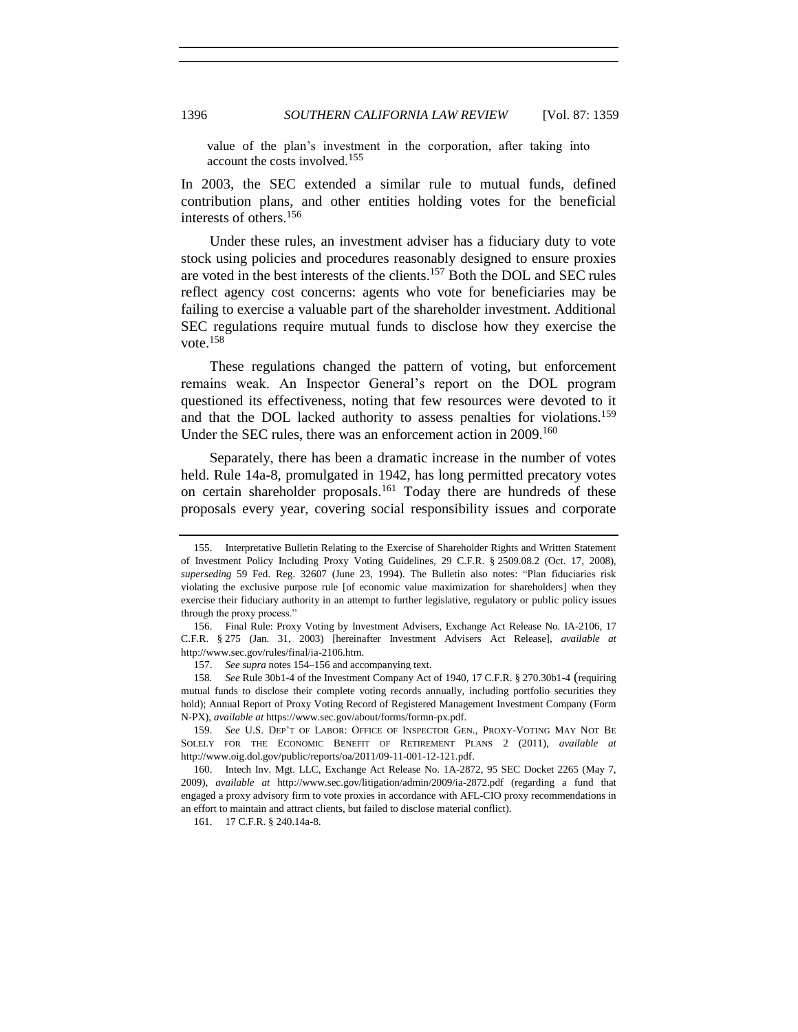value of the plan's investment in the corporation, after taking into account the costs involved.<sup>155</sup>

In 2003, the SEC extended a similar rule to mutual funds, defined contribution plans, and other entities holding votes for the beneficial interests of others.<sup>156</sup>

<span id="page-37-0"></span>Under these rules, an investment adviser has a fiduciary duty to vote stock using policies and procedures reasonably designed to ensure proxies are voted in the best interests of the clients.<sup>157</sup> Both the DOL and SEC rules reflect agency cost concerns: agents who vote for beneficiaries may be failing to exercise a valuable part of the shareholder investment. Additional SEC regulations require mutual funds to disclose how they exercise the vote.<sup>158</sup>

These regulations changed the pattern of voting, but enforcement remains weak. An Inspector General's report on the DOL program questioned its effectiveness, noting that few resources were devoted to it and that the DOL lacked authority to assess penalties for violations.<sup>159</sup> Under the SEC rules, there was an enforcement action in 2009.<sup>160</sup>

Separately, there has been a dramatic increase in the number of votes held. Rule 14a-8, promulgated in 1942, has long permitted precatory votes on certain shareholder proposals.<sup>161</sup> Today there are hundreds of these proposals every year, covering social responsibility issues and corporate

161. 17 C.F.R. § 240.14a-8.

<sup>155.</sup> Interpretative Bulletin Relating to the Exercise of Shareholder Rights and Written Statement of Investment Policy Including Proxy Voting Guidelines, 29 C.F.R. § 2509.08.2 (Oct. 17, 2008), *superseding* 59 Fed. Reg. 32607 (June 23, 1994). The Bulletin also notes: "Plan fiduciaries risk violating the exclusive purpose rule [of economic value maximization for shareholders] when they exercise their fiduciary authority in an attempt to further legislative, regulatory or public policy issues through the proxy process."

<sup>156.</sup> Final Rule: Proxy Voting by Investment Advisers, Exchange Act Release No. IA-2106, 17 C.F.R. § 275 (Jan. 31, 2003) [hereinafter Investment Advisers Act Release], *available at* http://www.sec.gov/rules/final/ia-2106.htm.

<sup>157.</sup> *See supra* note[s 154](#page-36-0)[–156](#page-37-0) and accompanying text.

<sup>158</sup>*. See* Rule 30b1-4 of the Investment Company Act of 1940, 17 C.F.R. § 270.30b1-4 (requiring mutual funds to disclose their complete voting records annually, including portfolio securities they hold); Annual Report of Proxy Voting Record of Registered Management Investment Company (Form N-PX), *available at* https://www.sec.gov/about/forms/formn-px.pdf.

<sup>159.</sup> *See* U.S. DEP'T OF LABOR: OFFICE OF INSPECTOR GEN., PROXY-VOTING MAY NOT BE SOLELY FOR THE ECONOMIC BENEFIT OF RETIREMENT PLANS 2 (2011), *available at*  http://www.oig.dol.gov/public/reports/oa/2011/09-11-001-12-121.pdf.

<sup>160.</sup> Intech Inv. Mgt. LLC, Exchange Act Release No. 1A-2872, 95 SEC Docket 2265 (May 7, 2009), *available at* http://www.sec.gov/litigation/admin/2009/ia-2872.pdf (regarding a fund that engaged a proxy advisory firm to vote proxies in accordance with AFL-CIO proxy recommendations in an effort to maintain and attract clients, but failed to disclose material conflict).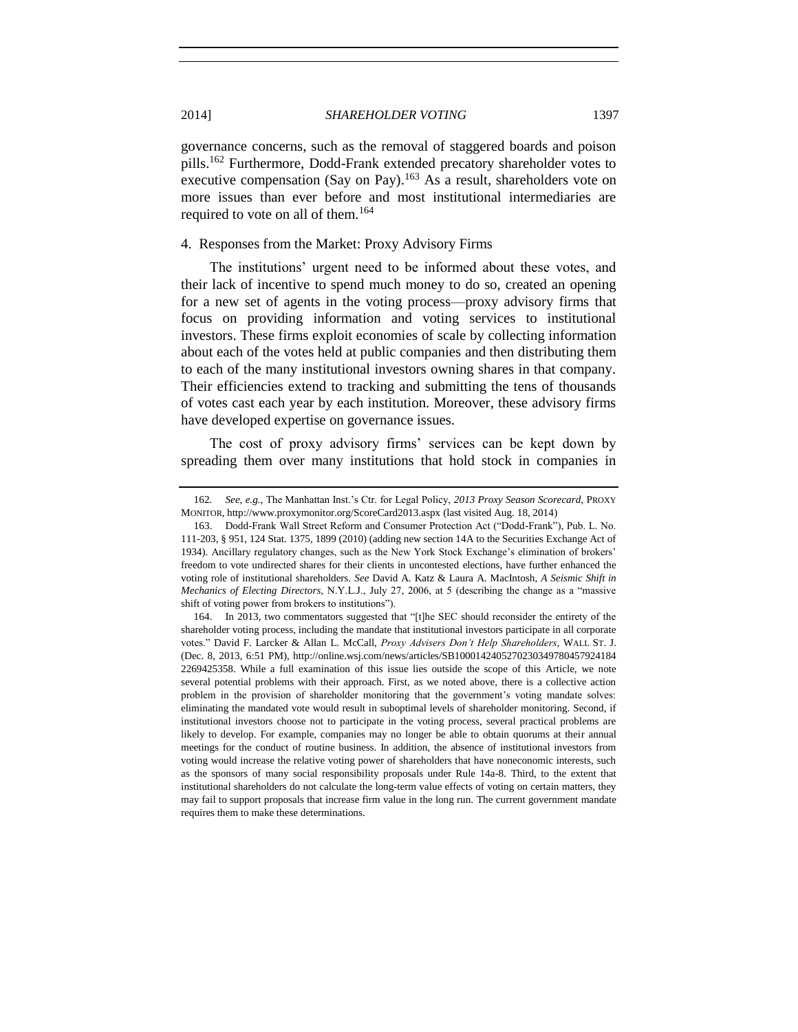governance concerns, such as the removal of staggered boards and poison pills.<sup>162</sup> Furthermore, Dodd-Frank extended precatory shareholder votes to executive compensation (Say on Pay).<sup>163</sup> As a result, shareholders vote on more issues than ever before and most institutional intermediaries are required to vote on all of them.<sup>164</sup>

## 4. Responses from the Market: Proxy Advisory Firms

The institutions' urgent need to be informed about these votes, and their lack of incentive to spend much money to do so, created an opening for a new set of agents in the voting process—proxy advisory firms that focus on providing information and voting services to institutional investors. These firms exploit economies of scale by collecting information about each of the votes held at public companies and then distributing them to each of the many institutional investors owning shares in that company. Their efficiencies extend to tracking and submitting the tens of thousands of votes cast each year by each institution. Moreover, these advisory firms have developed expertise on governance issues.

The cost of proxy advisory firms' services can be kept down by spreading them over many institutions that hold stock in companies in

<sup>162</sup>*. See, e.g.*, The Manhattan Inst.'s Ctr. for Legal Policy, *2013 Proxy Season Scorecard*, PROXY MONITOR, http://www.proxymonitor.org/ScoreCard2013.aspx (last visited Aug. 18, 2014)

<sup>163.</sup> Dodd-Frank Wall Street Reform and Consumer Protection Act ("Dodd-Frank"), Pub. L. No. 111-203, § 951, 124 Stat. 1375, 1899 (2010) (adding new section 14A to the Securities Exchange Act of 1934). Ancillary regulatory changes, such as the New York Stock Exchange's elimination of brokers' freedom to vote undirected shares for their clients in uncontested elections, have further enhanced the voting role of institutional shareholders. *See* David A. Katz & Laura A. MacIntosh, *A Seismic Shift in Mechanics of Electing Directors*, N.Y.L.J., July 27, 2006, at 5 (describing the change as a "massive shift of voting power from brokers to institutions").

<sup>164.</sup> In 2013, two commentators suggested that "[t]he SEC should reconsider the entirety of the shareholder voting process, including the mandate that institutional investors participate in all corporate votes." David F. Larcker & Allan L. McCall, *Proxy Advisers Don't Help Shareholders*, WALL ST. J. (Dec. 8, 2013, 6:51 PM), http://online.wsj.com/news/articles/SB1000142405270230349780457924184 2269425358. While a full examination of this issue lies outside the scope of this Article, we note several potential problems with their approach. First, as we noted above, there is a collective action problem in the provision of shareholder monitoring that the government's voting mandate solves: eliminating the mandated vote would result in suboptimal levels of shareholder monitoring. Second, if institutional investors choose not to participate in the voting process, several practical problems are likely to develop. For example, companies may no longer be able to obtain quorums at their annual meetings for the conduct of routine business. In addition, the absence of institutional investors from voting would increase the relative voting power of shareholders that have noneconomic interests, such as the sponsors of many social responsibility proposals under Rule 14a-8. Third, to the extent that institutional shareholders do not calculate the long-term value effects of voting on certain matters, they may fail to support proposals that increase firm value in the long run. The current government mandate requires them to make these determinations.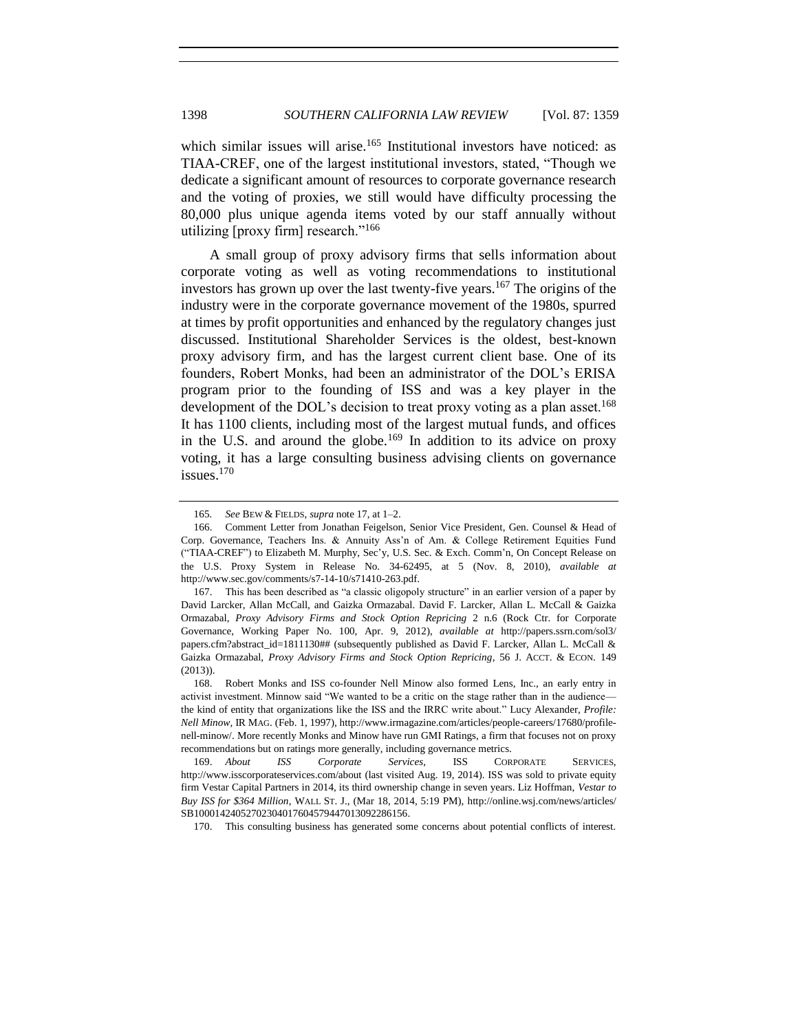which similar issues will arise.<sup>165</sup> Institutional investors have noticed: as TIAA-CREF, one of the largest institutional investors, stated, "Though we dedicate a significant amount of resources to corporate governance research and the voting of proxies, we still would have difficulty processing the 80,000 plus unique agenda items voted by our staff annually without utilizing  $[proxv]$  firm] research."<sup>166</sup>

A small group of proxy advisory firms that sells information about corporate voting as well as voting recommendations to institutional investors has grown up over the last twenty-five years.<sup>167</sup> The origins of the industry were in the corporate governance movement of the 1980s, spurred at times by profit opportunities and enhanced by the regulatory changes just discussed. Institutional Shareholder Services is the oldest, best-known proxy advisory firm, and has the largest current client base. One of its founders, Robert Monks, had been an administrator of the DOL's ERISA program prior to the founding of ISS and was a key player in the development of the DOL's decision to treat proxy voting as a plan asset.<sup>168</sup> It has 1100 clients, including most of the largest mutual funds, and offices in the U.S. and around the globe.<sup>169</sup> In addition to its advice on proxy voting, it has a large consulting business advising clients on governance issues. $170$ 

170. This consulting business has generated some concerns about potential conflicts of interest.

<sup>165</sup>*. See* BEW & FIELDS, *supra* note [17,](#page-3-0) at 1–2.

<sup>166.</sup> Comment Letter from Jonathan Feigelson, Senior Vice President, Gen. Counsel & Head of Corp. Governance, Teachers Ins. & Annuity Ass'n of Am. & College Retirement Equities Fund ("TIAA-CREF") to Elizabeth M. Murphy, Sec'y, U.S. Sec. & Exch. Comm'n, On Concept Release on the U.S. Proxy System in Release No. 34-62495, at 5 (Nov. 8, 2010), *available at*  http://www.sec.gov/comments/s7-14-10/s71410-263.pdf.

<sup>167.</sup> This has been described as "a classic oligopoly structure" in an earlier version of a paper by David Larcker, Allan McCall, and Gaizka Ormazabal. David F. Larcker, Allan L. McCall & Gaizka Ormazabal, *Proxy Advisory Firms and Stock Option Repricing* 2 n.6 (Rock Ctr. for Corporate Governance, Working Paper No. 100, Apr. 9, 2012), *available at* http://papers.ssrn.com/sol3/ papers.cfm?abstract\_id=1811130## (subsequently published as David F. Larcker, Allan L. McCall & Gaizka Ormazabal, *Proxy Advisory Firms and Stock Option Repricing*, 56 J. ACCT. & ECON. 149 (2013)).

<sup>168.</sup> Robert Monks and ISS co-founder Nell Minow also formed Lens, Inc., an early entry in activist investment. Minnow said "We wanted to be a critic on the stage rather than in the audience the kind of entity that organizations like the ISS and the IRRC write about." Lucy Alexander, *Profile: Nell Minow*, IR MAG. (Feb. 1, 1997), http://www.irmagazine.com/articles/people-careers/17680/profilenell-minow/. More recently Monks and Minow have run GMI Ratings, a firm that focuses not on proxy recommendations but on ratings more generally, including governance metrics.

<sup>169.</sup> *About ISS Corporate Services*, ISS CORPORATE SERVICES, http://www.isscorporateservices.com/about (last visited Aug. 19, 2014). ISS was sold to private equity firm Vestar Capital Partners in 2014, its third ownership change in seven years. Liz Hoffman, *Vestar to Buy ISS for \$364 Million*, WALL ST. J., (Mar 18, 2014, 5:19 PM), http://online.wsj.com/news/articles/ SB10001424052702304017604579447013092286156.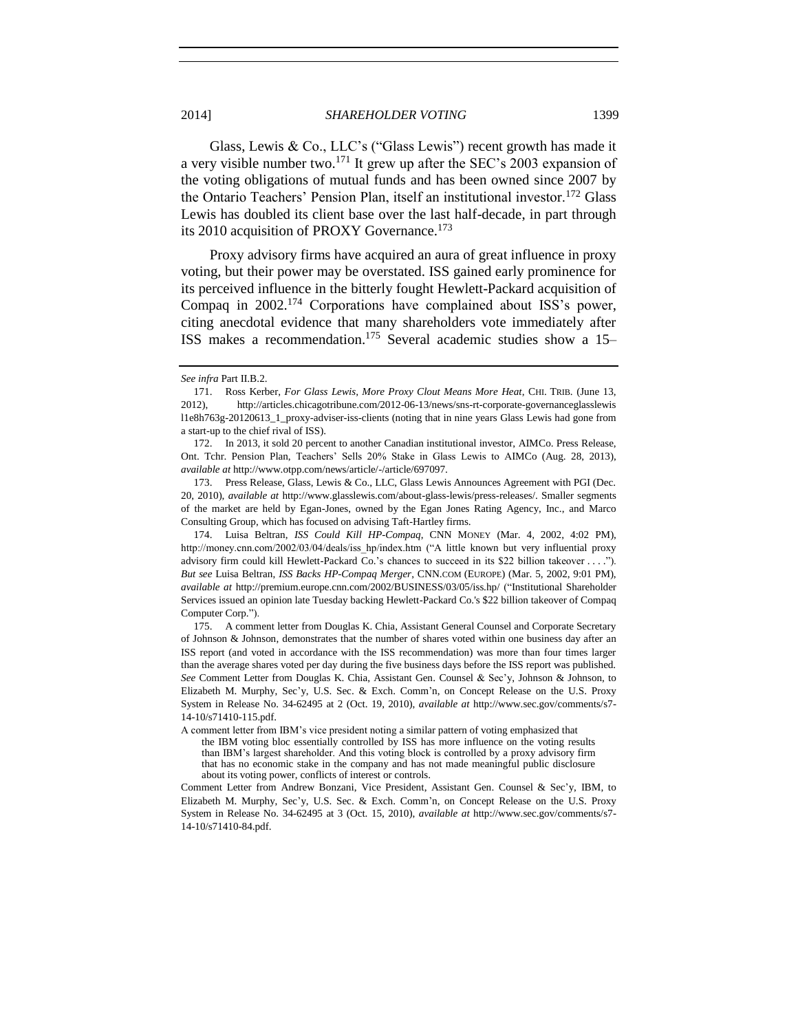Glass, Lewis & Co., LLC's ("Glass Lewis") recent growth has made it a very visible number two.<sup>171</sup> It grew up after the SEC's 2003 expansion of the voting obligations of mutual funds and has been owned since 2007 by the Ontario Teachers' Pension Plan, itself an institutional investor.<sup>172</sup> Glass Lewis has doubled its client base over the last half-decade, in part through its 2010 acquisition of PROXY Governance.<sup>173</sup>

Proxy advisory firms have acquired an aura of great influence in proxy voting, but their power may be overstated. ISS gained early prominence for its perceived influence in the bitterly fought Hewlett-Packard acquisition of Compaq in 2002.<sup>174</sup> Corporations have complained about ISS's power, citing anecdotal evidence that many shareholders vote immediately after ISS makes a recommendation.<sup>175</sup> Several academic studies show a 15–

173. Press Release, Glass, Lewis & Co., LLC, Glass Lewis Announces Agreement with PGI (Dec. 20, 2010), *available at* http://www.glasslewis.com/about-glass-lewis/press-releases/. Smaller segments of the market are held by Egan-Jones, owned by the Egan Jones Rating Agency, Inc., and Marco Consulting Group, which has focused on advising Taft-Hartley firms.

174. Luisa Beltran, *ISS Could Kill HP-Compaq*, CNN MONEY (Mar. 4, 2002, 4:02 PM), http://money.cnn.com/2002/03/04/deals/iss\_hp/index.htm ("A little known but very influential proxy advisory firm could kill Hewlett-Packard Co.'s chances to succeed in its \$22 billion takeover . . . ."). *But see* Luisa Beltran, *ISS Backs HP-Compaq Merger*, CNN.COM (EUROPE) (Mar. 5, 2002, 9:01 PM), *available at* http://premium.europe.cnn.com/2002/BUSINESS/03/05/iss.hp/ ("Institutional Shareholder Services issued an opinion late Tuesday backing Hewlett-Packard Co.'s \$22 billion takeover of Compaq Computer Corp.").

175. A comment letter from Douglas K. Chia, Assistant General Counsel and Corporate Secretary of Johnson & Johnson, demonstrates that the number of shares voted within one business day after an ISS report (and voted in accordance with the ISS recommendation) was more than four times larger than the average shares voted per day during the five business days before the ISS report was published. *See* Comment Letter from Douglas K. Chia, Assistant Gen. Counsel & Sec'y, Johnson & Johnson, to Elizabeth M. Murphy, Sec'y, U.S. Sec. & Exch. Comm'n, on Concept Release on the U.S. Proxy System in Release No. 34-62495 at 2 (Oct. 19, 2010), *available at* http://www.sec.gov/comments/s7- 14-10/s71410-115.pdf.

A comment letter from IBM's vice president noting a similar pattern of voting emphasized that

the IBM voting bloc essentially controlled by ISS has more influence on the voting results than IBM's largest shareholder. And this voting block is controlled by a proxy advisory firm that has no economic stake in the company and has not made meaningful public disclosure about its voting power, conflicts of interest or controls.

Comment Letter from Andrew Bonzani, Vice President, Assistant Gen. Counsel & Sec'y, IBM, to Elizabeth M. Murphy, Sec'y, U.S. Sec. & Exch. Comm'n, on Concept Release on the U.S. Proxy System in Release No. 34-62495 at 3 (Oct. 15, 2010), *available at* http://www.sec.gov/comments/s7- 14-10/s71410-84.pdf.

*See infra* Part II.B.2.

<sup>171.</sup> Ross Kerber, *For Glass Lewis, More Proxy Clout Means More Heat*, CHI. TRIB. (June 13, 2012), http://articles.chicagotribune.com/2012-06-13/news/sns-rt-corporate-governanceglasslewis l1e8h763g-20120613\_1\_proxy-adviser-iss-clients (noting that in nine years Glass Lewis had gone from a start-up to the chief rival of ISS).

<sup>172.</sup> In 2013, it sold 20 percent to another Canadian institutional investor, AIMCo. Press Release, Ont. Tchr. Pension Plan, Teachers' Sells 20% Stake in Glass Lewis to AIMCo (Aug. 28, 2013), *available at* http://www.otpp.com/news/article/-/article/697097.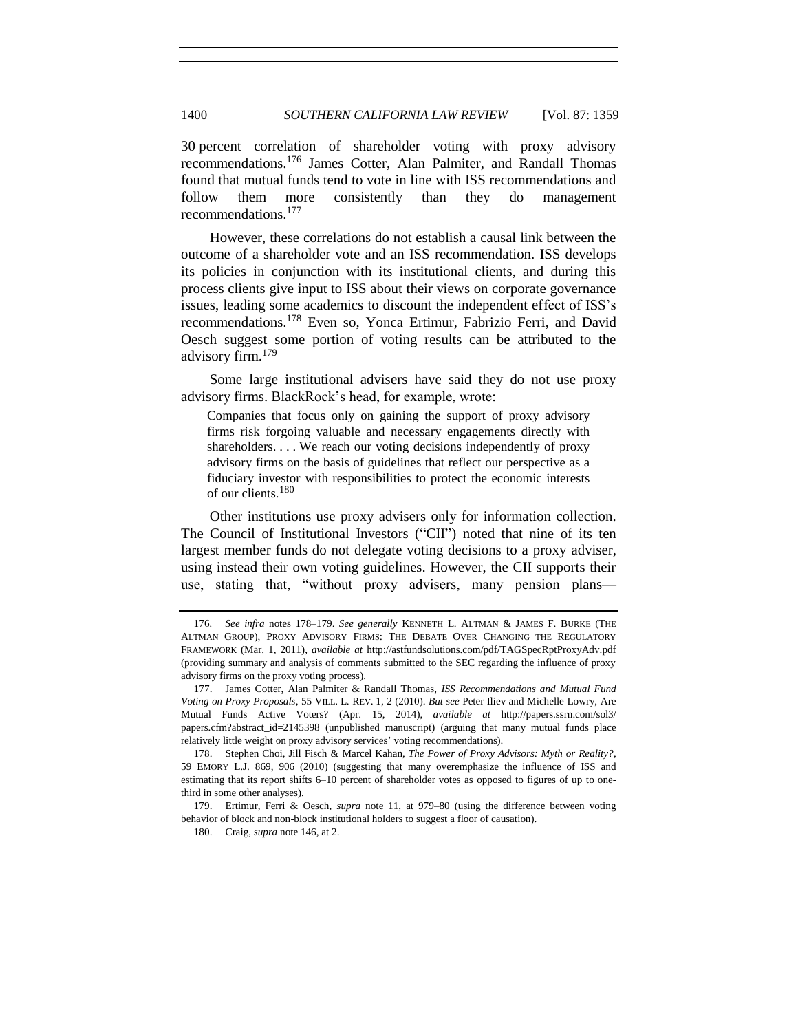30 percent correlation of shareholder voting with proxy advisory recommendations.<sup>176</sup> James Cotter, Alan Palmiter, and Randall Thomas found that mutual funds tend to vote in line with ISS recommendations and follow them more consistently than they do management recommendations.<sup>177</sup>

<span id="page-41-2"></span>However, these correlations do not establish a causal link between the outcome of a shareholder vote and an ISS recommendation. ISS develops its policies in conjunction with its institutional clients, and during this process clients give input to ISS about their views on corporate governance issues, leading some academics to discount the independent effect of ISS's recommendations.<sup>178</sup> Even so, Yonca Ertimur, Fabrizio Ferri, and David Oesch suggest some portion of voting results can be attributed to the advisory firm.<sup>179</sup>

<span id="page-41-0"></span>Some large institutional advisers have said they do not use proxy advisory firms. BlackRock's head, for example, wrote:

<span id="page-41-1"></span>Companies that focus only on gaining the support of proxy advisory firms risk forgoing valuable and necessary engagements directly with shareholders. . . . We reach our voting decisions independently of proxy advisory firms on the basis of guidelines that reflect our perspective as a fiduciary investor with responsibilities to protect the economic interests of our clients.<sup>180</sup>

Other institutions use proxy advisers only for information collection. The Council of Institutional Investors ("CII") noted that nine of its ten largest member funds do not delegate voting decisions to a proxy adviser, using instead their own voting guidelines. However, the CII supports their use, stating that, "without proxy advisers, many pension plans—

<sup>176</sup>*. See infra* notes [178–](#page-41-0)[179.](#page-41-1) *See generally* KENNETH L. ALTMAN & JAMES F. BURKE (THE ALTMAN GROUP), PROXY ADVISORY FIRMS: THE DEBATE OVER CHANGING THE REGULATORY FRAMEWORK (Mar. 1, 2011), *available at* http://astfundsolutions.com/pdf/TAGSpecRptProxyAdv.pdf (providing summary and analysis of comments submitted to the SEC regarding the influence of proxy advisory firms on the proxy voting process).

<sup>177.</sup> James Cotter, Alan Palmiter & Randall Thomas, *ISS Recommendations and Mutual Fund Voting on Proxy Proposals*, 55 VILL. L. REV. 1, 2 (2010). *But see* Peter Iliev and Michelle Lowry, Are Mutual Funds Active Voters? (Apr. 15, 2014), *available at* http://papers.ssrn.com/sol3/ papers.cfm?abstract\_id=2145398 (unpublished manuscript) (arguing that many mutual funds place relatively little weight on proxy advisory services' voting recommendations).

<sup>178.</sup> Stephen Choi, Jill Fisch & Marcel Kahan, *The Power of Proxy Advisors: Myth or Reality?*, 59 EMORY L.J. 869, 906 (2010) (suggesting that many overemphasize the influence of ISS and estimating that its report shifts 6–10 percent of shareholder votes as opposed to figures of up to onethird in some other analyses).

<sup>179.</sup> Ertimur, Ferri & Oesch, *supra* note [11,](#page-2-1) at 979–80 (using the difference between voting behavior of block and non-block institutional holders to suggest a floor of causation).

<sup>180.</sup> Craig, *supra* note [146,](#page-35-0) at 2.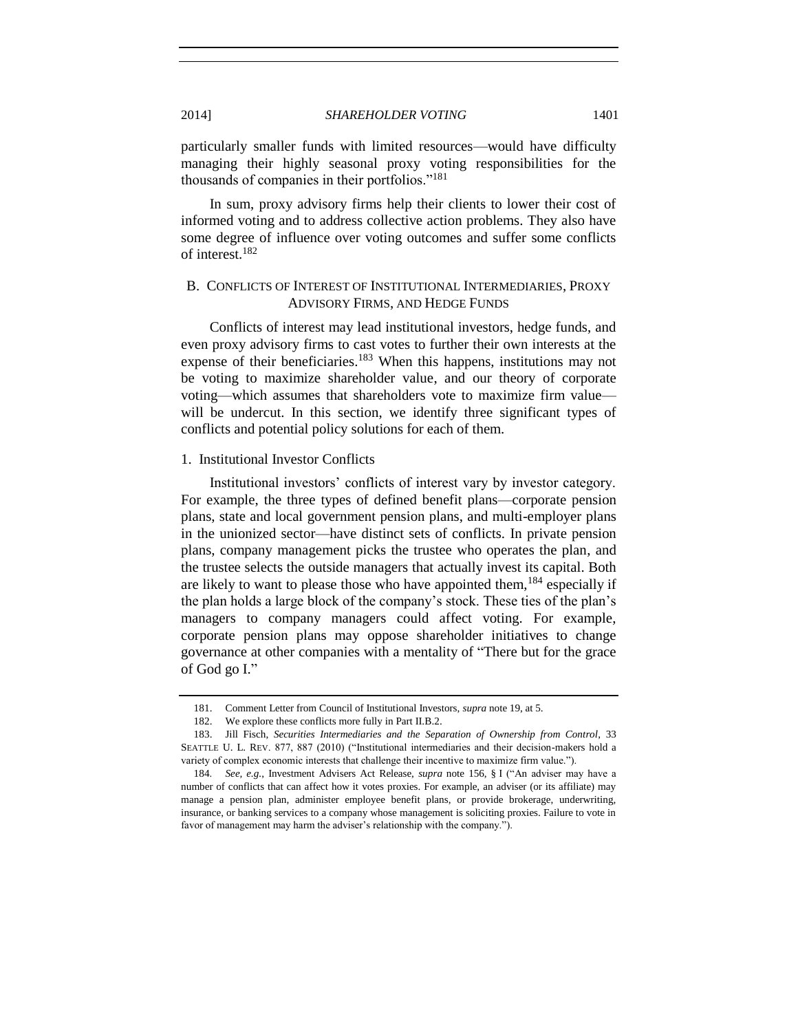particularly smaller funds with limited resources—would have difficulty managing their highly seasonal proxy voting responsibilities for the thousands of companies in their portfolios."<sup>181</sup>

In sum, proxy advisory firms help their clients to lower their cost of informed voting and to address collective action problems. They also have some degree of influence over voting outcomes and suffer some conflicts of interest.<sup>182</sup>

# B. CONFLICTS OF INTEREST OF INSTITUTIONAL INTERMEDIARIES, PROXY ADVISORY FIRMS, AND HEDGE FUNDS

<span id="page-42-0"></span>Conflicts of interest may lead institutional investors, hedge funds, and even proxy advisory firms to cast votes to further their own interests at the expense of their beneficiaries.<sup>183</sup> When this happens, institutions may not be voting to maximize shareholder value, and our theory of corporate voting—which assumes that shareholders vote to maximize firm value will be undercut. In this section, we identify three significant types of conflicts and potential policy solutions for each of them.

### 1. Institutional Investor Conflicts

Institutional investors' conflicts of interest vary by investor category. For example, the three types of defined benefit plans—corporate pension plans, state and local government pension plans, and multi-employer plans in the unionized sector—have distinct sets of conflicts. In private pension plans, company management picks the trustee who operates the plan, and the trustee selects the outside managers that actually invest its capital. Both are likely to want to please those who have appointed them,  $184$  especially if the plan holds a large block of the company's stock. These ties of the plan's managers to company managers could affect voting. For example, corporate pension plans may oppose shareholder initiatives to change governance at other companies with a mentality of "There but for the grace of God go I."

<sup>181.</sup> Comment Letter from Council of Institutional Investors, *supra* not[e 19,](#page-4-0) at 5.

<sup>182.</sup> We explore these conflicts more fully in Part II.B.2.

<sup>183.</sup> Jill Fisch, *Securities Intermediaries and the Separation of Ownership from Control*, 33 SEATTLE U. L. REV. 877, 887 (2010) ("Institutional intermediaries and their decision-makers hold a variety of complex economic interests that challenge their incentive to maximize firm value.").

<sup>184</sup>*. See, e.g.*, Investment Advisers Act Release, *supra* note [156,](#page-37-0) § I ("An adviser may have a number of conflicts that can affect how it votes proxies. For example, an adviser (or its affiliate) may manage a pension plan, administer employee benefit plans, or provide brokerage, underwriting, insurance, or banking services to a company whose management is soliciting proxies. Failure to vote in favor of management may harm the adviser's relationship with the company.").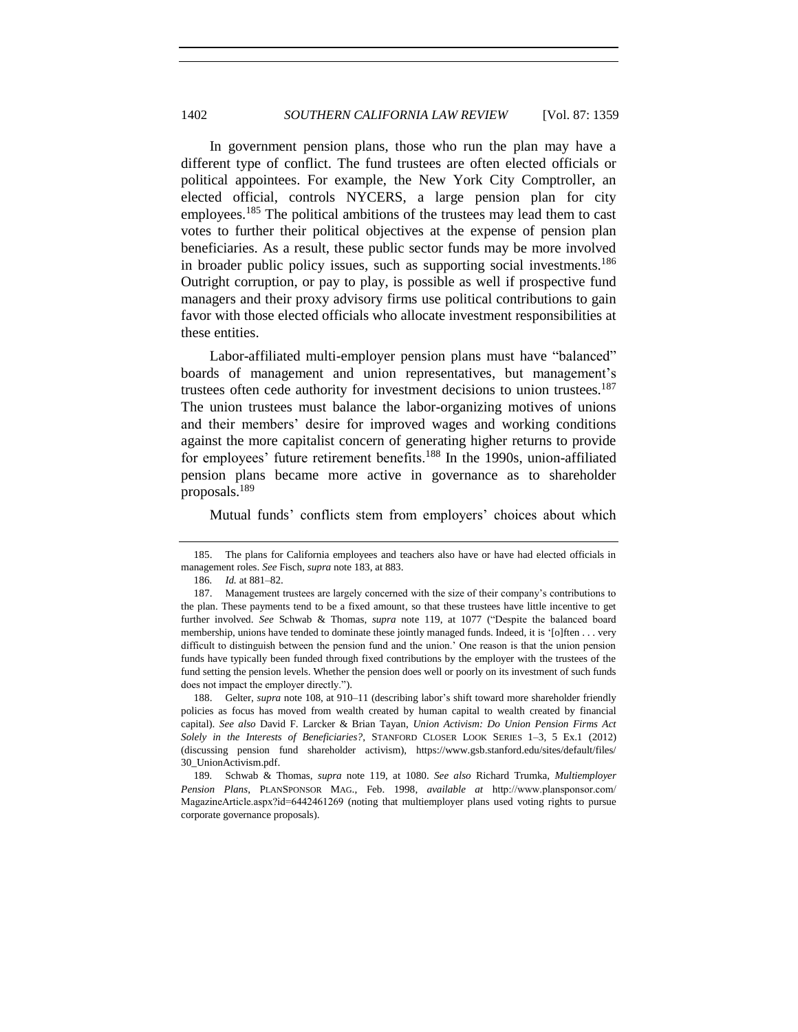In government pension plans, those who run the plan may have a different type of conflict. The fund trustees are often elected officials or political appointees. For example, the New York City Comptroller, an elected official, controls NYCERS, a large pension plan for city employees.<sup>185</sup> The political ambitions of the trustees may lead them to cast votes to further their political objectives at the expense of pension plan beneficiaries. As a result, these public sector funds may be more involved in broader public policy issues, such as supporting social investments.<sup>186</sup> Outright corruption, or pay to play, is possible as well if prospective fund managers and their proxy advisory firms use political contributions to gain favor with those elected officials who allocate investment responsibilities at these entities.

Labor-affiliated multi-employer pension plans must have "balanced" boards of management and union representatives, but management's trustees often cede authority for investment decisions to union trustees.<sup>187</sup> The union trustees must balance the labor-organizing motives of unions and their members' desire for improved wages and working conditions against the more capitalist concern of generating higher returns to provide for employees' future retirement benefits.<sup>188</sup> In the 1990s, union-affiliated pension plans became more active in governance as to shareholder proposals.<sup>189</sup>

Mutual funds' conflicts stem from employers' choices about which

<sup>185.</sup> The plans for California employees and teachers also have or have had elected officials in management roles. *See* Fisch, *supra* note [183,](#page-42-0) at 883.

<sup>186</sup>*. Id.* at 881–82.

<sup>187.</sup> Management trustees are largely concerned with the size of their company's contributions to the plan. These payments tend to be a fixed amount, so that these trustees have little incentive to get further involved. *See* Schwab & Thomas, *supra* note [119,](#page-30-0) at 1077 ("Despite the balanced board membership, unions have tended to dominate these jointly managed funds. Indeed, it is '[o]ften . . . very difficult to distinguish between the pension fund and the union.' One reason is that the union pension funds have typically been funded through fixed contributions by the employer with the trustees of the fund setting the pension levels. Whether the pension does well or poorly on its investment of such funds does not impact the employer directly.").

<sup>188.</sup> Gelter, *supra* note [108,](#page-28-0) at 910–11 (describing labor's shift toward more shareholder friendly policies as focus has moved from wealth created by human capital to wealth created by financial capital). *See also* David F. Larcker & Brian Tayan, *Union Activism: Do Union Pension Firms Act Solely in the Interests of Beneficiaries?*, STANFORD CLOSER LOOK SERIES 1–3, 5 Ex.1 (2012) (discussing pension fund shareholder activism), https://www.gsb.stanford.edu/sites/default/files/ 30\_UnionActivism.pdf.

<sup>189</sup>*.* Schwab & Thomas, *supra* note [119,](#page-30-0) at 1080. *See also* Richard Trumka, *Multiemployer Pension Plans*, PLANSPONSOR MAG., Feb. 1998, *available at* http://www.plansponsor.com/ MagazineArticle.aspx?id=6442461269 (noting that multiemployer plans used voting rights to pursue corporate governance proposals).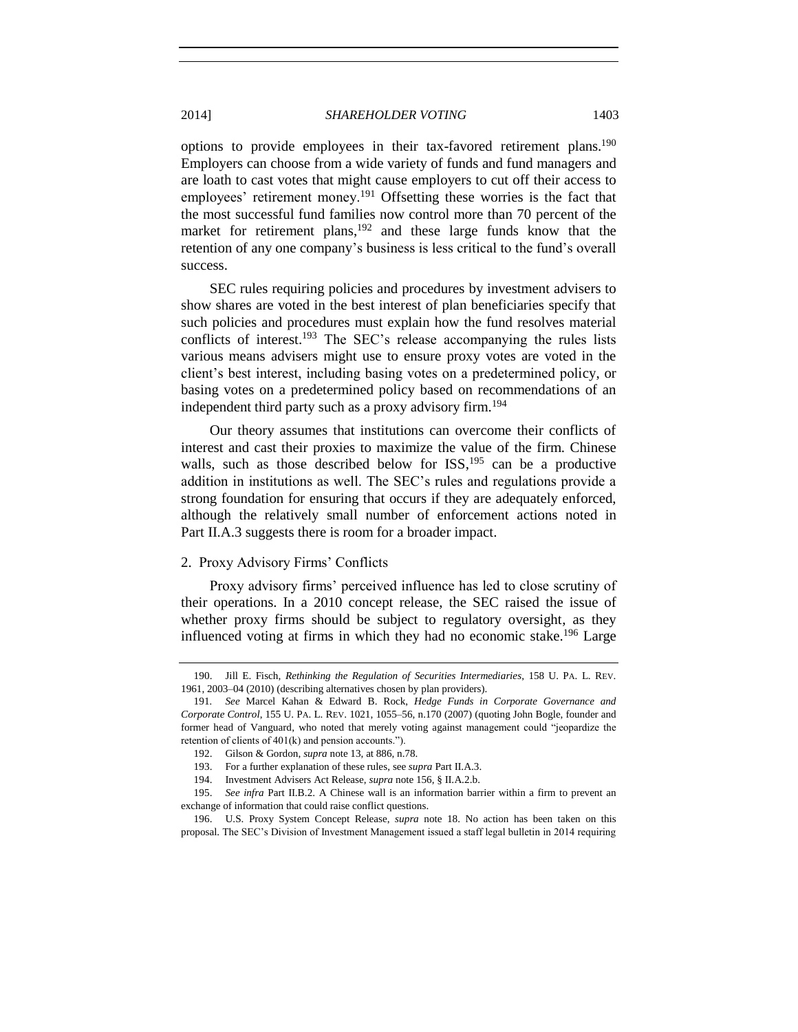<span id="page-44-0"></span>options to provide employees in their tax-favored retirement plans.<sup>190</sup> Employers can choose from a wide variety of funds and fund managers and are loath to cast votes that might cause employers to cut off their access to employees' retirement money.<sup>191</sup> Offsetting these worries is the fact that the most successful fund families now control more than 70 percent of the market for retirement plans,<sup>192</sup> and these large funds know that the retention of any one company's business is less critical to the fund's overall success.

SEC rules requiring policies and procedures by investment advisers to show shares are voted in the best interest of plan beneficiaries specify that such policies and procedures must explain how the fund resolves material conflicts of interest. <sup>193</sup> The SEC's release accompanying the rules lists various means advisers might use to ensure proxy votes are voted in the client's best interest, including basing votes on a predetermined policy, or basing votes on a predetermined policy based on recommendations of an independent third party such as a proxy advisory firm.<sup>194</sup>

Our theory assumes that institutions can overcome their conflicts of interest and cast their proxies to maximize the value of the firm. Chinese walls, such as those described below for ISS,<sup>195</sup> can be a productive addition in institutions as well. The SEC's rules and regulations provide a strong foundation for ensuring that occurs if they are adequately enforced, although the relatively small number of enforcement actions noted in Part II.A.3 suggests there is room for a broader impact.

### 2. Proxy Advisory Firms' Conflicts

Proxy advisory firms' perceived influence has led to close scrutiny of their operations. In a 2010 concept release, the SEC raised the issue of whether proxy firms should be subject to regulatory oversight, as they influenced voting at firms in which they had no economic stake.<sup>196</sup> Large

<sup>190.</sup> Jill E. Fisch, *Rethinking the Regulation of Securities Intermediaries*, 158 U. PA. L. REV. 1961, 2003–04 (2010) (describing alternatives chosen by plan providers).

<sup>191</sup>*. See* Marcel Kahan & Edward B. Rock, *Hedge Funds in Corporate Governance and Corporate Control*, 155 U. PA. L. REV. 1021, 1055–56, n.170 (2007) (quoting John Bogle, founder and former head of Vanguard, who noted that merely voting against management could "jeopardize the retention of clients of 401(k) and pension accounts.").

<sup>192.</sup> Gilson & Gordon, *supra* not[e 13,](#page-2-0) at 886, n.78.

<sup>193.</sup> For a further explanation of these rules, see *supra* Part II.A.3.

<sup>194.</sup> Investment Advisers Act Release, *supra* not[e 156,](#page-37-0) § II.A.2.b.

<sup>195.</sup> *See infra* Part II.B.2. A Chinese wall is an information barrier within a firm to prevent an exchange of information that could raise conflict questions.

<sup>196.</sup> U.S. Proxy System Concept Release, *supra* note [18.](#page-4-1) No action has been taken on this proposal. The SEC's Division of Investment Management issued a staff legal bulletin in 2014 requiring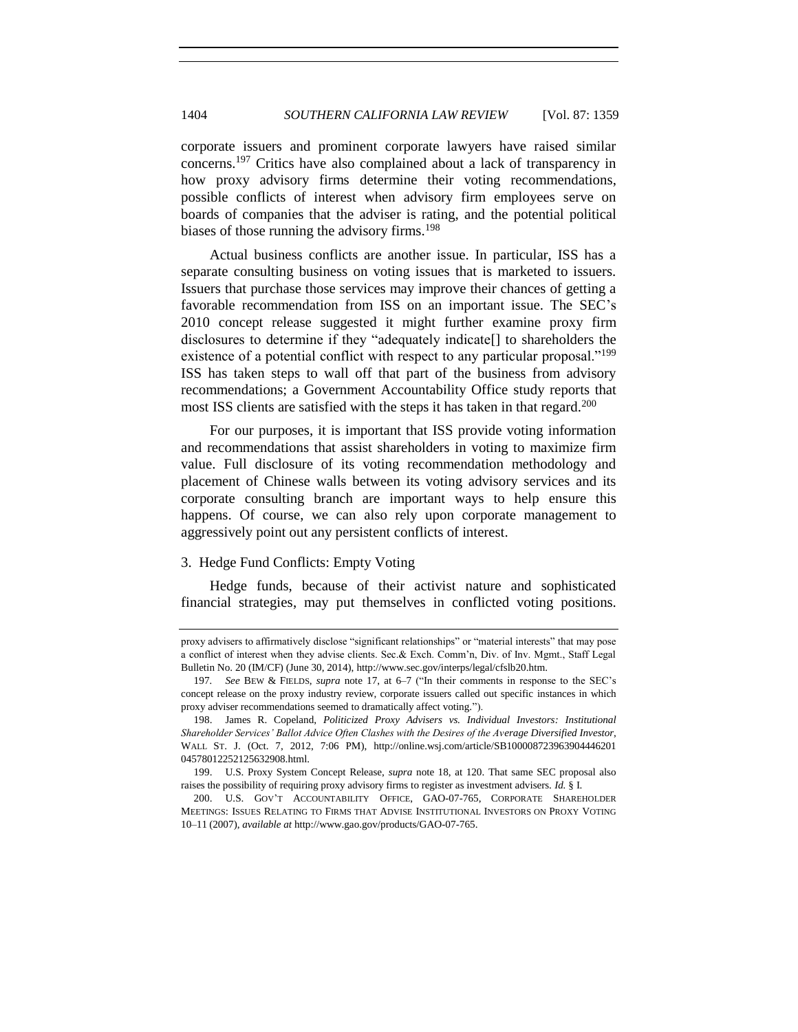corporate issuers and prominent corporate lawyers have raised similar concerns.<sup>197</sup> Critics have also complained about a lack of transparency in how proxy advisory firms determine their voting recommendations, possible conflicts of interest when advisory firm employees serve on boards of companies that the adviser is rating, and the potential political biases of those running the advisory firms.<sup>198</sup>

Actual business conflicts are another issue. In particular, ISS has a separate consulting business on voting issues that is marketed to issuers. Issuers that purchase those services may improve their chances of getting a favorable recommendation from ISS on an important issue. The SEC's 2010 concept release suggested it might further examine proxy firm disclosures to determine if they "adequately indicate[] to shareholders the existence of a potential conflict with respect to any particular proposal."<sup>199</sup> ISS has taken steps to wall off that part of the business from advisory recommendations; a Government Accountability Office study reports that most ISS clients are satisfied with the steps it has taken in that regard.<sup>200</sup>

For our purposes, it is important that ISS provide voting information and recommendations that assist shareholders in voting to maximize firm value. Full disclosure of its voting recommendation methodology and placement of Chinese walls between its voting advisory services and its corporate consulting branch are important ways to help ensure this happens. Of course, we can also rely upon corporate management to aggressively point out any persistent conflicts of interest.

## 3. Hedge Fund Conflicts: Empty Voting

Hedge funds, because of their activist nature and sophisticated financial strategies, may put themselves in conflicted voting positions.

proxy advisers to affirmatively disclose "significant relationships" or "material interests" that may pose a conflict of interest when they advise clients. Sec.& Exch. Comm'n, Div. of Inv. Mgmt., Staff Legal Bulletin No. 20 (IM/CF) (June 30, 2014), http://www.sec.gov/interps/legal/cfslb20.htm.

<sup>197</sup>*. See* BEW & FIELDS, *supra* note [17,](#page-3-0) at 6–7 ("In their comments in response to the SEC's concept release on the proxy industry review, corporate issuers called out specific instances in which proxy adviser recommendations seemed to dramatically affect voting.").

<sup>198.</sup> James R. Copeland, *Politicized Proxy Advisers vs. Individual Investors: Institutional Shareholder Services' Ballot Advice Often Clashes with the Desires of the Average Diversified Investor*, WALL ST. J. (Oct. 7, 2012, 7:06 PM), http://online.wsj.com/article/SB100008723963904446201 04578012252125632908.html.

<sup>199.</sup> U.S. Proxy System Concept Release, *supra* note [18,](#page-4-1) at 120. That same SEC proposal also raises the possibility of requiring proxy advisory firms to register as investment advisers. *Id.* § I.

<sup>200.</sup> U.S. GOV'T ACCOUNTABILITY OFFICE, GAO-07-765, CORPORATE SHAREHOLDER MEETINGS: ISSUES RELATING TO FIRMS THAT ADVISE INSTITUTIONAL INVESTORS ON PROXY VOTING 10–11 (2007), *available at* http://www.gao.gov/products/GAO-07-765.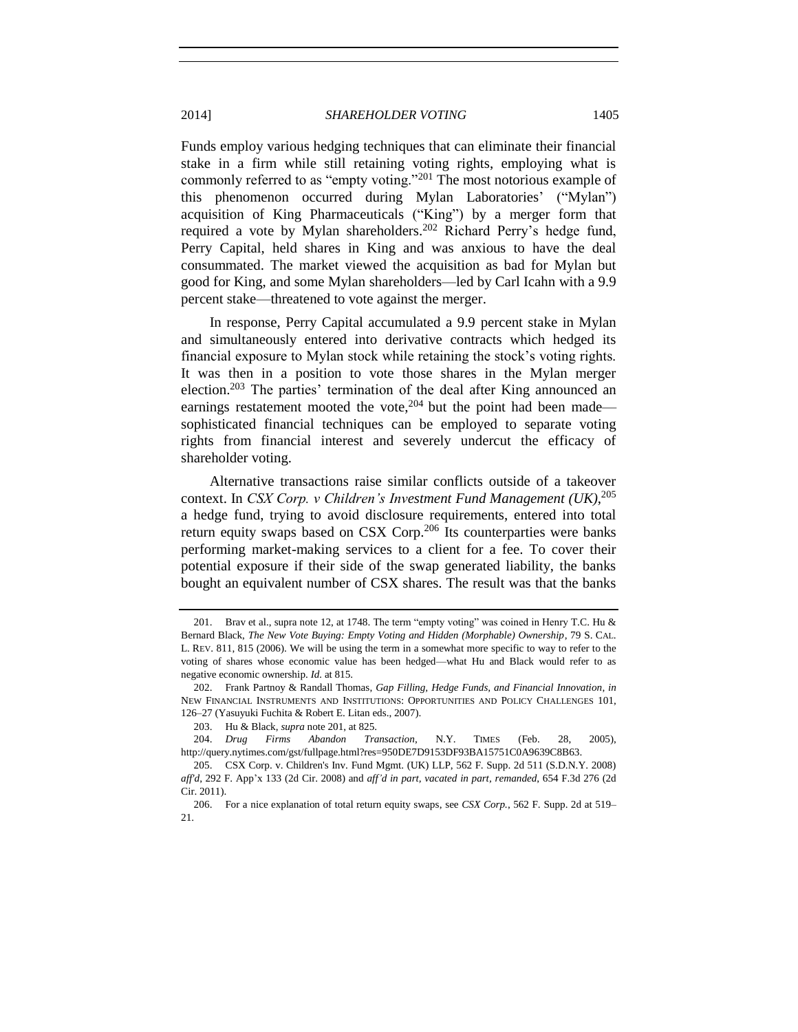<span id="page-46-1"></span><span id="page-46-0"></span>Funds employ various hedging techniques that can eliminate their financial stake in a firm while still retaining voting rights, employing what is commonly referred to as "empty voting."<sup>201</sup> The most notorious example of this phenomenon occurred during Mylan Laboratories' ("Mylan") acquisition of King Pharmaceuticals ("King") by a merger form that required a vote by Mylan shareholders.<sup>202</sup> Richard Perry's hedge fund, Perry Capital, held shares in King and was anxious to have the deal consummated. The market viewed the acquisition as bad for Mylan but good for King, and some Mylan shareholders—led by Carl Icahn with a 9.9 percent stake—threatened to vote against the merger.

In response, Perry Capital accumulated a 9.9 percent stake in Mylan and simultaneously entered into derivative contracts which hedged its financial exposure to Mylan stock while retaining the stock's voting rights. It was then in a position to vote those shares in the Mylan merger election.<sup>203</sup> The parties' termination of the deal after King announced an earnings restatement mooted the vote,<sup>204</sup> but the point had been made sophisticated financial techniques can be employed to separate voting rights from financial interest and severely undercut the efficacy of shareholder voting.

Alternative transactions raise similar conflicts outside of a takeover context. In *CSX Corp. v Children's Investment Fund Management (UK)*, 205 a hedge fund, trying to avoid disclosure requirements, entered into total return equity swaps based on CSX Corp.<sup>206</sup> Its counterparties were banks performing market-making services to a client for a fee. To cover their potential exposure if their side of the swap generated liability, the banks bought an equivalent number of CSX shares. The result was that the banks

<sup>201.</sup> Brav et al., supra note [12,](#page-2-2) at 1748. The term "empty voting" was coined in Henry T.C. Hu & Bernard Black, *The New Vote Buying: Empty Voting and Hidden (Morphable) Ownership*, 79 S. CAL. L. REV. 811, 815 (2006). We will be using the term in a somewhat more specific to way to refer to the voting of shares whose economic value has been hedged—what Hu and Black would refer to as negative economic ownership. *Id.* at 815.

<sup>202.</sup> Frank Partnoy & Randall Thomas, *Gap Filling, Hedge Funds, and Financial Innovation*, *in* NEW FINANCIAL INSTRUMENTS AND INSTITUTIONS: OPPORTUNITIES AND POLICY CHALLENGES 101, 126–27 (Yasuyuki Fuchita & Robert E. Litan eds., 2007).

<sup>203.</sup> Hu & Black, *supra* not[e 201,](#page-46-0) at 825.

<sup>204.</sup> *Drug Firms Abandon Transaction*, N.Y. TIMES (Feb. 28, 2005), http://query.nytimes.com/gst/fullpage.html?res=950DE7D9153DF93BA15751C0A9639C8B63.

<sup>205.</sup> CSX Corp. v. Children's Inv. Fund Mgmt. (UK) LLP, 562 F. Supp. 2d 511 (S.D.N.Y. 2008) *aff'd*, 292 F. App'x 133 (2d Cir. 2008) and *aff'd in part, vacated in part, remanded*, 654 F.3d 276 (2d Cir. 2011).

<sup>206.</sup> For a nice explanation of total return equity swaps, see *CSX Corp.*, 562 F. Supp. 2d at 519– 21.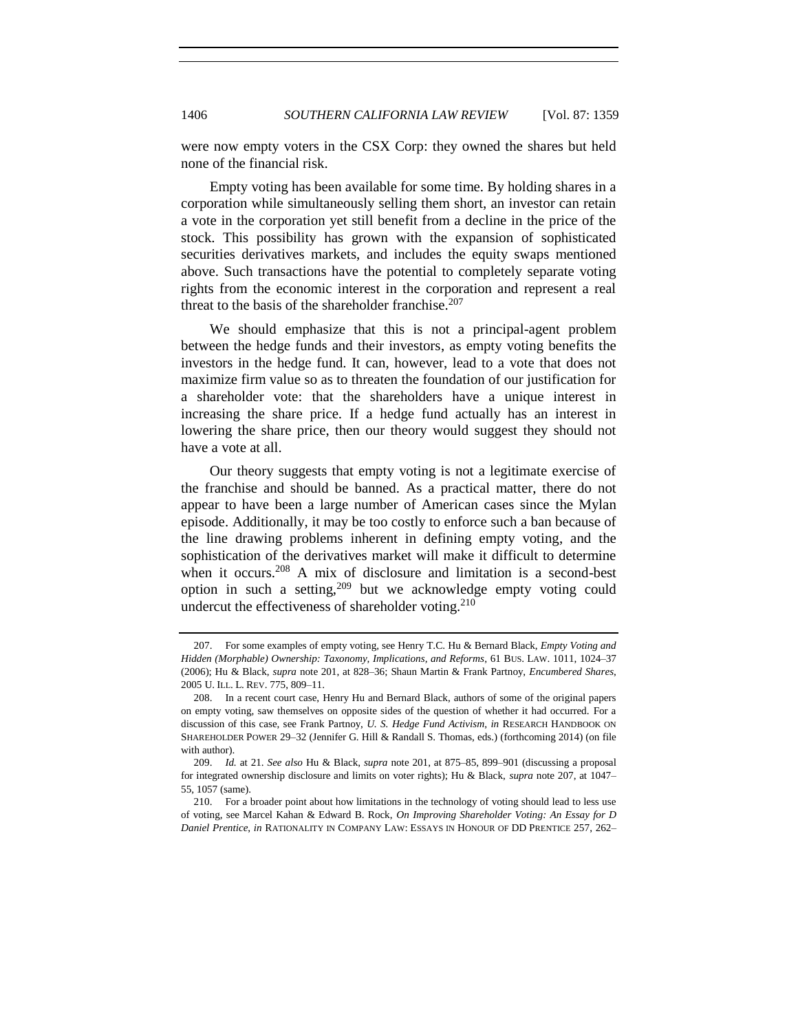were now empty voters in the CSX Corp: they owned the shares but held none of the financial risk.

Empty voting has been available for some time. By holding shares in a corporation while simultaneously selling them short, an investor can retain a vote in the corporation yet still benefit from a decline in the price of the stock. This possibility has grown with the expansion of sophisticated securities derivatives markets, and includes the equity swaps mentioned above. Such transactions have the potential to completely separate voting rights from the economic interest in the corporation and represent a real threat to the basis of the shareholder franchise. $207$ 

<span id="page-47-0"></span>We should emphasize that this is not a principal-agent problem between the hedge funds and their investors, as empty voting benefits the investors in the hedge fund. It can, however, lead to a vote that does not maximize firm value so as to threaten the foundation of our justification for a shareholder vote: that the shareholders have a unique interest in increasing the share price. If a hedge fund actually has an interest in lowering the share price, then our theory would suggest they should not have a vote at all.

Our theory suggests that empty voting is not a legitimate exercise of the franchise and should be banned. As a practical matter, there do not appear to have been a large number of American cases since the Mylan episode. Additionally, it may be too costly to enforce such a ban because of the line drawing problems inherent in defining empty voting, and the sophistication of the derivatives market will make it difficult to determine when it occurs.<sup>208</sup> A mix of disclosure and limitation is a second-best option in such a setting,<sup>209</sup> but we acknowledge empty voting could undercut the effectiveness of shareholder voting. $210$ 

<sup>207.</sup> For some examples of empty voting, see Henry T.C. Hu & Bernard Black, *Empty Voting and Hidden (Morphable) Ownership: Taxonomy, Implications, and Reforms*, 61 BUS. LAW. 1011, 1024–37 (2006); Hu & Black, *supra* not[e 201,](#page-46-0) at 828–36; Shaun Martin & Frank Partnoy, *Encumbered Shares*, 2005 U. ILL. L. REV. 775, 809–11.

<sup>208.</sup> In a recent court case, Henry Hu and Bernard Black, authors of some of the original papers on empty voting, saw themselves on opposite sides of the question of whether it had occurred. For a discussion of this case, see Frank Partnoy, *U. S. Hedge Fund Activism*, *in* RESEARCH HANDBOOK ON SHAREHOLDER POWER 29–32 (Jennifer G. Hill & Randall S. Thomas, eds.) (forthcoming 2014) (on file with author).

<sup>209.</sup> *Id.* at 21. *See also* Hu & Black, *supra* not[e 201,](#page-46-0) at 875–85, 899–901 (discussing a proposal for integrated ownership disclosure and limits on voter rights); Hu & Black, *supra* note [207,](#page-47-0) at 1047– 55, 1057 (same).

<sup>210.</sup> For a broader point about how limitations in the technology of voting should lead to less use of voting, see Marcel Kahan & Edward B. Rock, *On Improving Shareholder Voting: An Essay for D Daniel Prentice*, *in* RATIONALITY IN COMPANY LAW: ESSAYS IN HONOUR OF DD PRENTICE 257, 262–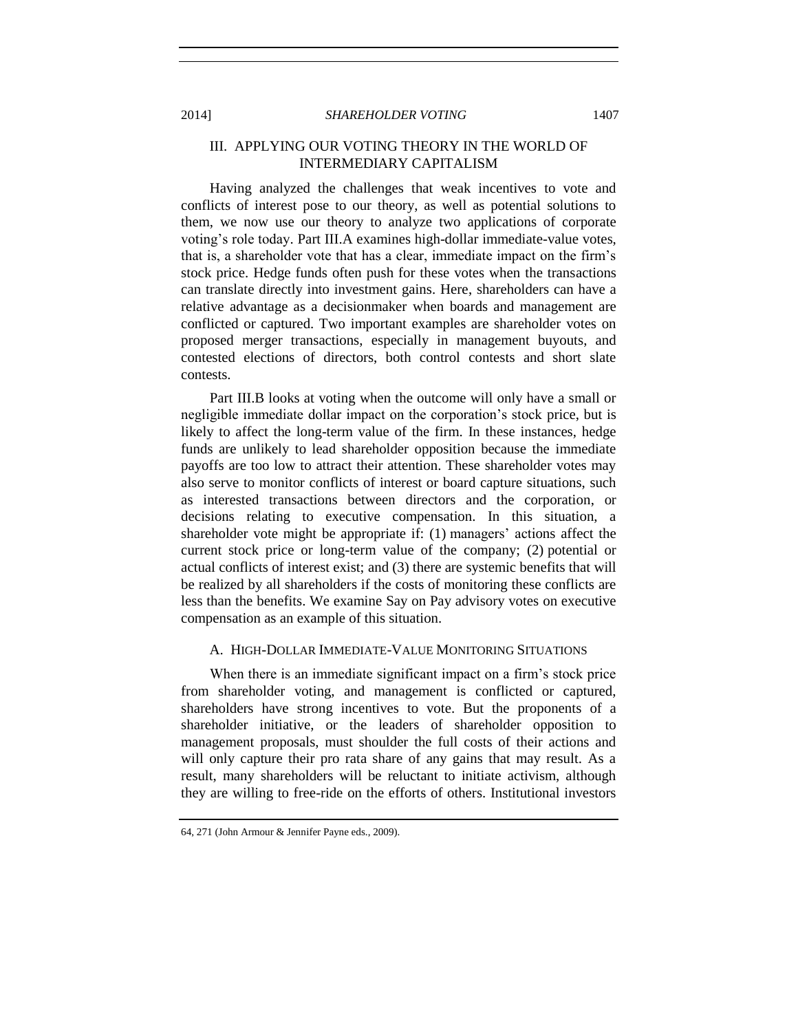# III. APPLYING OUR VOTING THEORY IN THE WORLD OF INTERMEDIARY CAPITALISM

Having analyzed the challenges that weak incentives to vote and conflicts of interest pose to our theory, as well as potential solutions to them, we now use our theory to analyze two applications of corporate voting's role today. Part III.A examines high-dollar immediate-value votes, that is, a shareholder vote that has a clear, immediate impact on the firm's stock price. Hedge funds often push for these votes when the transactions can translate directly into investment gains. Here, shareholders can have a relative advantage as a decisionmaker when boards and management are conflicted or captured. Two important examples are shareholder votes on proposed merger transactions, especially in management buyouts, and contested elections of directors, both control contests and short slate contests.

Part III.B looks at voting when the outcome will only have a small or negligible immediate dollar impact on the corporation's stock price, but is likely to affect the long-term value of the firm. In these instances, hedge funds are unlikely to lead shareholder opposition because the immediate payoffs are too low to attract their attention. These shareholder votes may also serve to monitor conflicts of interest or board capture situations, such as interested transactions between directors and the corporation, or decisions relating to executive compensation. In this situation, a shareholder vote might be appropriate if: (1) managers' actions affect the current stock price or long-term value of the company; (2) potential or actual conflicts of interest exist; and (3) there are systemic benefits that will be realized by all shareholders if the costs of monitoring these conflicts are less than the benefits. We examine Say on Pay advisory votes on executive compensation as an example of this situation.

#### A. HIGH-DOLLAR IMMEDIATE-VALUE MONITORING SITUATIONS

When there is an immediate significant impact on a firm's stock price from shareholder voting, and management is conflicted or captured, shareholders have strong incentives to vote. But the proponents of a shareholder initiative, or the leaders of shareholder opposition to management proposals, must shoulder the full costs of their actions and will only capture their pro rata share of any gains that may result. As a result, many shareholders will be reluctant to initiate activism, although they are willing to free-ride on the efforts of others. Institutional investors

<sup>64,</sup> 271 (John Armour & Jennifer Payne eds., 2009).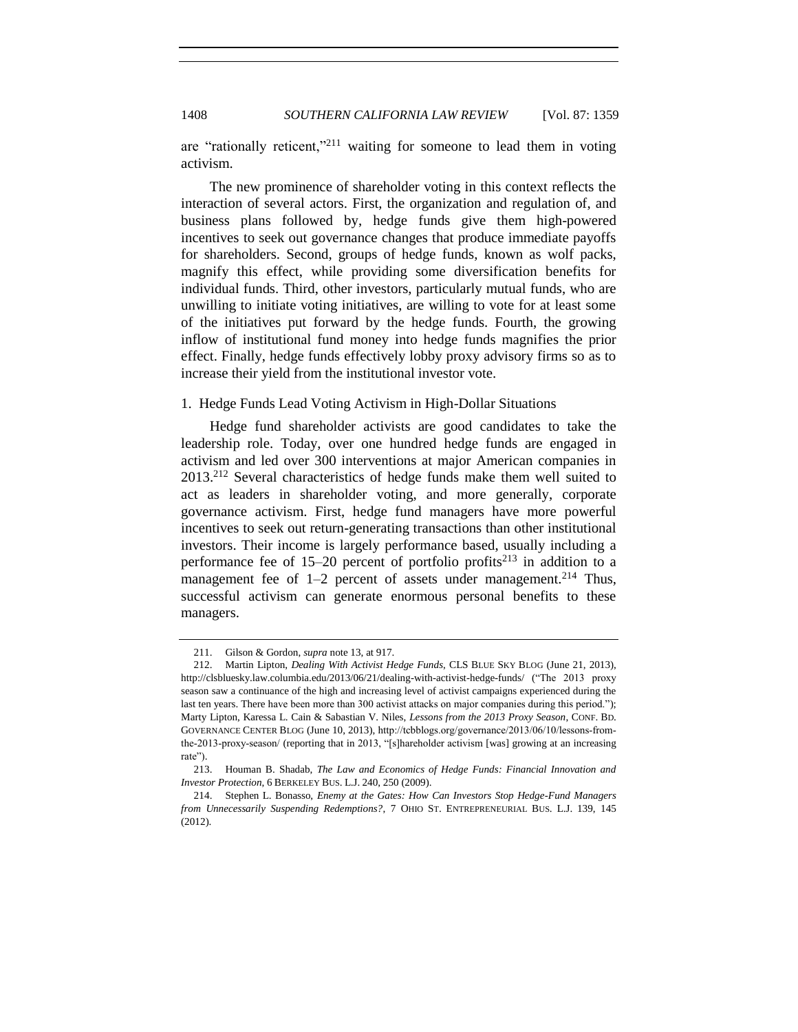are "rationally reticent,"<sup>211</sup> waiting for someone to lead them in voting activism.

The new prominence of shareholder voting in this context reflects the interaction of several actors. First, the organization and regulation of, and business plans followed by, hedge funds give them high-powered incentives to seek out governance changes that produce immediate payoffs for shareholders. Second, groups of hedge funds, known as wolf packs, magnify this effect, while providing some diversification benefits for individual funds. Third, other investors, particularly mutual funds, who are unwilling to initiate voting initiatives, are willing to vote for at least some of the initiatives put forward by the hedge funds. Fourth, the growing inflow of institutional fund money into hedge funds magnifies the prior effect. Finally, hedge funds effectively lobby proxy advisory firms so as to increase their yield from the institutional investor vote.

### 1. Hedge Funds Lead Voting Activism in High-Dollar Situations

<span id="page-49-0"></span>Hedge fund shareholder activists are good candidates to take the leadership role. Today, over one hundred hedge funds are engaged in activism and led over 300 interventions at major American companies in 2013.<sup>212</sup> Several characteristics of hedge funds make them well suited to act as leaders in shareholder voting, and more generally, corporate governance activism. First, hedge fund managers have more powerful incentives to seek out return-generating transactions than other institutional investors. Their income is largely performance based, usually including a performance fee of  $15-20$  percent of portfolio profits<sup>213</sup> in addition to a management fee of  $1-2$  percent of assets under management.<sup>214</sup> Thus, successful activism can generate enormous personal benefits to these managers.

<span id="page-49-2"></span><span id="page-49-1"></span><sup>211.</sup> Gilson & Gordon, *supra* not[e 13,](#page-2-0) at 917.

<sup>212.</sup> Martin Lipton, *Dealing With Activist Hedge Funds*, CLS BLUE SKY BLOG (June 21, 2013), http://clsbluesky.law.columbia.edu/2013/06/21/dealing-with-activist-hedge-funds/ ("The 2013 proxy season saw a continuance of the high and increasing level of activist campaigns experienced during the last ten years. There have been more than 300 activist attacks on major companies during this period."); Marty Lipton, Karessa L. Cain & Sabastian V. Niles, *Lessons from the 2013 Proxy Season*, CONF. BD. GOVERNANCE CENTER BLOG (June 10, 2013), http://tcbblogs.org/governance/2013/06/10/lessons-fromthe-2013-proxy-season/ (reporting that in 2013, "[s]hareholder activism [was] growing at an increasing rate").

<sup>213.</sup> Houman B. Shadab, *The Law and Economics of Hedge Funds: Financial Innovation and Investor Protection*, 6 BERKELEY BUS. L.J. 240, 250 (2009).

<sup>214.</sup> Stephen L. Bonasso, *Enemy at the Gates: How Can Investors Stop Hedge-Fund Managers from Unnecessarily Suspending Redemptions?*, 7 OHIO ST. ENTREPRENEURIAL BUS. L.J. 139, 145 (2012).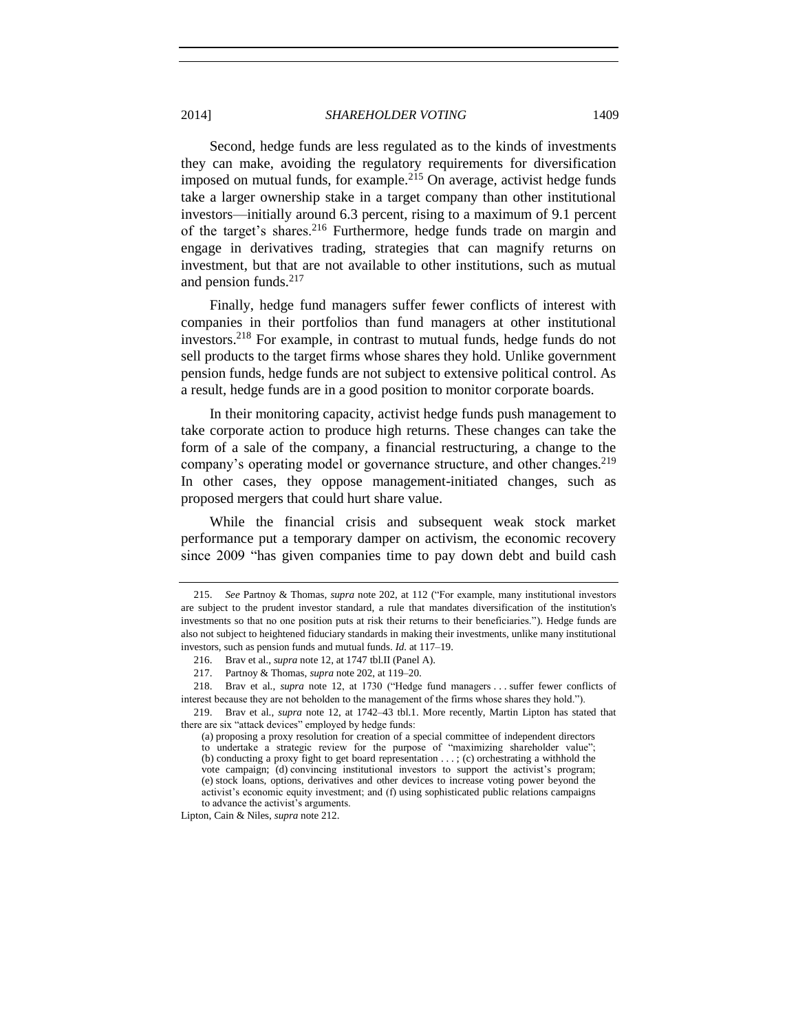Second, hedge funds are less regulated as to the kinds of investments they can make, avoiding the regulatory requirements for diversification imposed on mutual funds, for example.<sup>215</sup> On average, activist hedge funds take a larger ownership stake in a target company than other institutional investors—initially around 6.3 percent, rising to a maximum of 9.1 percent of the target's shares.<sup>216</sup> Furthermore, hedge funds trade on margin and engage in derivatives trading, strategies that can magnify returns on investment, but that are not available to other institutions, such as mutual and pension funds. $217$ 

Finally, hedge fund managers suffer fewer conflicts of interest with companies in their portfolios than fund managers at other institutional investors.<sup>218</sup> For example, in contrast to mutual funds, hedge funds do not sell products to the target firms whose shares they hold. Unlike government pension funds, hedge funds are not subject to extensive political control. As a result, hedge funds are in a good position to monitor corporate boards.

In their monitoring capacity, activist hedge funds push management to take corporate action to produce high returns. These changes can take the form of a sale of the company, a financial restructuring, a change to the company's operating model or governance structure, and other changes.<sup>219</sup> In other cases, they oppose management-initiated changes, such as proposed mergers that could hurt share value.

While the financial crisis and subsequent weak stock market performance put a temporary damper on activism, the economic recovery since 2009 "has given companies time to pay down debt and build cash

Lipton, Cain & Niles, *supra* note [212.](#page-49-0)

<sup>215.</sup> *See* Partnoy & Thomas, *supra* note [202,](#page-46-1) at 112 ("For example, many institutional investors are subject to the prudent investor standard, a rule that mandates diversification of the institution's investments so that no one position puts at risk their returns to their beneficiaries."). Hedge funds are also not subject to heightened fiduciary standards in making their investments, unlike many institutional investors, such as pension funds and mutual funds. *Id.* at 117–19.

<sup>216.</sup> Brav et al., *supra* not[e 12,](#page-2-2) at 1747 tbl.II (Panel A).

<sup>217.</sup> Partnoy & Thomas, *supra* note [202,](#page-46-1) at 119–20.

<sup>218.</sup> Brav et al., *supra* note [12,](#page-2-2) at 1730 ("Hedge fund managers . . . suffer fewer conflicts of interest because they are not beholden to the management of the firms whose shares they hold.").

<sup>219.</sup> Brav et al., *supra* note [12,](#page-2-2) at 1742–43 tbl.1. More recently, Martin Lipton has stated that there are six "attack devices" employed by hedge funds:

<sup>(</sup>a) proposing a proxy resolution for creation of a special committee of independent directors to undertake a strategic review for the purpose of "maximizing shareholder value"; (b) conducting a proxy fight to get board representation . . . ; (c) orchestrating a withhold the vote campaign; (d) convincing institutional investors to support the activist's program; (e) stock loans, options, derivatives and other devices to increase voting power beyond the activist's economic equity investment; and (f) using sophisticated public relations campaigns to advance the activist's arguments.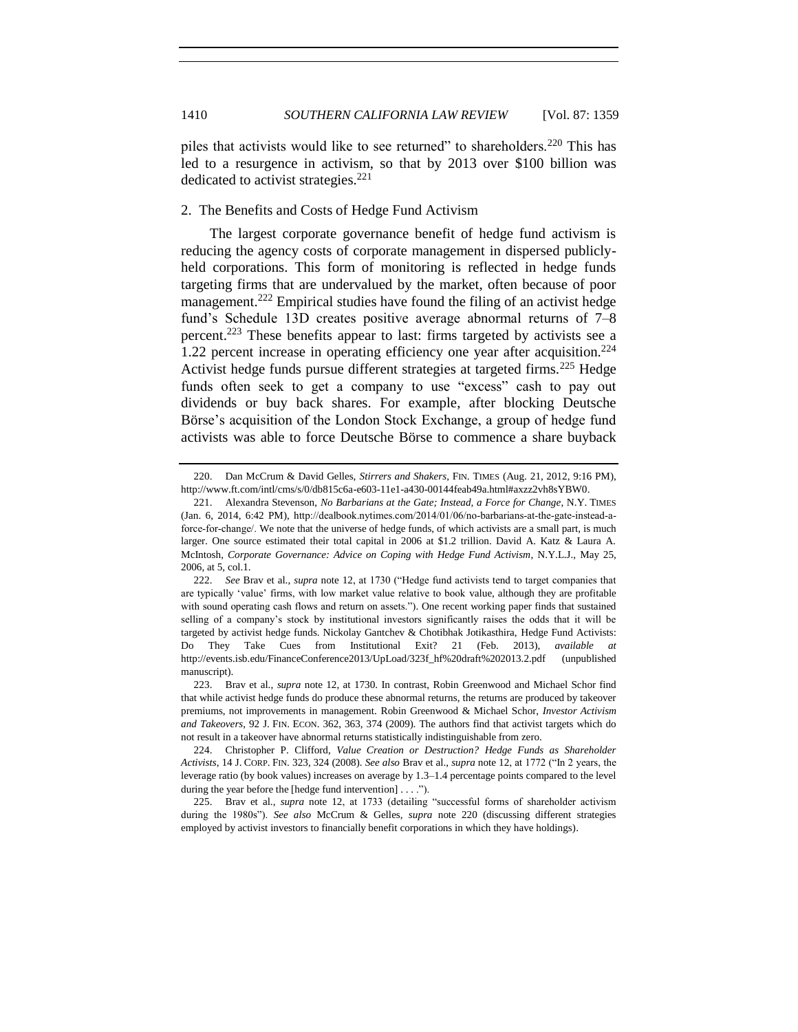<span id="page-51-0"></span>piles that activists would like to see returned" to shareholders.<sup>220</sup> This has led to a resurgence in activism, so that by 2013 over \$100 billion was dedicated to activist strategies. $^{221}$ 

## <span id="page-51-1"></span>2. The Benefits and Costs of Hedge Fund Activism

<span id="page-51-2"></span>The largest corporate governance benefit of hedge fund activism is reducing the agency costs of corporate management in dispersed publiclyheld corporations. This form of monitoring is reflected in hedge funds targeting firms that are undervalued by the market, often because of poor management.<sup>222</sup> Empirical studies have found the filing of an activist hedge fund's Schedule 13D creates positive average abnormal returns of 7–8 percent.<sup>223</sup> These benefits appear to last: firms targeted by activists see a 1.22 percent increase in operating efficiency one year after acquisition.<sup>224</sup> Activist hedge funds pursue different strategies at targeted firms.<sup>225</sup> Hedge funds often seek to get a company to use "excess" cash to pay out dividends or buy back shares. For example, after blocking Deutsche Börse's acquisition of the London Stock Exchange, a group of hedge fund activists was able to force Deutsche Börse to commence a share buyback

<sup>220.</sup> Dan McCrum & David Gelles, *Stirrers and Shakers*, FIN. TIMES (Aug. 21, 2012, 9:16 PM), http://www.ft.com/intl/cms/s/0/db815c6a-e603-11e1-a430-00144feab49a.html#axzz2vh8sYBW0.

<sup>221.</sup> Alexandra Stevenson, *No Barbarians at the Gate; Instead, a Force for Change*, N.Y. TIMES (Jan. 6, 2014, 6:42 PM), http://dealbook.nytimes.com/2014/01/06/no-barbarians-at-the-gate-instead-aforce-for-change/. We note that the universe of hedge funds, of which activists are a small part, is much larger. One source estimated their total capital in 2006 at \$1.2 trillion. David A. Katz & Laura A. McIntosh, *Corporate Governance: Advice on Coping with Hedge Fund Activism*, N.Y.L.J., May 25, 2006, at 5, col.1.

<sup>222.</sup> *See* Brav et al., *supra* note [12,](#page-2-2) at 1730 ("Hedge fund activists tend to target companies that are typically 'value' firms, with low market value relative to book value, although they are profitable with sound operating cash flows and return on assets."). One recent working paper finds that sustained selling of a company's stock by institutional investors significantly raises the odds that it will be targeted by activist hedge funds. Nickolay Gantchev & Chotibhak Jotikasthira, Hedge Fund Activists: Do They Take Cues from Institutional Exit? 21 (Feb. 2013), *available at* http://events.isb.edu/FinanceConference2013/UpLoad/323f\_hf%20draft%202013.2.pdf (unpublished manuscript).

<sup>223.</sup> Brav et al., *supra* note [12,](#page-2-2) at 1730. In contrast, Robin Greenwood and Michael Schor find that while activist hedge funds do produce these abnormal returns, the returns are produced by takeover premiums, not improvements in management. Robin Greenwood & Michael Schor, *Investor Activism and Takeovers*, 92 J. FIN. ECON. 362, 363, 374 (2009). The authors find that activist targets which do not result in a takeover have abnormal returns statistically indistinguishable from zero.

<sup>224.</sup> Christopher P. Clifford, *Value Creation or Destruction? Hedge Funds as Shareholder Activists*, 14 J. CORP. FIN. 323, 324 (2008). *See also* Brav et al., *supra* note [12,](#page-2-2) at 1772 ("In 2 years, the leverage ratio (by book values) increases on average by 1.3–1.4 percentage points compared to the level during the year before the [hedge fund intervention] . . . .").

<sup>225.</sup> Brav et al., *supra* note [12,](#page-2-2) at 1733 (detailing "successful forms of shareholder activism during the 1980s"). *See also* McCrum & Gelles, *supra* note [220](#page-51-0) (discussing different strategies employed by activist investors to financially benefit corporations in which they have holdings).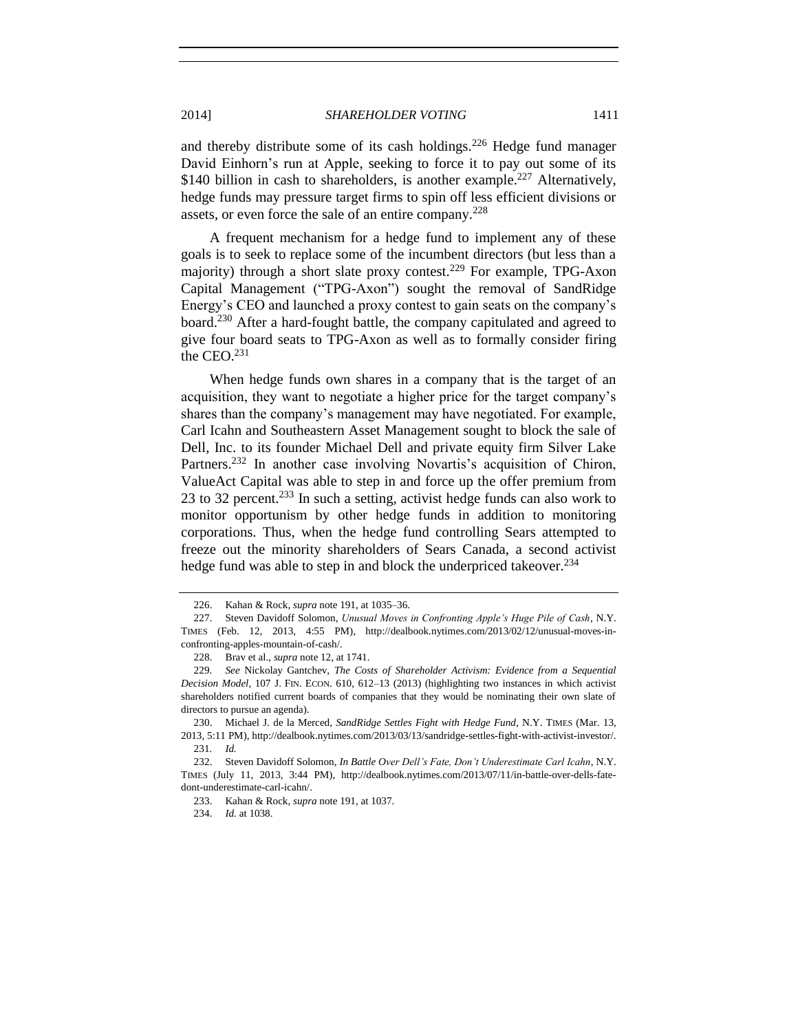and thereby distribute some of its cash holdings.<sup>226</sup> Hedge fund manager David Einhorn's run at Apple, seeking to force it to pay out some of its \$140 billion in cash to shareholders, is another example.<sup>227</sup> Alternatively, hedge funds may pressure target firms to spin off less efficient divisions or assets, or even force the sale of an entire company.<sup>228</sup>

<span id="page-52-0"></span>A frequent mechanism for a hedge fund to implement any of these goals is to seek to replace some of the incumbent directors (but less than a majority) through a short slate proxy contest.<sup>229</sup> For example, TPG-Axon Capital Management ("TPG-Axon") sought the removal of SandRidge Energy's CEO and launched a proxy contest to gain seats on the company's board.<sup>230</sup> After a hard-fought battle, the company capitulated and agreed to give four board seats to TPG-Axon as well as to formally consider firing the CEO.<sup>231</sup>

When hedge funds own shares in a company that is the target of an acquisition, they want to negotiate a higher price for the target company's shares than the company's management may have negotiated. For example, Carl Icahn and Southeastern Asset Management sought to block the sale of Dell, Inc. to its founder Michael Dell and private equity firm Silver Lake Partners.<sup>232</sup> In another case involving Novartis's acquisition of Chiron, ValueAct Capital was able to step in and force up the offer premium from 23 to 32 percent.<sup>233</sup> In such a setting, activist hedge funds can also work to monitor opportunism by other hedge funds in addition to monitoring corporations. Thus, when the hedge fund controlling Sears attempted to freeze out the minority shareholders of Sears Canada, a second activist hedge fund was able to step in and block the underpriced takeover.<sup>234</sup>

230. Michael J. de la Merced, *SandRidge Settles Fight with Hedge Fund*, N.Y. TIMES (Mar. 13, 2013, 5:11 PM), http://dealbook.nytimes.com/2013/03/13/sandridge-settles-fight-with-activist-investor/. 231*. Id.*

232. Steven Davidoff Solomon, *In Battle Over Dell's Fate, Don't Underestimate Carl Icahn*, N.Y. TIMES (July 11, 2013, 3:44 PM), http://dealbook.nytimes.com/2013/07/11/in-battle-over-dells-fatedont-underestimate-carl-icahn/.

233. Kahan & Rock, *supra* not[e 191,](#page-44-0) at 1037.

<sup>226.</sup> Kahan & Rock, *supra* note [191,](#page-44-0) at 1035–36.

<sup>227.</sup> Steven Davidoff Solomon, *Unusual Moves in Confronting Apple's Huge Pile of Cash*, N.Y. TIMES (Feb. 12, 2013, 4:55 PM), http://dealbook.nytimes.com/2013/02/12/unusual-moves-inconfronting-apples-mountain-of-cash/.

<sup>228.</sup> Brav et al., *supra* not[e 12,](#page-2-2) at 1741.

<sup>229</sup>*. See* Nickolay Gantchev, *The Costs of Shareholder Activism: Evidence from a Sequential Decision Model*, 107 J. FIN. ECON. 610, 612–13 (2013) (highlighting two instances in which activist shareholders notified current boards of companies that they would be nominating their own slate of directors to pursue an agenda).

<sup>234.</sup> *Id.* at 1038.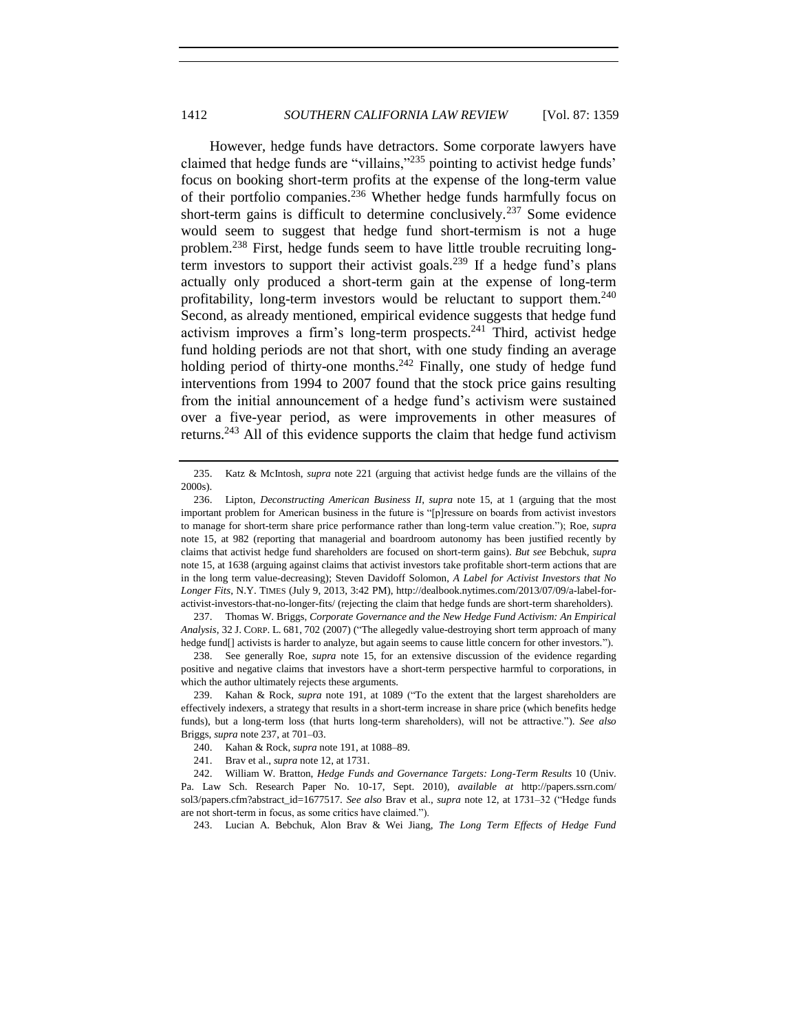<span id="page-53-1"></span><span id="page-53-0"></span>However, hedge funds have detractors. Some corporate lawyers have claimed that hedge funds are "villains,"<sup>235</sup> pointing to activist hedge funds' focus on booking short-term profits at the expense of the long-term value of their portfolio companies.<sup>236</sup> Whether hedge funds harmfully focus on short-term gains is difficult to determine conclusively.<sup>237</sup> Some evidence would seem to suggest that hedge fund short-termism is not a huge problem.<sup>238</sup> First, hedge funds seem to have little trouble recruiting longterm investors to support their activist goals.<sup>239</sup> If a hedge fund's plans actually only produced a short-term gain at the expense of long-term profitability, long-term investors would be reluctant to support them.<sup>240</sup> Second, as already mentioned, empirical evidence suggests that hedge fund activism improves a firm's long-term prospects. $^{241}$  Third, activist hedge fund holding periods are not that short, with one study finding an average holding period of thirty-one months.<sup>242</sup> Finally, one study of hedge fund interventions from 1994 to 2007 found that the stock price gains resulting from the initial announcement of a hedge fund's activism were sustained over a five-year period, as were improvements in other measures of returns.<sup>243</sup> All of this evidence supports the claim that hedge fund activism

237. Thomas W. Briggs, *Corporate Governance and the New Hedge Fund Activism: An Empirical Analysis*, 32 J. CORP. L. 681, 702 (2007) ("The allegedly value-destroying short term approach of many hedge fund[] activists is harder to analyze, but again seems to cause little concern for other investors.").

238. See generally Roe, *supra* note [15,](#page-3-1) for an extensive discussion of the evidence regarding positive and negative claims that investors have a short-term perspective harmful to corporations, in which the author ultimately rejects these arguments.

243. Lucian A. Bebchuk, Alon Brav & Wei Jiang, *The Long Term Effects of Hedge Fund* 

<span id="page-53-2"></span><sup>235.</sup> Katz & McIntosh, *supra* note [221](#page-51-1) (arguing that activist hedge funds are the villains of the 2000s).

<sup>236.</sup> Lipton, *Deconstructing American Business II*, *supra* note [15,](#page-3-1) at 1 (arguing that the most important problem for American business in the future is "[p]ressure on boards from activist investors to manage for short-term share price performance rather than long-term value creation."); Roe, *supra* note [15,](#page-3-1) at 982 (reporting that managerial and boardroom autonomy has been justified recently by claims that activist hedge fund shareholders are focused on short-term gains). *But see* Bebchuk, *supra*  note [15,](#page-3-1) at 1638 (arguing against claims that activist investors take profitable short-term actions that are in the long term value-decreasing); Steven Davidoff Solomon, *A Label for Activist Investors that No Longer Fits*, N.Y. TIMES (July 9, 2013, 3:42 PM), http://dealbook.nytimes.com/2013/07/09/a-label-foractivist-investors-that-no-longer-fits/ (rejecting the claim that hedge funds are short-term shareholders).

<sup>239.</sup> Kahan & Rock, *supra* note [191,](#page-44-0) at 1089 ("To the extent that the largest shareholders are effectively indexers, a strategy that results in a short-term increase in share price (which benefits hedge funds), but a long-term loss (that hurts long-term shareholders), will not be attractive."). *See also*  Briggs, *supra* note [237,](#page-53-0) at 701–03.

<sup>240.</sup> Kahan & Rock, *supra* note [191,](#page-44-0) at 1088–89.

<sup>241.</sup> Brav et al., *supra* not[e 12,](#page-2-2) at 1731.

<sup>242.</sup> William W. Bratton, *Hedge Funds and Governance Targets: Long-Term Results* 10 (Univ. Pa. Law Sch. Research Paper No. 10-17, Sept. 2010), *available at* http://papers.ssrn.com/ sol3/papers.cfm?abstract\_id=1677517. *See also* Brav et al., *supra* note [12,](#page-2-2) at 1731–32 ("Hedge funds are not short-term in focus, as some critics have claimed.").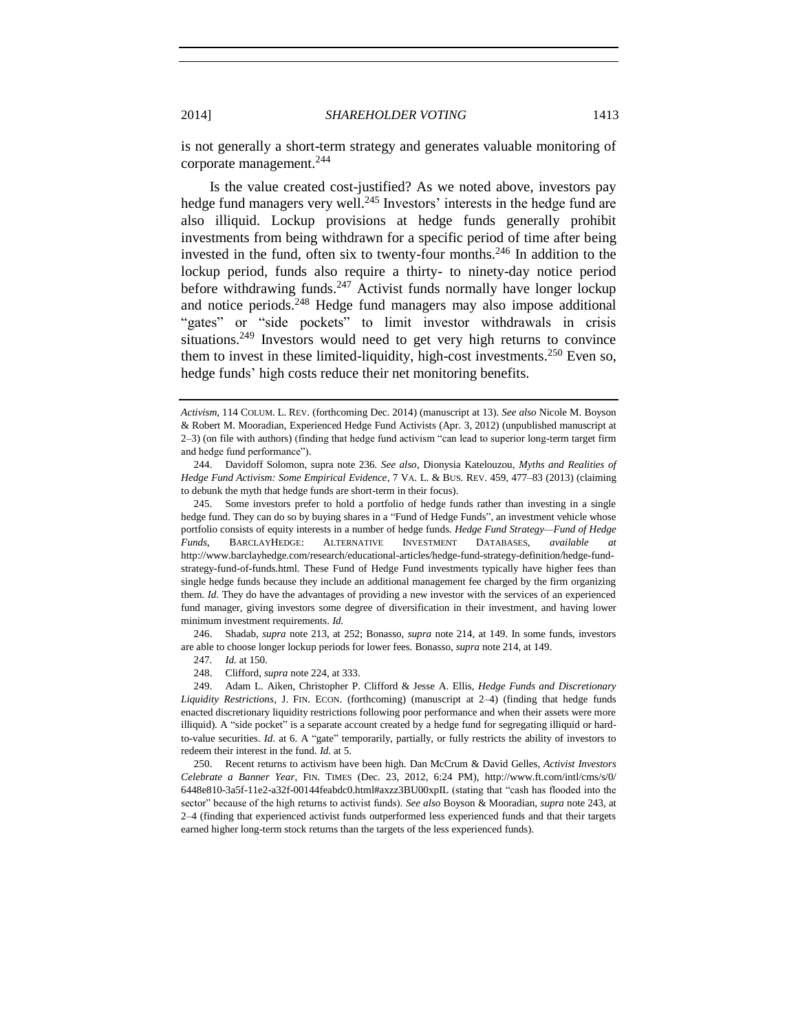is not generally a short-term strategy and generates valuable monitoring of corporate management.<sup>244</sup>

Is the value created cost-justified? As we noted above, investors pay hedge fund managers very well.<sup>245</sup> Investors' interests in the hedge fund are also illiquid. Lockup provisions at hedge funds generally prohibit investments from being withdrawn for a specific period of time after being invested in the fund, often six to twenty-four months.<sup>246</sup> In addition to the lockup period, funds also require a thirty- to ninety-day notice period before withdrawing funds. $247$  Activist funds normally have longer lockup and notice periods.<sup>248</sup> Hedge fund managers may also impose additional "gates" or "side pockets" to limit investor withdrawals in crisis situations.<sup>249</sup> Investors would need to get very high returns to convince them to invest in these limited-liquidity, high-cost investments.<sup>250</sup> Even so, hedge funds' high costs reduce their net monitoring benefits.

*Activism*, 114 COLUM. L. REV. (forthcoming Dec. 2014) (manuscript at 13). *See also* Nicole M. Boyson & Robert M. Mooradian, Experienced Hedge Fund Activists (Apr. 3, 2012) (unpublished manuscript at 2–3) (on file with authors) (finding that hedge fund activism "can lead to superior long-term target firm and hedge fund performance").

<sup>244.</sup> Davidoff Solomon, supra note [236](#page-53-1)*. See also*, Dionysia Katelouzou, *Myths and Realities of Hedge Fund Activism: Some Empirical Evidence*, 7 VA. L. & BUS. REV. 459, 477–83 (2013) (claiming to debunk the myth that hedge funds are short-term in their focus).

<sup>245.</sup> Some investors prefer to hold a portfolio of hedge funds rather than investing in a single hedge fund. They can do so by buying shares in a "Fund of Hedge Funds", an investment vehicle whose portfolio consists of equity interests in a number of hedge funds. *Hedge Fund Strategy—Fund of Hedge Funds*, BARCLAYHEDGE: ALTERNATIVE INVESTMENT DATABASES, *available at* http://www.barclayhedge.com/research/educational-articles/hedge-fund-strategy-definition/hedge-fundstrategy-fund-of-funds.html. These Fund of Hedge Fund investments typically have higher fees than single hedge funds because they include an additional management fee charged by the firm organizing them. *Id.* They do have the advantages of providing a new investor with the services of an experienced fund manager, giving investors some degree of diversification in their investment, and having lower minimum investment requirements. *Id.*

<sup>246.</sup> Shadab, *supra* note [213,](#page-49-1) at 252; Bonasso, *supra* note [214,](#page-49-2) at 149. In some funds, investors are able to choose longer lockup periods for lower fees. Bonasso, *supra* not[e 214,](#page-49-2) at 149.

<sup>247</sup>*. Id.* at 150.

<sup>248.</sup> Clifford, *supra* note [224,](#page-51-2) at 333.

<sup>249.</sup> Adam L. Aiken, Christopher P. Clifford & Jesse A. Ellis, *Hedge Funds and Discretionary Liquidity Restrictions*, J. FIN. ECON. (forthcoming) (manuscript at 2–4) (finding that hedge funds enacted discretionary liquidity restrictions following poor performance and when their assets were more illiquid). A "side pocket" is a separate account created by a hedge fund for segregating illiquid or hardto-value securities. *Id.* at 6. A "gate" temporarily, partially, or fully restricts the ability of investors to redeem their interest in the fund. *Id.* at 5.

<sup>250.</sup> Recent returns to activism have been high. Dan McCrum & David Gelles, *Activist Investors Celebrate a Banner Year*, FIN. TIMES (Dec. 23, 2012, 6:24 PM), http://www.ft.com/intl/cms/s/0/ 6448e810-3a5f-11e2-a32f-00144feabdc0.html#axzz3BU00xpIL (stating that "cash has flooded into the sector" because of the high returns to activist funds). *See also* Boyson & Mooradian, *supra* not[e 243,](#page-53-2) at 2–4 (finding that experienced activist funds outperformed less experienced funds and that their targets earned higher long-term stock returns than the targets of the less experienced funds).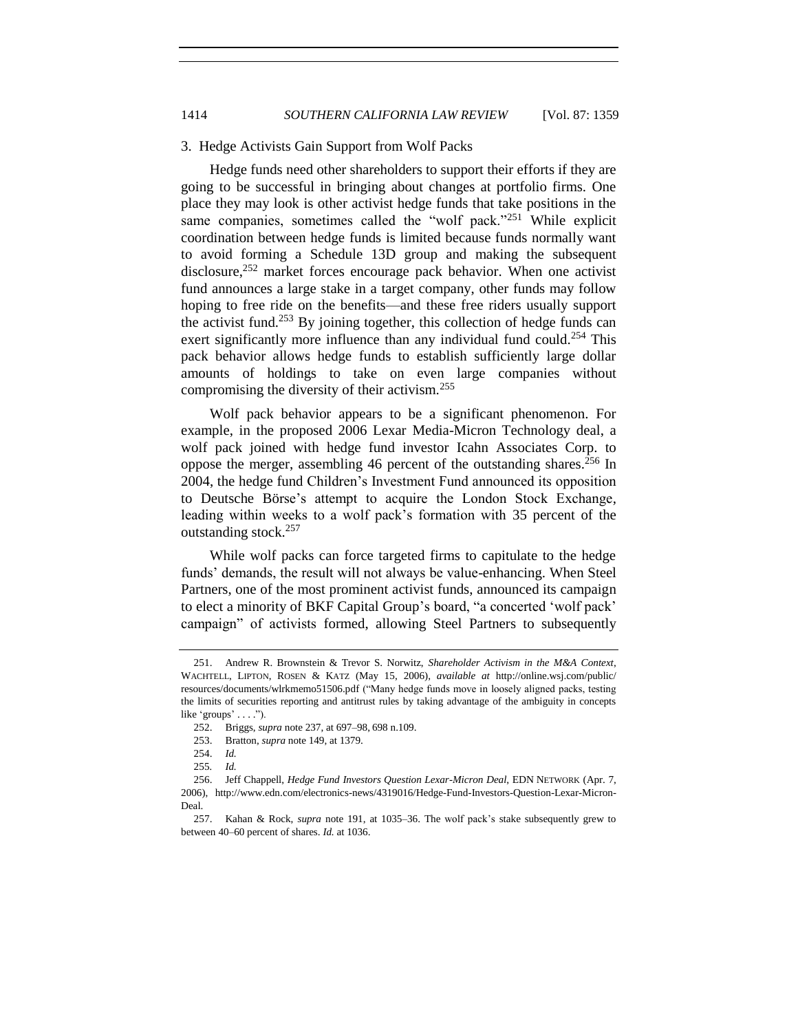#### 3. Hedge Activists Gain Support from Wolf Packs

Hedge funds need other shareholders to support their efforts if they are going to be successful in bringing about changes at portfolio firms. One place they may look is other activist hedge funds that take positions in the same companies, sometimes called the "wolf pack."<sup>251</sup> While explicit coordination between hedge funds is limited because funds normally want to avoid forming a Schedule 13D group and making the subsequent disclosure, $252$  market forces encourage pack behavior. When one activist fund announces a large stake in a target company, other funds may follow hoping to free ride on the benefits—and these free riders usually support the activist fund.<sup>253</sup> By joining together, this collection of hedge funds can exert significantly more influence than any individual fund could.<sup>254</sup> This pack behavior allows hedge funds to establish sufficiently large dollar amounts of holdings to take on even large companies without compromising the diversity of their activism.<sup>255</sup>

Wolf pack behavior appears to be a significant phenomenon. For example, in the proposed 2006 Lexar Media-Micron Technology deal, a wolf pack joined with hedge fund investor Icahn Associates Corp. to oppose the merger, assembling 46 percent of the outstanding shares.<sup>256</sup> In 2004, the hedge fund Children's Investment Fund announced its opposition to Deutsche Börse's attempt to acquire the London Stock Exchange, leading within weeks to a wolf pack's formation with 35 percent of the outstanding stock.<sup>257</sup>

While wolf packs can force targeted firms to capitulate to the hedge funds' demands, the result will not always be value-enhancing. When Steel Partners, one of the most prominent activist funds, announced its campaign to elect a minority of BKF Capital Group's board, "a concerted 'wolf pack' campaign" of activists formed, allowing Steel Partners to subsequently

<sup>251.</sup> Andrew R. Brownstein & Trevor S. Norwitz, *Shareholder Activism in the M&A Context*, WACHTELL, LIPTON, ROSEN & KATZ (May 15, 2006), *available at* http://online.wsj.com/public/ resources/documents/wlrkmemo51506.pdf ("Many hedge funds move in loosely aligned packs, testing the limits of securities reporting and antitrust rules by taking advantage of the ambiguity in concepts like 'groups' . . . .").

<sup>252.</sup> Briggs, *supra* note [237,](#page-53-0) at 697–98, 698 n.109.

<sup>253.</sup> Bratton, *supra* note [149,](#page-36-1) at 1379.

<sup>254.</sup> *Id.* 

<sup>255</sup>*. Id.* 

<sup>256.</sup> Jeff Chappell, *Hedge Fund Investors Question Lexar-Micron Deal*, EDN NETWORK (Apr. 7, 2006), http://www.edn.com/electronics-news/4319016/Hedge-Fund-Investors-Question-Lexar-Micron-Deal.

<sup>257.</sup> Kahan & Rock, *supra* note [191,](#page-44-0) at 1035–36. The wolf pack's stake subsequently grew to between 40–60 percent of shares. *Id.* at 1036.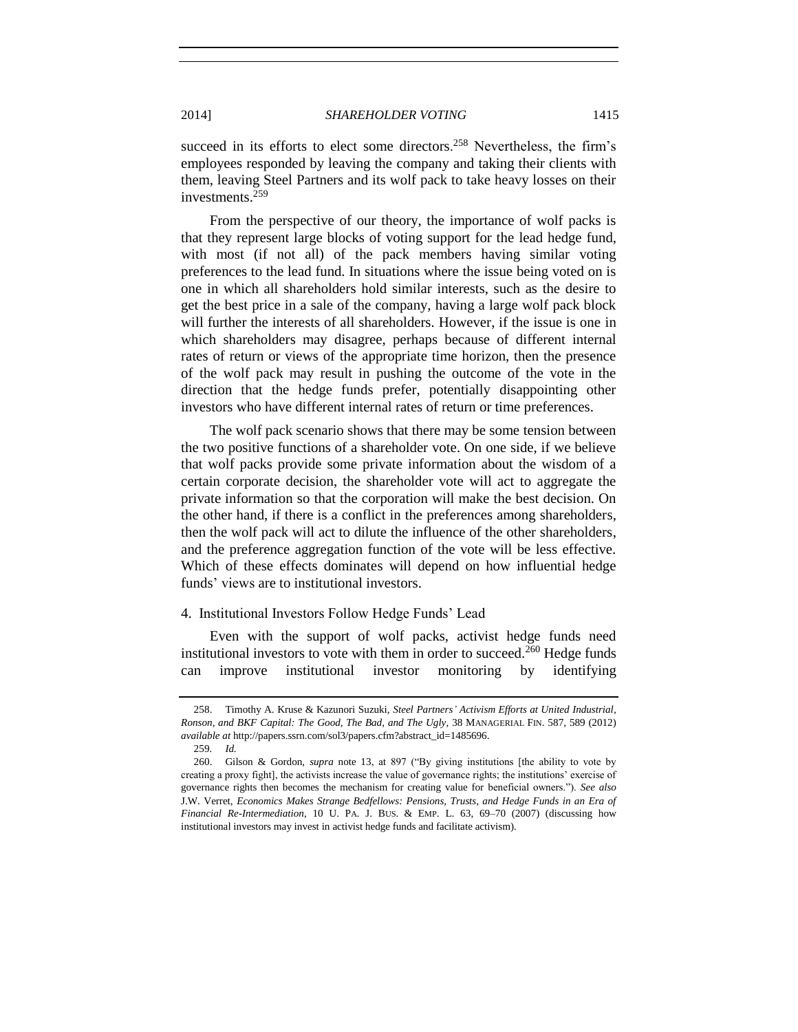succeed in its efforts to elect some directors.<sup>258</sup> Nevertheless, the firm's employees responded by leaving the company and taking their clients with them, leaving Steel Partners and its wolf pack to take heavy losses on their investments.<sup>259</sup>

From the perspective of our theory, the importance of wolf packs is that they represent large blocks of voting support for the lead hedge fund, with most (if not all) of the pack members having similar voting preferences to the lead fund. In situations where the issue being voted on is one in which all shareholders hold similar interests, such as the desire to get the best price in a sale of the company, having a large wolf pack block will further the interests of all shareholders. However, if the issue is one in which shareholders may disagree, perhaps because of different internal rates of return or views of the appropriate time horizon, then the presence of the wolf pack may result in pushing the outcome of the vote in the direction that the hedge funds prefer, potentially disappointing other investors who have different internal rates of return or time preferences.

The wolf pack scenario shows that there may be some tension between the two positive functions of a shareholder vote. On one side, if we believe that wolf packs provide some private information about the wisdom of a certain corporate decision, the shareholder vote will act to aggregate the private information so that the corporation will make the best decision. On the other hand, if there is a conflict in the preferences among shareholders, then the wolf pack will act to dilute the influence of the other shareholders, and the preference aggregation function of the vote will be less effective. Which of these effects dominates will depend on how influential hedge funds' views are to institutional investors.

### 4. Institutional Investors Follow Hedge Funds' Lead

<span id="page-56-0"></span>Even with the support of wolf packs, activist hedge funds need institutional investors to vote with them in order to succeed.<sup>260</sup> Hedge funds can improve institutional investor monitoring by identifying

<sup>258.</sup> Timothy A. Kruse & Kazunori Suzuki, *Steel Partners' Activism Efforts at United Industrial, Ronson, and BKF Capital: The Good, The Bad, and The Ugly*, 38 MANAGERIAL FIN. 587, 589 (2012) *available at* http://papers.ssrn.com/sol3/papers.cfm?abstract\_id=1485696.

<sup>259</sup>*. Id.*

<sup>260.</sup> Gilson & Gordon, *supra* note [13,](#page-2-0) at 897 ("By giving institutions [the ability to vote by creating a proxy fight], the activists increase the value of governance rights; the institutions' exercise of governance rights then becomes the mechanism for creating value for beneficial owners."). *See also* J.W. Verret, *Economics Makes Strange Bedfellows: Pensions, Trusts, and Hedge Funds in an Era of Financial Re-Intermediation*, 10 U. PA. J. BUS. & EMP. L. 63, 69–70 (2007) (discussing how institutional investors may invest in activist hedge funds and facilitate activism).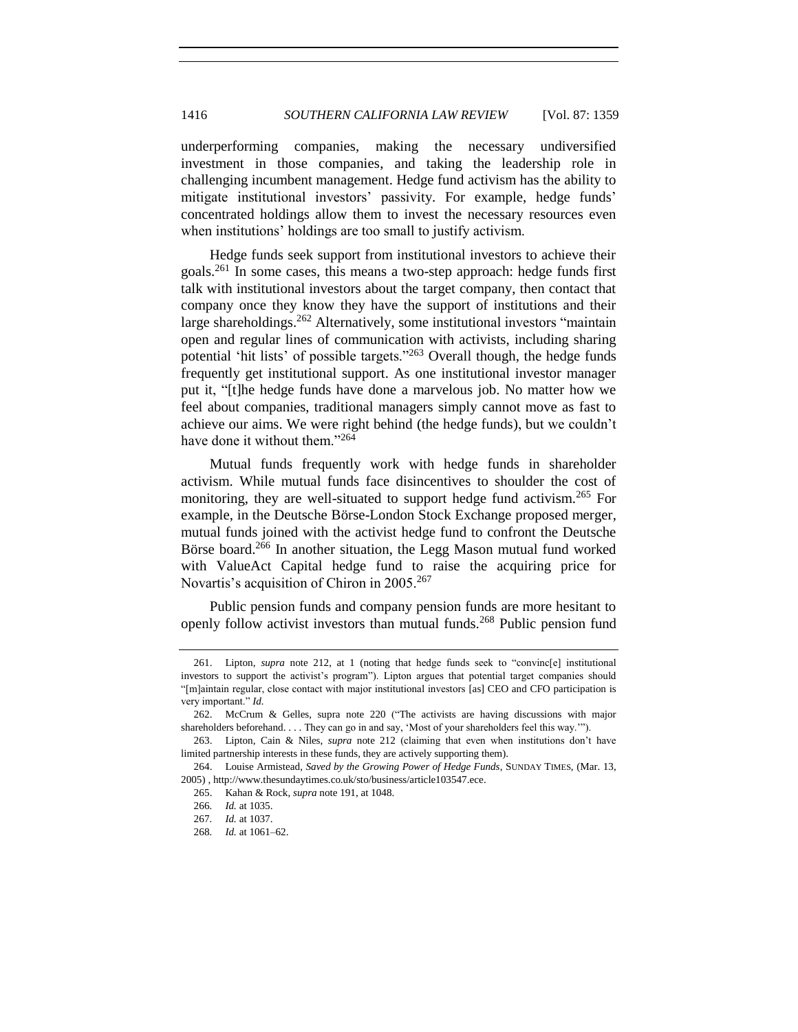underperforming companies, making the necessary undiversified investment in those companies, and taking the leadership role in challenging incumbent management. Hedge fund activism has the ability to mitigate institutional investors' passivity. For example, hedge funds' concentrated holdings allow them to invest the necessary resources even when institutions' holdings are too small to justify activism.

Hedge funds seek support from institutional investors to achieve their goals.<sup>261</sup> In some cases, this means a two-step approach: hedge funds first talk with institutional investors about the target company, then contact that company once they know they have the support of institutions and their large shareholdings.<sup>262</sup> Alternatively, some institutional investors "maintain open and regular lines of communication with activists, including sharing potential 'hit lists' of possible targets."<sup>263</sup> Overall though, the hedge funds frequently get institutional support. As one institutional investor manager put it, "[t]he hedge funds have done a marvelous job. No matter how we feel about companies, traditional managers simply cannot move as fast to achieve our aims. We were right behind (the hedge funds), but we couldn't have done it without them."<sup>264</sup>

Mutual funds frequently work with hedge funds in shareholder activism. While mutual funds face disincentives to shoulder the cost of monitoring, they are well-situated to support hedge fund activism.<sup>265</sup> For example, in the Deutsche Börse-London Stock Exchange proposed merger, mutual funds joined with the activist hedge fund to confront the Deutsche Börse board.<sup>266</sup> In another situation, the Legg Mason mutual fund worked with ValueAct Capital hedge fund to raise the acquiring price for Novartis's acquisition of Chiron in 2005.<sup>267</sup>

Public pension funds and company pension funds are more hesitant to openly follow activist investors than mutual funds.<sup>268</sup> Public pension fund

<sup>261.</sup> Lipton, *supra* note [212,](#page-49-0) at 1 (noting that hedge funds seek to "convinc[e] institutional investors to support the activist's program"). Lipton argues that potential target companies should "[m]aintain regular, close contact with major institutional investors [as] CEO and CFO participation is very important." *Id.*

<sup>262.</sup> McCrum & Gelles, supra note [220](#page-51-0) ("The activists are having discussions with major shareholders beforehand. . . . They can go in and say, 'Most of your shareholders feel this way.'").

<sup>263.</sup> Lipton, Cain & Niles, *supra* note [212](#page-49-0) (claiming that even when institutions don't have limited partnership interests in these funds, they are actively supporting them).

<sup>264.</sup> Louise Armistead, *Saved by the Growing Power of Hedge Funds*, SUNDAY TIMES, (Mar. 13, 2005) , http://www.thesundaytimes.co.uk/sto/business/article103547.ece.

<sup>265.</sup> Kahan & Rock, *supra* not[e 191,](#page-44-0) at 1048.

<sup>266</sup>*. Id.* at 1035.

<sup>267</sup>*. Id.* at 1037.

<sup>268</sup>*. Id.* at 1061–62.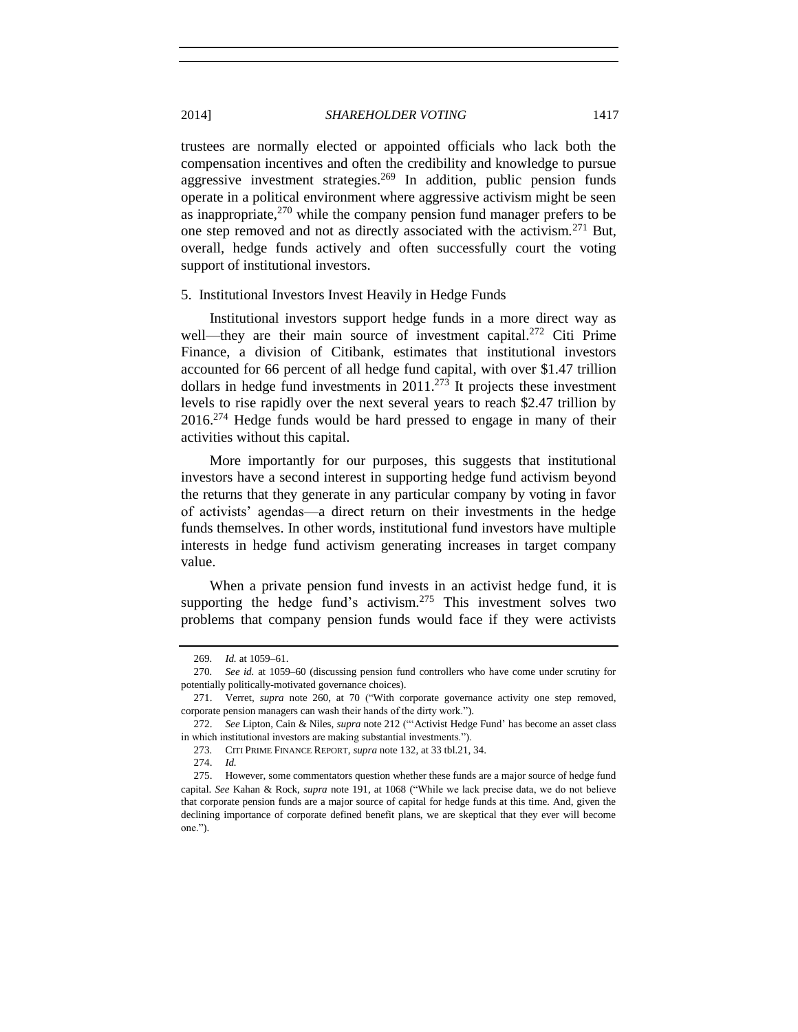trustees are normally elected or appointed officials who lack both the compensation incentives and often the credibility and knowledge to pursue aggressive investment strategies.<sup>269</sup> In addition, public pension funds operate in a political environment where aggressive activism might be seen as inappropriate, $270$  while the company pension fund manager prefers to be one step removed and not as directly associated with the activism.<sup>271</sup> But, overall, hedge funds actively and often successfully court the voting support of institutional investors.

#### 5. Institutional Investors Invest Heavily in Hedge Funds

Institutional investors support hedge funds in a more direct way as well—they are their main source of investment capital.<sup>272</sup> Citi Prime Finance, a division of Citibank, estimates that institutional investors accounted for 66 percent of all hedge fund capital, with over \$1.47 trillion dollars in hedge fund investments in  $2011$ .<sup>273</sup> It projects these investment levels to rise rapidly over the next several years to reach \$2.47 trillion by  $2016<sup>274</sup>$  Hedge funds would be hard pressed to engage in many of their activities without this capital.

More importantly for our purposes, this suggests that institutional investors have a second interest in supporting hedge fund activism beyond the returns that they generate in any particular company by voting in favor of activists' agendas—a direct return on their investments in the hedge funds themselves. In other words, institutional fund investors have multiple interests in hedge fund activism generating increases in target company value.

When a private pension fund invests in an activist hedge fund, it is supporting the hedge fund's activism. $275$  This investment solves two problems that company pension funds would face if they were activists

<sup>269</sup>*. Id.* at 1059–61.

<sup>270</sup>*. See id.* at 1059–60 (discussing pension fund controllers who have come under scrutiny for potentially politically-motivated governance choices).

<sup>271.</sup> Verret, *supra* note [260,](#page-56-0) at 70 ("With corporate governance activity one step removed, corporate pension managers can wash their hands of the dirty work.").

<sup>272.</sup> *See* Lipton, Cain & Niles, *supra* note [212](#page-49-0) ("'Activist Hedge Fund' has become an asset class in which institutional investors are making substantial investments.").

<sup>273</sup>*.* CITI PRIME FINANCE REPORT, *supra* not[e 132,](#page-32-0) at 33 tbl.21, 34.

<sup>274.</sup> *Id.*

<sup>275.</sup> However, some commentators question whether these funds are a major source of hedge fund capital. *See* Kahan & Rock, *supra* note [191,](#page-44-0) at 1068 ("While we lack precise data, we do not believe that corporate pension funds are a major source of capital for hedge funds at this time. And, given the declining importance of corporate defined benefit plans, we are skeptical that they ever will become one.").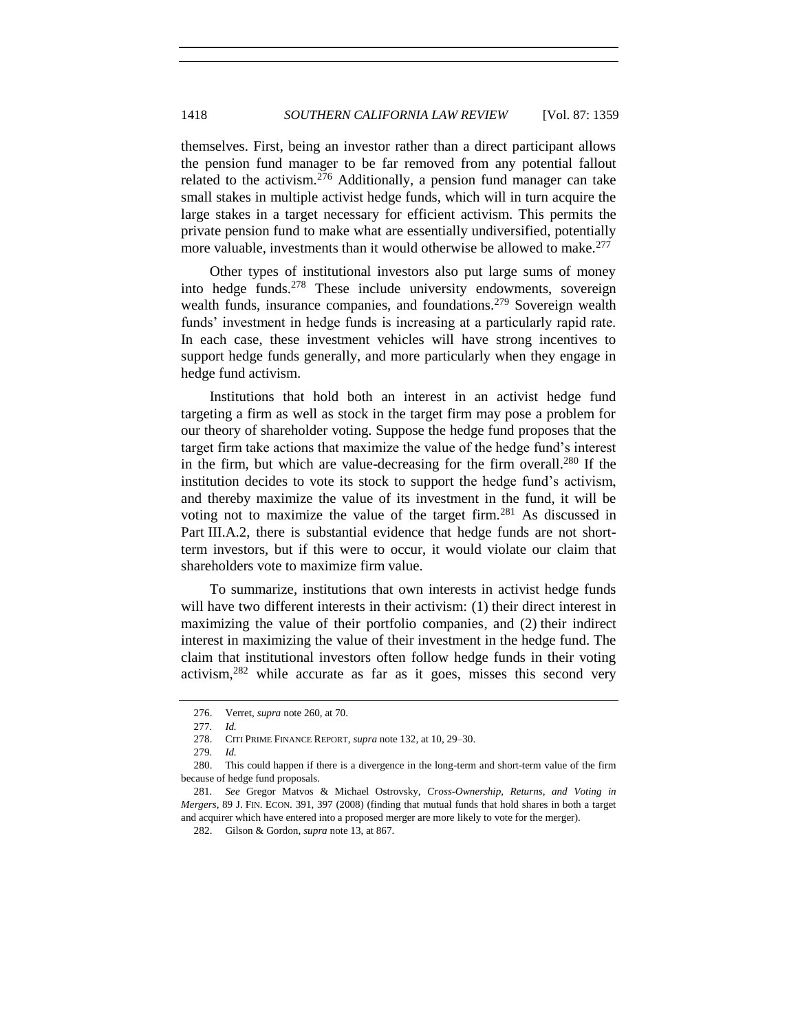themselves. First, being an investor rather than a direct participant allows the pension fund manager to be far removed from any potential fallout related to the activism.<sup>276</sup> Additionally, a pension fund manager can take small stakes in multiple activist hedge funds, which will in turn acquire the large stakes in a target necessary for efficient activism. This permits the private pension fund to make what are essentially undiversified, potentially more valuable, investments than it would otherwise be allowed to make.<sup>277</sup>

Other types of institutional investors also put large sums of money into hedge funds.<sup>278</sup> These include university endowments, sovereign wealth funds, insurance companies, and foundations.<sup>279</sup> Sovereign wealth funds' investment in hedge funds is increasing at a particularly rapid rate. In each case, these investment vehicles will have strong incentives to support hedge funds generally, and more particularly when they engage in hedge fund activism.

Institutions that hold both an interest in an activist hedge fund targeting a firm as well as stock in the target firm may pose a problem for our theory of shareholder voting. Suppose the hedge fund proposes that the target firm take actions that maximize the value of the hedge fund's interest in the firm, but which are value-decreasing for the firm overall.<sup>280</sup> If the institution decides to vote its stock to support the hedge fund's activism, and thereby maximize the value of its investment in the fund, it will be voting not to maximize the value of the target firm.<sup>281</sup> As discussed in Part III.A.2, there is substantial evidence that hedge funds are not shortterm investors, but if this were to occur, it would violate our claim that shareholders vote to maximize firm value.

To summarize, institutions that own interests in activist hedge funds will have two different interests in their activism: (1) their direct interest in maximizing the value of their portfolio companies, and (2) their indirect interest in maximizing the value of their investment in the hedge fund. The claim that institutional investors often follow hedge funds in their voting activism, $282$  while accurate as far as it goes, misses this second very

<sup>276.</sup> Verret, *supra* not[e 260,](#page-56-0) at 70.

<sup>277</sup>*. Id.*

<sup>278.</sup> CITI PRIME FINANCE REPORT, *supra* not[e 132,](#page-32-0) at 10, 29–30.

<sup>279</sup>*. Id.*

<sup>280.</sup> This could happen if there is a divergence in the long-term and short-term value of the firm because of hedge fund proposals.

<sup>281</sup>*. See* Gregor Matvos & Michael Ostrovsky, *Cross-Ownership, Returns, and Voting in Mergers*, 89 J. FIN. ECON. 391, 397 (2008) (finding that mutual funds that hold shares in both a target and acquirer which have entered into a proposed merger are more likely to vote for the merger).

<sup>282.</sup> Gilson & Gordon, *supra* not[e 13,](#page-2-0) at 867.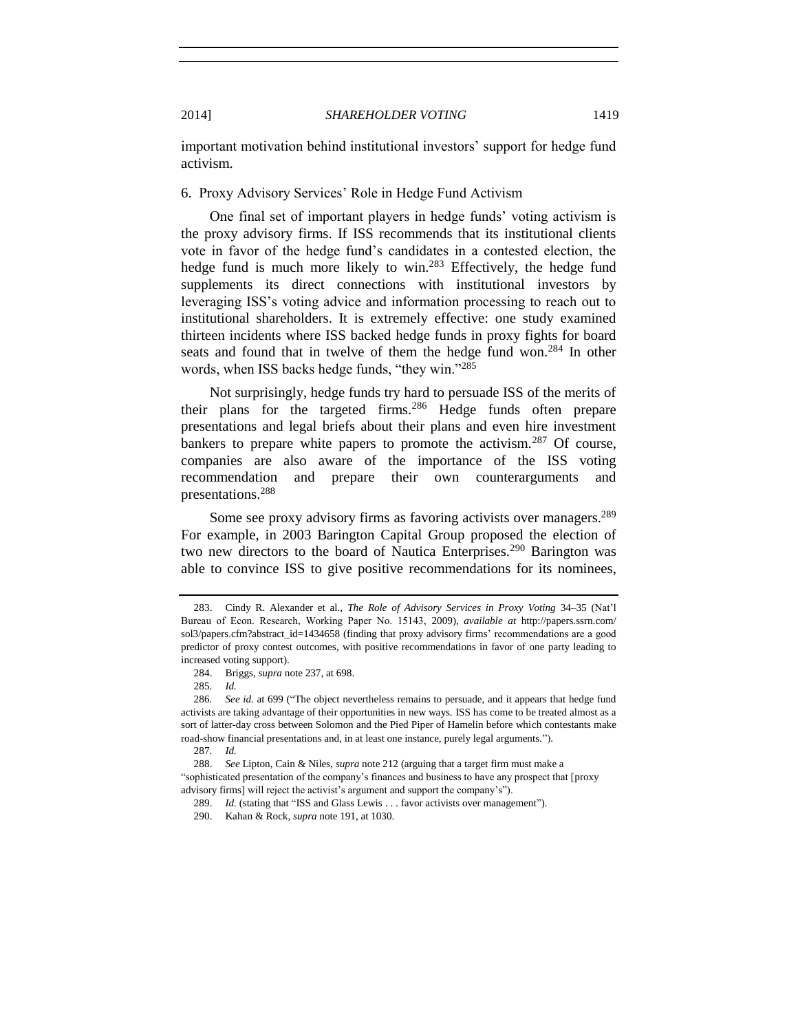important motivation behind institutional investors' support for hedge fund activism.

# 6. Proxy Advisory Services' Role in Hedge Fund Activism

One final set of important players in hedge funds' voting activism is the proxy advisory firms. If ISS recommends that its institutional clients vote in favor of the hedge fund's candidates in a contested election, the hedge fund is much more likely to win.<sup>283</sup> Effectively, the hedge fund supplements its direct connections with institutional investors by leveraging ISS's voting advice and information processing to reach out to institutional shareholders. It is extremely effective: one study examined thirteen incidents where ISS backed hedge funds in proxy fights for board seats and found that in twelve of them the hedge fund won.<sup>284</sup> In other words, when ISS backs hedge funds, "they win."<sup>285</sup>

Not surprisingly, hedge funds try hard to persuade ISS of the merits of their plans for the targeted firms.<sup>286</sup> Hedge funds often prepare presentations and legal briefs about their plans and even hire investment bankers to prepare white papers to promote the activism.<sup>287</sup> Of course, companies are also aware of the importance of the ISS voting recommendation and prepare their own counterarguments and presentations.<sup>288</sup>

Some see proxy advisory firms as favoring activists over managers.<sup>289</sup> For example, in 2003 Barington Capital Group proposed the election of two new directors to the board of Nautica Enterprises.<sup>290</sup> Barington was able to convince ISS to give positive recommendations for its nominees,

<sup>283.</sup> Cindy R. Alexander et al., *The Role of Advisory Services in Proxy Voting* 34–35 (Nat'l Bureau of Econ. Research, Working Paper No. 15143, 2009), *available at* http://papers.ssrn.com/ sol3/papers.cfm?abstract\_id=1434658 (finding that proxy advisory firms' recommendations are a good predictor of proxy contest outcomes, with positive recommendations in favor of one party leading to increased voting support).

<sup>284.</sup> Briggs, *supra* not[e 237,](#page-53-0) at 698.

<sup>285</sup>*. Id.*

<sup>286</sup>*. See id.* at 699 ("The object nevertheless remains to persuade, and it appears that hedge fund activists are taking advantage of their opportunities in new ways. ISS has come to be treated almost as a sort of latter-day cross between Solomon and the Pied Piper of Hamelin before which contestants make road-show financial presentations and, in at least one instance, purely legal arguments.").

<sup>287</sup>*. Id.*

<sup>288.</sup> *See* Lipton, Cain & Niles, *supra* not[e 212](#page-49-0) (arguing that a target firm must make a "sophisticated presentation of the company's finances and business to have any prospect that [proxy advisory firms] will reject the activist's argument and support the company's").

<sup>289.</sup> *Id.* (stating that "ISS and Glass Lewis . . . favor activists over management").

<sup>290.</sup> Kahan & Rock, *supra* not[e 191,](#page-44-0) at 1030.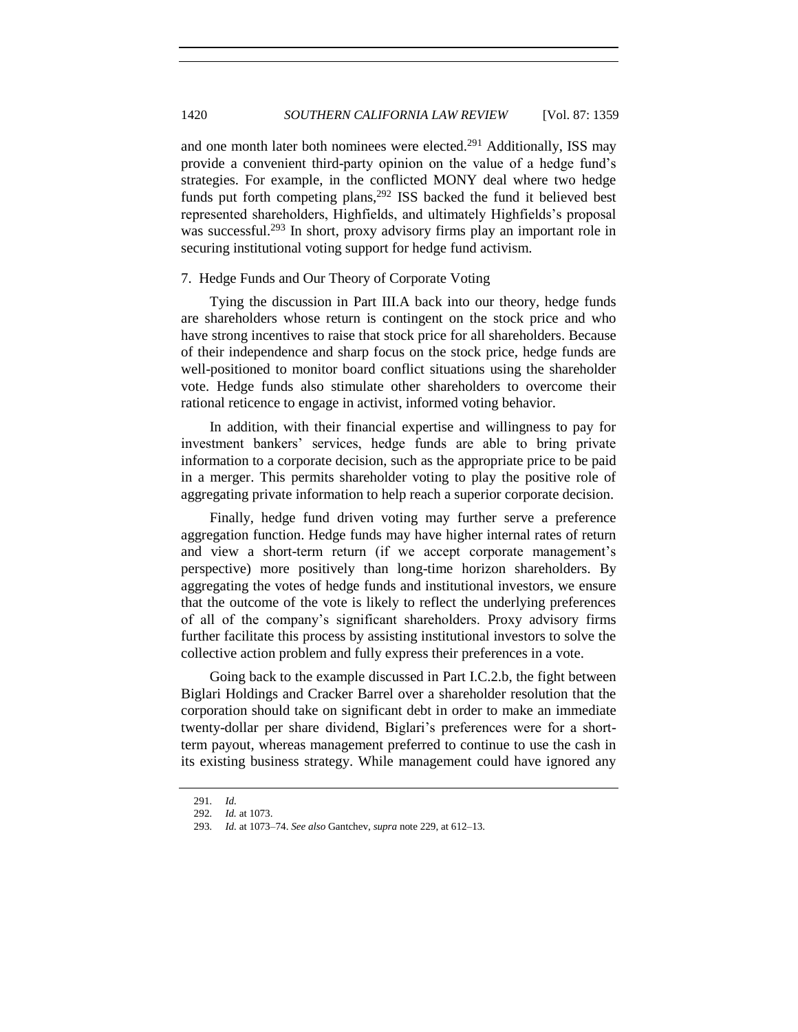and one month later both nominees were elected.<sup>291</sup> Additionally, ISS may provide a convenient third-party opinion on the value of a hedge fund's strategies. For example, in the conflicted MONY deal where two hedge funds put forth competing plans,<sup>292</sup> ISS backed the fund it believed best represented shareholders, Highfields, and ultimately Highfields's proposal was successful.<sup>293</sup> In short, proxy advisory firms play an important role in securing institutional voting support for hedge fund activism.

### 7. Hedge Funds and Our Theory of Corporate Voting

Tying the discussion in Part III.A back into our theory, hedge funds are shareholders whose return is contingent on the stock price and who have strong incentives to raise that stock price for all shareholders. Because of their independence and sharp focus on the stock price, hedge funds are well-positioned to monitor board conflict situations using the shareholder vote. Hedge funds also stimulate other shareholders to overcome their rational reticence to engage in activist, informed voting behavior.

In addition, with their financial expertise and willingness to pay for investment bankers' services, hedge funds are able to bring private information to a corporate decision, such as the appropriate price to be paid in a merger. This permits shareholder voting to play the positive role of aggregating private information to help reach a superior corporate decision.

Finally, hedge fund driven voting may further serve a preference aggregation function. Hedge funds may have higher internal rates of return and view a short-term return (if we accept corporate management's perspective) more positively than long-time horizon shareholders. By aggregating the votes of hedge funds and institutional investors, we ensure that the outcome of the vote is likely to reflect the underlying preferences of all of the company's significant shareholders. Proxy advisory firms further facilitate this process by assisting institutional investors to solve the collective action problem and fully express their preferences in a vote.

Going back to the example discussed in Part I.C.2.b, the fight between Biglari Holdings and Cracker Barrel over a shareholder resolution that the corporation should take on significant debt in order to make an immediate twenty-dollar per share dividend, Biglari's preferences were for a shortterm payout, whereas management preferred to continue to use the cash in its existing business strategy. While management could have ignored any

<sup>291</sup>*. Id.*

<sup>292</sup>*. Id.* at 1073.

<sup>293</sup>*. Id.* at 1073–74. *See also* Gantchev, *supra* not[e 229,](#page-52-0) at 612–13.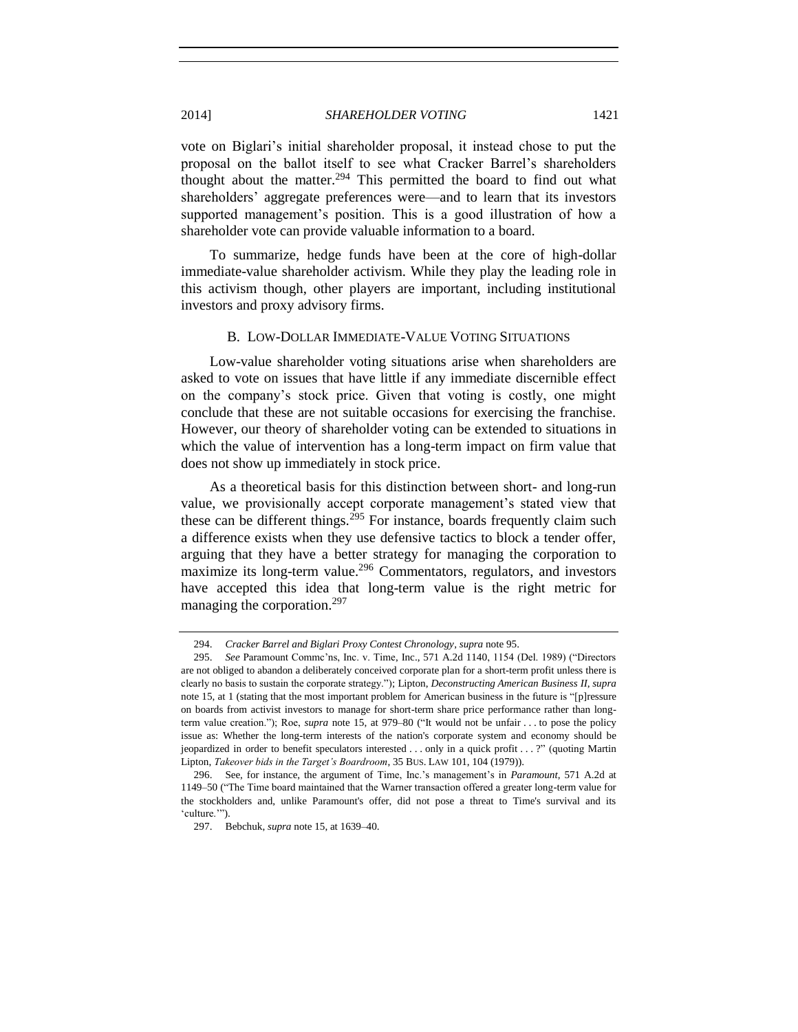vote on Biglari's initial shareholder proposal, it instead chose to put the proposal on the ballot itself to see what Cracker Barrel's shareholders thought about the matter.<sup>294</sup> This permitted the board to find out what shareholders' aggregate preferences were—and to learn that its investors supported management's position. This is a good illustration of how a shareholder vote can provide valuable information to a board.

To summarize, hedge funds have been at the core of high-dollar immediate-value shareholder activism. While they play the leading role in this activism though, other players are important, including institutional investors and proxy advisory firms.

## B. LOW-DOLLAR IMMEDIATE-VALUE VOTING SITUATIONS

Low-value shareholder voting situations arise when shareholders are asked to vote on issues that have little if any immediate discernible effect on the company's stock price. Given that voting is costly, one might conclude that these are not suitable occasions for exercising the franchise. However, our theory of shareholder voting can be extended to situations in which the value of intervention has a long-term impact on firm value that does not show up immediately in stock price.

As a theoretical basis for this distinction between short- and long-run value, we provisionally accept corporate management's stated view that these can be different things.<sup>295</sup> For instance, boards frequently claim such a difference exists when they use defensive tactics to block a tender offer, arguing that they have a better strategy for managing the corporation to maximize its long-term value.<sup>296</sup> Commentators, regulators, and investors have accepted this idea that long-term value is the right metric for managing the corporation.<sup>297</sup>

<sup>294.</sup> *Cracker Barrel and Biglari Proxy Contest Chronology*, *supra* not[e 95.](#page-22-0) 

<sup>295.</sup> *See* Paramount Commc'ns, Inc. v. Time, Inc., 571 A.2d 1140, 1154 (Del. 1989) ("Directors are not obliged to abandon a deliberately conceived corporate plan for a short-term profit unless there is clearly no basis to sustain the corporate strategy."); Lipton, *Deconstructing American Business II*, *supra*  note [15,](#page-3-1) at 1 (stating that the most important problem for American business in the future is "[p]ressure on boards from activist investors to manage for short-term share price performance rather than longterm value creation."); Roe, *supra* note [15,](#page-3-1) at 979–80 ("It would not be unfair . . . to pose the policy issue as: Whether the long-term interests of the nation's corporate system and economy should be jeopardized in order to benefit speculators interested . . . only in a quick profit . . . ?" (quoting Martin Lipton, *Takeover bids in the Target's Boardroom*, 35 BUS. LAW 101, 104 (1979)).

<sup>296.</sup> See, for instance, the argument of Time, Inc.'s management's in *Paramount*, 571 A.2d at 1149–50 ("The Time board maintained that the Warner transaction offered a greater long-term value for the stockholders and, unlike Paramount's offer, did not pose a threat to Time's survival and its 'culture.'").

<sup>297.</sup> Bebchuk, *supra* not[e 15,](#page-3-1) at 1639–40.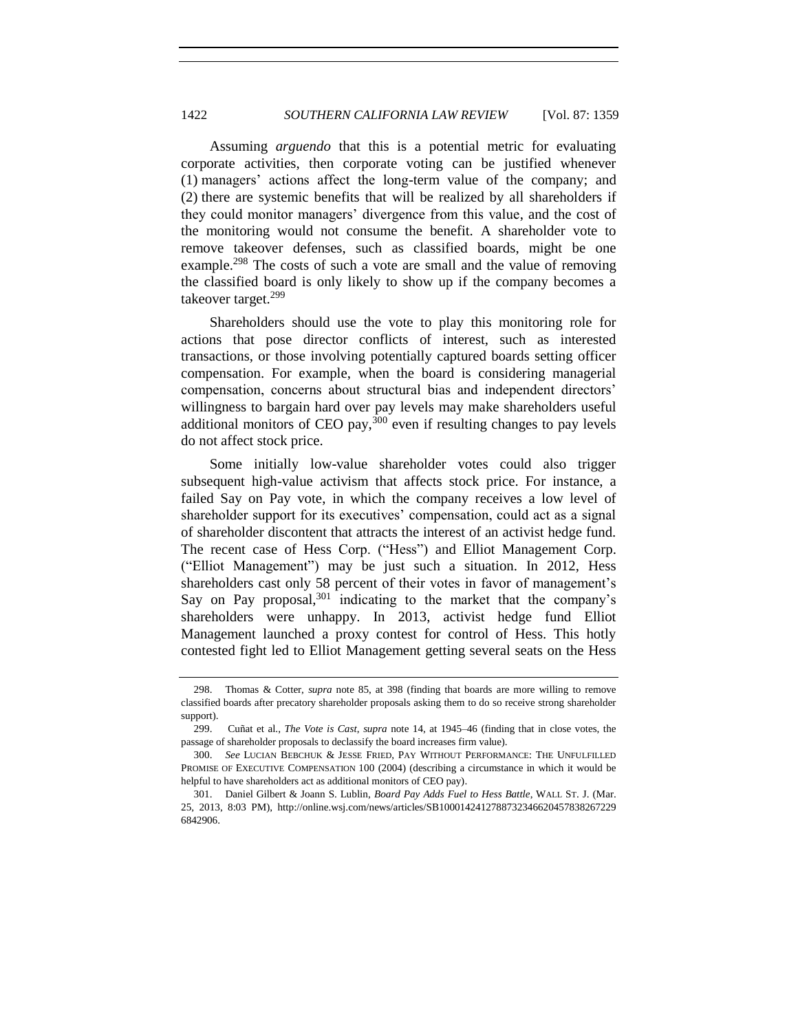Assuming *arguendo* that this is a potential metric for evaluating corporate activities, then corporate voting can be justified whenever (1) managers' actions affect the long-term value of the company; and (2) there are systemic benefits that will be realized by all shareholders if they could monitor managers' divergence from this value, and the cost of the monitoring would not consume the benefit. A shareholder vote to remove takeover defenses, such as classified boards, might be one example.<sup>298</sup> The costs of such a vote are small and the value of removing the classified board is only likely to show up if the company becomes a takeover target.<sup>299</sup>

Shareholders should use the vote to play this monitoring role for actions that pose director conflicts of interest, such as interested transactions, or those involving potentially captured boards setting officer compensation. For example, when the board is considering managerial compensation, concerns about structural bias and independent directors' willingness to bargain hard over pay levels may make shareholders useful additional monitors of CEO pay, $300$  even if resulting changes to pay levels do not affect stock price.

Some initially low-value shareholder votes could also trigger subsequent high-value activism that affects stock price. For instance, a failed Say on Pay vote, in which the company receives a low level of shareholder support for its executives' compensation, could act as a signal of shareholder discontent that attracts the interest of an activist hedge fund. The recent case of Hess Corp. ("Hess") and Elliot Management Corp. ("Elliot Management") may be just such a situation. In 2012, Hess shareholders cast only 58 percent of their votes in favor of management's Say on Pay proposal,  $301$  indicating to the market that the company's shareholders were unhappy. In 2013, activist hedge fund Elliot Management launched a proxy contest for control of Hess. This hotly contested fight led to Elliot Management getting several seats on the Hess

<sup>298.</sup> Thomas & Cotter, *supra* note [85,](#page-20-0) at 398 (finding that boards are more willing to remove classified boards after precatory shareholder proposals asking them to do so receive strong shareholder support).

<sup>299.</sup> Cuñat et al., *The Vote is Cast*, *supra* note [14,](#page-3-2) at 1945–46 (finding that in close votes, the passage of shareholder proposals to declassify the board increases firm value).

<sup>300.</sup> *See* LUCIAN BEBCHUK & JESSE FRIED, PAY WITHOUT PERFORMANCE: THE UNFULFILLED PROMISE OF EXECUTIVE COMPENSATION 100 (2004) (describing a circumstance in which it would be helpful to have shareholders act as additional monitors of CEO pay).

<sup>301.</sup> Daniel Gilbert & Joann S. Lublin, *Board Pay Adds Fuel to Hess Battle*, WALL ST. J. (Mar. 25, 2013, 8:03 PM), http://online.wsj.com/news/articles/SB1000142412788732346620457838267229 6842906.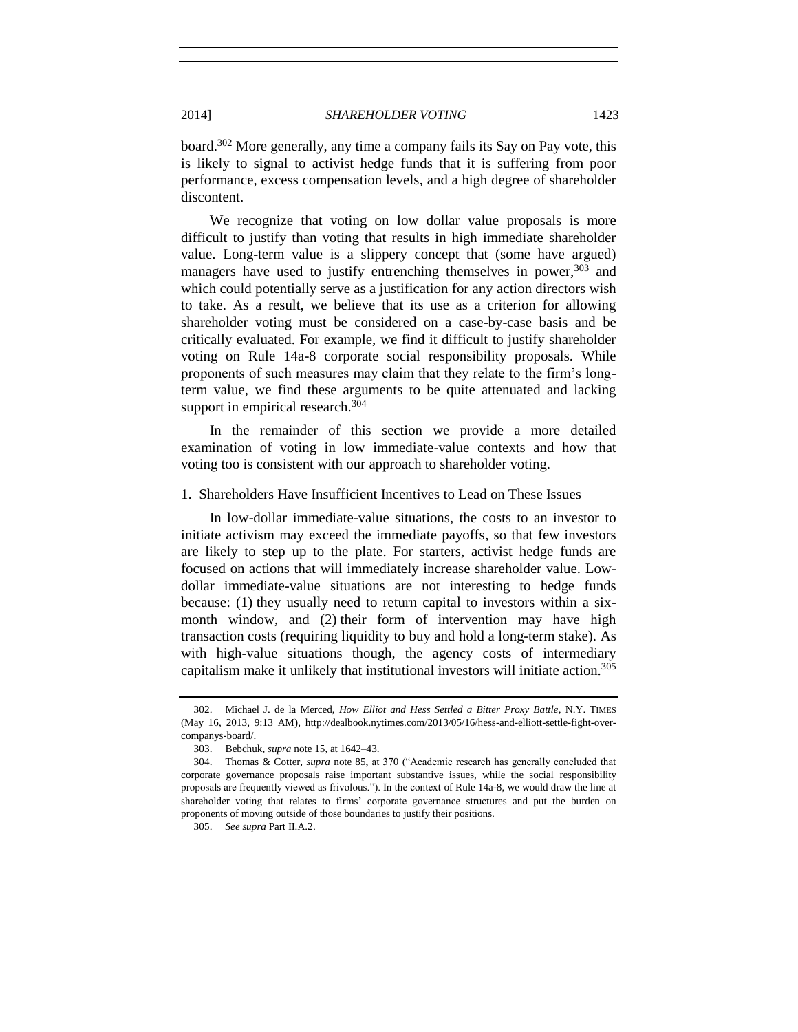board.<sup>302</sup> More generally, any time a company fails its Say on Pay vote, this is likely to signal to activist hedge funds that it is suffering from poor performance, excess compensation levels, and a high degree of shareholder discontent.

We recognize that voting on low dollar value proposals is more difficult to justify than voting that results in high immediate shareholder value. Long-term value is a slippery concept that (some have argued) managers have used to justify entrenching themselves in power,  $303$  and which could potentially serve as a justification for any action directors wish to take. As a result, we believe that its use as a criterion for allowing shareholder voting must be considered on a case-by-case basis and be critically evaluated. For example, we find it difficult to justify shareholder voting on Rule 14a-8 corporate social responsibility proposals. While proponents of such measures may claim that they relate to the firm's longterm value, we find these arguments to be quite attenuated and lacking support in empirical research.<sup>304</sup>

In the remainder of this section we provide a more detailed examination of voting in low immediate-value contexts and how that voting too is consistent with our approach to shareholder voting.

### 1. Shareholders Have Insufficient Incentives to Lead on These Issues

In low-dollar immediate-value situations, the costs to an investor to initiate activism may exceed the immediate payoffs, so that few investors are likely to step up to the plate. For starters, activist hedge funds are focused on actions that will immediately increase shareholder value. Lowdollar immediate-value situations are not interesting to hedge funds because: (1) they usually need to return capital to investors within a sixmonth window, and (2) their form of intervention may have high transaction costs (requiring liquidity to buy and hold a long-term stake). As with high-value situations though, the agency costs of intermediary capitalism make it unlikely that institutional investors will initiate action.<sup>305</sup>

<sup>302.</sup> Michael J. de la Merced, *How Elliot and Hess Settled a Bitter Proxy Battle*, N.Y. TIMES (May 16, 2013, 9:13 AM), http://dealbook.nytimes.com/2013/05/16/hess-and-elliott-settle-fight-overcompanys-board/.

<sup>303.</sup> Bebchuk, *supra* not[e 15,](#page-3-1) at 1642–43.

<sup>304.</sup> Thomas & Cotter, *supra* not[e 85,](#page-20-0) at 370 ("Academic research has generally concluded that corporate governance proposals raise important substantive issues, while the social responsibility proposals are frequently viewed as frivolous."). In the context of Rule 14a-8, we would draw the line at shareholder voting that relates to firms' corporate governance structures and put the burden on proponents of moving outside of those boundaries to justify their positions.

<sup>305.</sup> *See supra* Part II.A.2.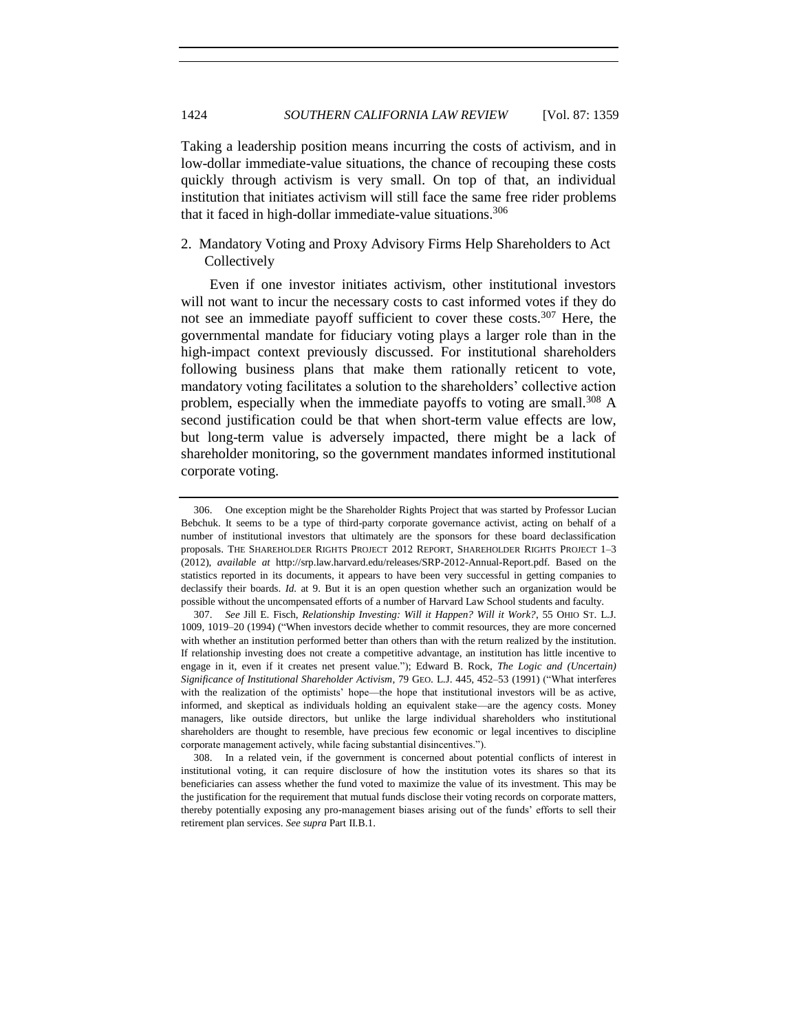Taking a leadership position means incurring the costs of activism, and in low-dollar immediate-value situations, the chance of recouping these costs quickly through activism is very small. On top of that, an individual institution that initiates activism will still face the same free rider problems that it faced in high-dollar immediate-value situations.<sup>306</sup>

# 2. Mandatory Voting and Proxy Advisory Firms Help Shareholders to Act **Collectively**

Even if one investor initiates activism, other institutional investors will not want to incur the necessary costs to cast informed votes if they do not see an immediate payoff sufficient to cover these costs.<sup>307</sup> Here, the governmental mandate for fiduciary voting plays a larger role than in the high-impact context previously discussed. For institutional shareholders following business plans that make them rationally reticent to vote, mandatory voting facilitates a solution to the shareholders' collective action problem, especially when the immediate payoffs to voting are small.<sup>308</sup> A second justification could be that when short-term value effects are low, but long-term value is adversely impacted, there might be a lack of shareholder monitoring, so the government mandates informed institutional corporate voting.

<sup>306.</sup> One exception might be the Shareholder Rights Project that was started by Professor Lucian Bebchuk. It seems to be a type of third-party corporate governance activist, acting on behalf of a number of institutional investors that ultimately are the sponsors for these board declassification proposals. THE SHAREHOLDER RIGHTS PROJECT 2012 REPORT, SHAREHOLDER RIGHTS PROJECT 1–3 (2012), *available at* http://srp.law.harvard.edu/releases/SRP-2012-Annual-Report.pdf. Based on the statistics reported in its documents, it appears to have been very successful in getting companies to declassify their boards. *Id.* at 9. But it is an open question whether such an organization would be possible without the uncompensated efforts of a number of Harvard Law School students and faculty.

<sup>307.</sup> *See* Jill E. Fisch, *Relationship Investing: Will it Happen? Will it Work?*, 55 OHIO ST. L.J. 1009, 1019–20 (1994) ("When investors decide whether to commit resources, they are more concerned with whether an institution performed better than others than with the return realized by the institution. If relationship investing does not create a competitive advantage, an institution has little incentive to engage in it, even if it creates net present value."); Edward B. Rock, *The Logic and (Uncertain) Significance of Institutional Shareholder Activism*, 79 GEO. L.J. 445, 452–53 (1991) ("What interferes with the realization of the optimists' hope—the hope that institutional investors will be as active, informed, and skeptical as individuals holding an equivalent stake—are the agency costs. Money managers, like outside directors, but unlike the large individual shareholders who institutional shareholders are thought to resemble, have precious few economic or legal incentives to discipline corporate management actively, while facing substantial disincentives.").

<sup>308.</sup> In a related vein, if the government is concerned about potential conflicts of interest in institutional voting, it can require disclosure of how the institution votes its shares so that its beneficiaries can assess whether the fund voted to maximize the value of its investment. This may be the justification for the requirement that mutual funds disclose their voting records on corporate matters, thereby potentially exposing any pro-management biases arising out of the funds' efforts to sell their retirement plan services. *See supra* Part II.B.1.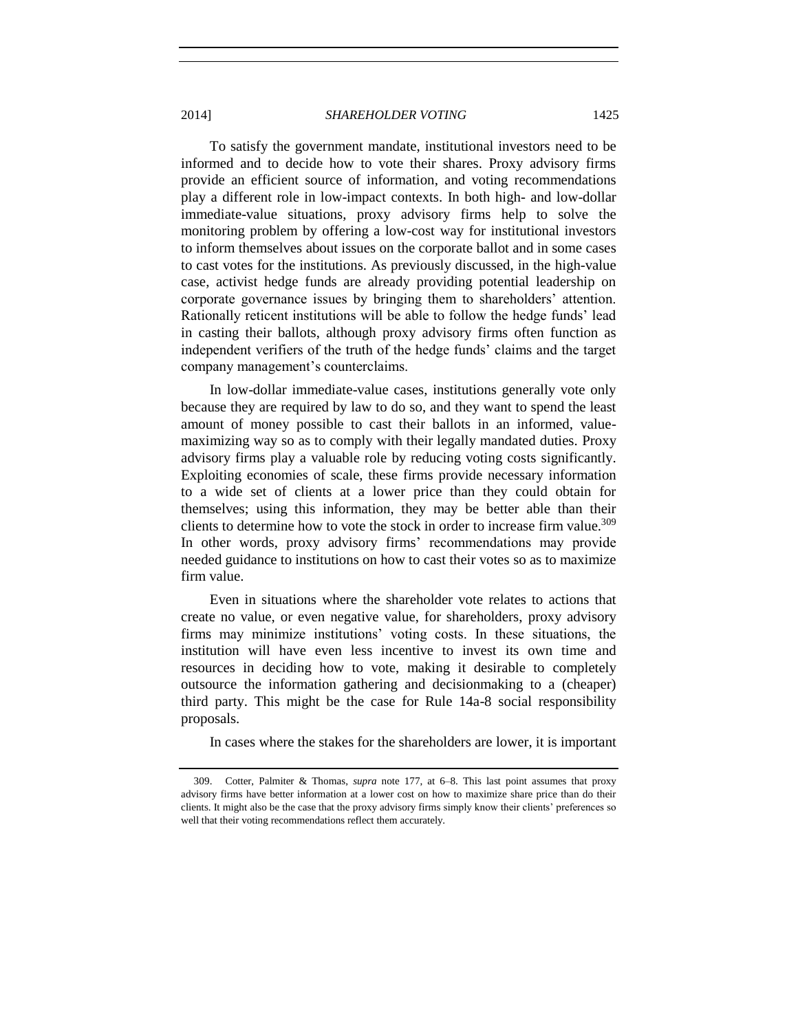To satisfy the government mandate, institutional investors need to be informed and to decide how to vote their shares. Proxy advisory firms provide an efficient source of information, and voting recommendations play a different role in low-impact contexts. In both high- and low-dollar immediate-value situations, proxy advisory firms help to solve the monitoring problem by offering a low-cost way for institutional investors to inform themselves about issues on the corporate ballot and in some cases to cast votes for the institutions. As previously discussed, in the high-value case, activist hedge funds are already providing potential leadership on corporate governance issues by bringing them to shareholders' attention. Rationally reticent institutions will be able to follow the hedge funds' lead in casting their ballots, although proxy advisory firms often function as independent verifiers of the truth of the hedge funds' claims and the target company management's counterclaims.

In low-dollar immediate-value cases, institutions generally vote only because they are required by law to do so, and they want to spend the least amount of money possible to cast their ballots in an informed, valuemaximizing way so as to comply with their legally mandated duties. Proxy advisory firms play a valuable role by reducing voting costs significantly. Exploiting economies of scale, these firms provide necessary information to a wide set of clients at a lower price than they could obtain for themselves; using this information, they may be better able than their clients to determine how to vote the stock in order to increase firm value.<sup>309</sup> In other words, proxy advisory firms' recommendations may provide needed guidance to institutions on how to cast their votes so as to maximize firm value.

Even in situations where the shareholder vote relates to actions that create no value, or even negative value, for shareholders, proxy advisory firms may minimize institutions' voting costs. In these situations, the institution will have even less incentive to invest its own time and resources in deciding how to vote, making it desirable to completely outsource the information gathering and decisionmaking to a (cheaper) third party. This might be the case for Rule 14a-8 social responsibility proposals.

In cases where the stakes for the shareholders are lower, it is important

<sup>309.</sup> Cotter, Palmiter & Thomas, *supra* note [177,](#page-41-2) at 6–8. This last point assumes that proxy advisory firms have better information at a lower cost on how to maximize share price than do their clients. It might also be the case that the proxy advisory firms simply know their clients' preferences so well that their voting recommendations reflect them accurately.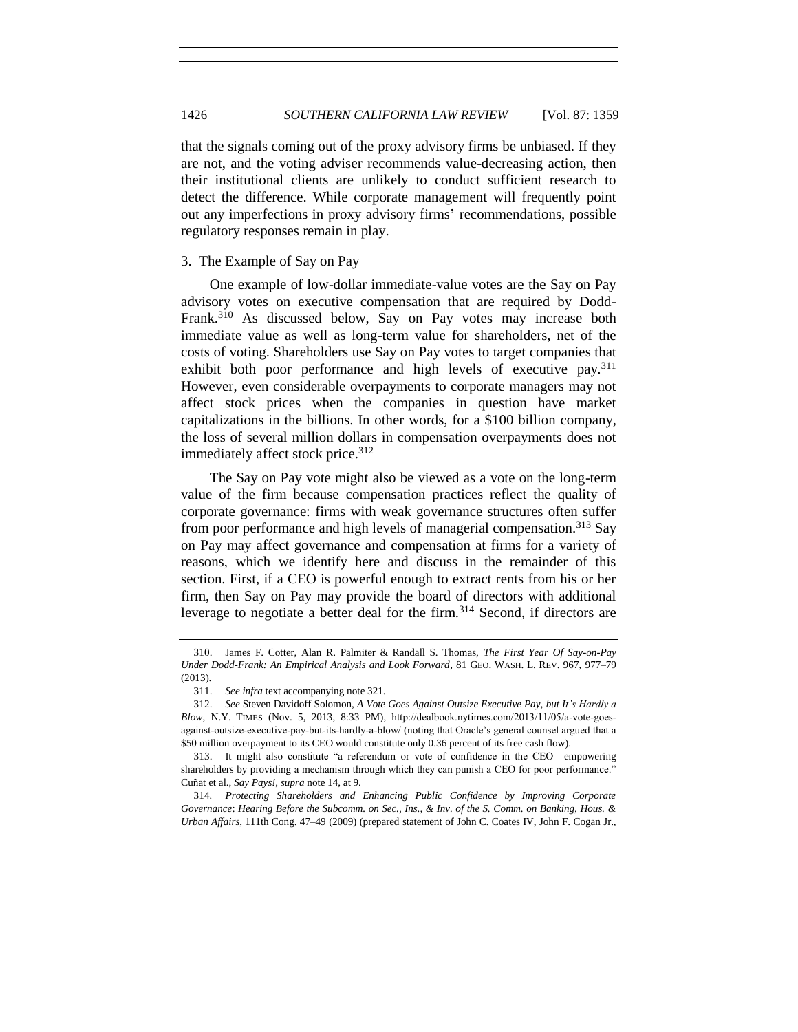that the signals coming out of the proxy advisory firms be unbiased. If they are not, and the voting adviser recommends value-decreasing action, then their institutional clients are unlikely to conduct sufficient research to detect the difference. While corporate management will frequently point out any imperfections in proxy advisory firms' recommendations, possible regulatory responses remain in play.

### 3. The Example of Say on Pay

<span id="page-67-0"></span>One example of low-dollar immediate-value votes are the Say on Pay advisory votes on executive compensation that are required by Dodd-Frank.<sup>310</sup> As discussed below, Say on Pay votes may increase both immediate value as well as long-term value for shareholders, net of the costs of voting. Shareholders use Say on Pay votes to target companies that exhibit both poor performance and high levels of executive pay.<sup>311</sup> However, even considerable overpayments to corporate managers may not affect stock prices when the companies in question have market capitalizations in the billions. In other words, for a \$100 billion company, the loss of several million dollars in compensation overpayments does not immediately affect stock price.<sup>312</sup>

The Say on Pay vote might also be viewed as a vote on the long-term value of the firm because compensation practices reflect the quality of corporate governance: firms with weak governance structures often suffer from poor performance and high levels of managerial compensation.<sup>313</sup> Say on Pay may affect governance and compensation at firms for a variety of reasons, which we identify here and discuss in the remainder of this section. First, if a CEO is powerful enough to extract rents from his or her firm, then Say on Pay may provide the board of directors with additional leverage to negotiate a better deal for the firm.<sup>314</sup> Second, if directors are

<sup>310.</sup> James F. Cotter, Alan R. Palmiter & Randall S. Thomas, *The First Year Of Say-on-Pay Under Dodd-Frank: An Empirical Analysis and Look Forward*, 81 GEO. WASH. L. REV. 967, 977–79 (2013).

<sup>311.</sup> *See infra* text accompanying not[e 321.](#page-69-0)

<sup>312.</sup> *See* Steven Davidoff Solomon, *A Vote Goes Against Outsize Executive Pay, but It's Hardly a Blow*, N.Y. TIMES (Nov. 5, 2013, 8:33 PM), http://dealbook.nytimes.com/2013/11/05/a-vote-goesagainst-outsize-executive-pay-but-its-hardly-a-blow/ (noting that Oracle's general counsel argued that a \$50 million overpayment to its CEO would constitute only 0.36 percent of its free cash flow).

<sup>313.</sup> It might also constitute "a referendum or vote of confidence in the CEO—empowering shareholders by providing a mechanism through which they can punish a CEO for poor performance." Cuñat et al., *Say Pays!*, *supra* not[e 14,](#page-3-2) at 9.

<sup>314</sup>*. Protecting Shareholders and Enhancing Public Confidence by Improving Corporate Governance*: *Hearing Before the Subcomm. on Sec., Ins., & Inv. of the S. Comm. on Banking, Hous. & Urban Affairs*, 111th Cong. 47–49 (2009) (prepared statement of John C. Coates IV, John F. Cogan Jr.,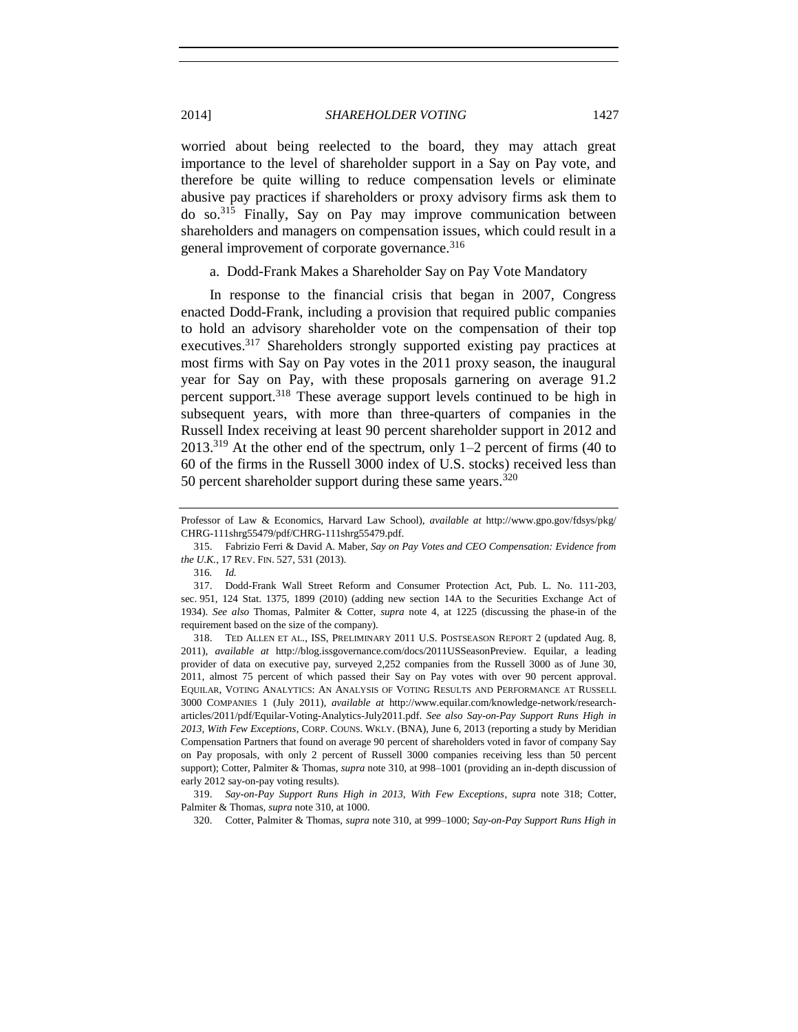worried about being reelected to the board, they may attach great importance to the level of shareholder support in a Say on Pay vote, and therefore be quite willing to reduce compensation levels or eliminate abusive pay practices if shareholders or proxy advisory firms ask them to do so.<sup>315</sup> Finally, Say on Pay may improve communication between shareholders and managers on compensation issues, which could result in a general improvement of corporate governance.<sup>316</sup>

a. Dodd-Frank Makes a Shareholder Say on Pay Vote Mandatory

<span id="page-68-0"></span>In response to the financial crisis that began in 2007, Congress enacted Dodd-Frank, including a provision that required public companies to hold an advisory shareholder vote on the compensation of their top executives.<sup>317</sup> Shareholders strongly supported existing pay practices at most firms with Say on Pay votes in the 2011 proxy season, the inaugural year for Say on Pay, with these proposals garnering on average 91.2 percent support.<sup>318</sup> These average support levels continued to be high in subsequent years, with more than three-quarters of companies in the Russell Index receiving at least 90 percent shareholder support in 2012 and  $2013<sup>319</sup>$  At the other end of the spectrum, only 1–2 percent of firms (40 to 60 of the firms in the Russell 3000 index of U.S. stocks) received less than 50 percent shareholder support during these same years. $320$ 

320. Cotter, Palmiter & Thomas, *supra* note [310,](#page-67-0) at 999–1000; *Say-on-Pay Support Runs High in* 

<span id="page-68-1"></span>Professor of Law & Economics, Harvard Law School), *available at* http://www.gpo.gov/fdsys/pkg/ CHRG-111shrg55479/pdf/CHRG-111shrg55479.pdf.

<sup>315.</sup> Fabrizio Ferri & David A. Maber, *Say on Pay Votes and CEO Compensation: Evidence from the U.K.*, 17 REV. FIN. 527, 531 (2013).

<sup>316</sup>*. Id.*

<sup>317.</sup> Dodd-Frank Wall Street Reform and Consumer Protection Act, Pub. L. No. 111-203, sec. 951, 124 Stat. 1375, 1899 (2010) (adding new section 14A to the Securities Exchange Act of 1934). *See also* Thomas, Palmiter & Cotter, *supra* note [4,](#page-1-1) at 1225 (discussing the phase-in of the requirement based on the size of the company).

<sup>318.</sup> TED ALLEN ET AL., ISS, PRELIMINARY 2011 U.S. POSTSEASON REPORT 2 (updated Aug. 8, 2011), *available at* http://blog.issgovernance.com/docs/2011USSeasonPreview. Equilar, a leading provider of data on executive pay, surveyed 2,252 companies from the Russell 3000 as of June 30, 2011, almost 75 percent of which passed their Say on Pay votes with over 90 percent approval. EQUILAR, VOTING ANALYTICS: AN ANALYSIS OF VOTING RESULTS AND PERFORMANCE AT RUSSELL 3000 COMPANIES 1 (July 2011), *available at* http://www.equilar.com/knowledge-network/researcharticles/2011/pdf/Equilar-Voting-Analytics-July2011.pdf. *See also Say-on-Pay Support Runs High in 2013, With Few Exceptions*, CORP. COUNS. WKLY. (BNA), June 6, 2013 (reporting a study by Meridian Compensation Partners that found on average 90 percent of shareholders voted in favor of company Say on Pay proposals, with only 2 percent of Russell 3000 companies receiving less than 50 percent support); Cotter, Palmiter & Thomas, *supra* note [310,](#page-67-0) at 998–1001 (providing an in-depth discussion of early 2012 say-on-pay voting results).

<sup>319.</sup> *Say-on-Pay Support Runs High in 2013, With Few Exceptions*, *supra* note [318;](#page-68-0) Cotter, Palmiter & Thomas, *supra* not[e 310,](#page-67-0) at 1000.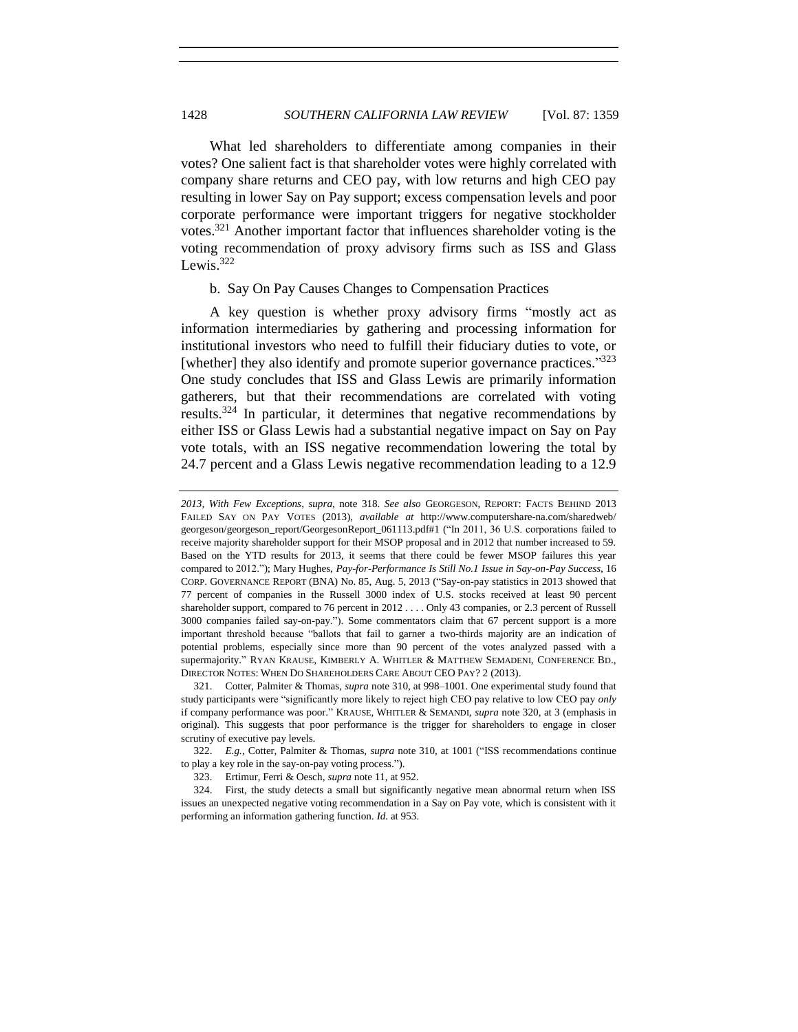What led shareholders to differentiate among companies in their votes? One salient fact is that shareholder votes were highly correlated with company share returns and CEO pay, with low returns and high CEO pay resulting in lower Say on Pay support; excess compensation levels and poor corporate performance were important triggers for negative stockholder votes.<sup>321</sup> Another important factor that influences shareholder voting is the voting recommendation of proxy advisory firms such as ISS and Glass Lewis.<sup>322</sup>

## <span id="page-69-0"></span>b. Say On Pay Causes Changes to Compensation Practices

A key question is whether proxy advisory firms "mostly act as information intermediaries by gathering and processing information for institutional investors who need to fulfill their fiduciary duties to vote, or [whether] they also identify and promote superior governance practices."323 One study concludes that ISS and Glass Lewis are primarily information gatherers, but that their recommendations are correlated with voting results.<sup>324</sup> In particular, it determines that negative recommendations by either ISS or Glass Lewis had a substantial negative impact on Say on Pay vote totals, with an ISS negative recommendation lowering the total by 24.7 percent and a Glass Lewis negative recommendation leading to a 12.9

*<sup>2013,</sup> With Few Exceptions*, *supra*, note [318.](#page-68-0) *See also* GEORGESON, REPORT: FACTS BEHIND 2013 FAILED SAY ON PAY VOTES (2013), *available at* http://www.computershare-na.com/sharedweb/ georgeson/georgeson\_report/GeorgesonReport\_061113.pdf#1 ("In 2011, 36 U.S. corporations failed to receive majority shareholder support for their MSOP proposal and in 2012 that number increased to 59. Based on the YTD results for 2013, it seems that there could be fewer MSOP failures this year compared to 2012."); Mary Hughes, *Pay-for-Performance Is Still No.1 Issue in Say-on-Pay Success*, 16 CORP. GOVERNANCE REPORT (BNA) No. 85, Aug. 5, 2013 ("Say-on-pay statistics in 2013 showed that 77 percent of companies in the Russell 3000 index of U.S. stocks received at least 90 percent shareholder support, compared to 76 percent in 2012 . . . . Only 43 companies, or 2.3 percent of Russell 3000 companies failed say-on-pay."). Some commentators claim that 67 percent support is a more important threshold because "ballots that fail to garner a two-thirds majority are an indication of potential problems, especially since more than 90 percent of the votes analyzed passed with a supermajority." RYAN KRAUSE, KIMBERLY A. WHITLER & MATTHEW SEMADENI, CONFERENCE BD., DIRECTOR NOTES: WHEN DO SHAREHOLDERS CARE ABOUT CEO PAY? 2 (2013).

<sup>321.</sup> Cotter, Palmiter & Thomas, *supra* note [310,](#page-67-0) at 998–1001. One experimental study found that study participants were "significantly more likely to reject high CEO pay relative to low CEO pay *only* if company performance was poor." KRAUSE, WHITLER & SEMANDI, *supra* not[e 320,](#page-68-1) at 3 (emphasis in original). This suggests that poor performance is the trigger for shareholders to engage in closer scrutiny of executive pay levels.

<sup>322.</sup> *E.g.*, Cotter, Palmiter & Thomas, *supra* note [310,](#page-67-0) at 1001 ("ISS recommendations continue to play a key role in the say-on-pay voting process.").

<sup>323.</sup> Ertimur, Ferri & Oesch, *supra* not[e 11,](#page-2-1) at 952.

<sup>324.</sup> First, the study detects a small but significantly negative mean abnormal return when ISS issues an unexpected negative voting recommendation in a Say on Pay vote, which is consistent with it performing an information gathering function. *Id.* at 953.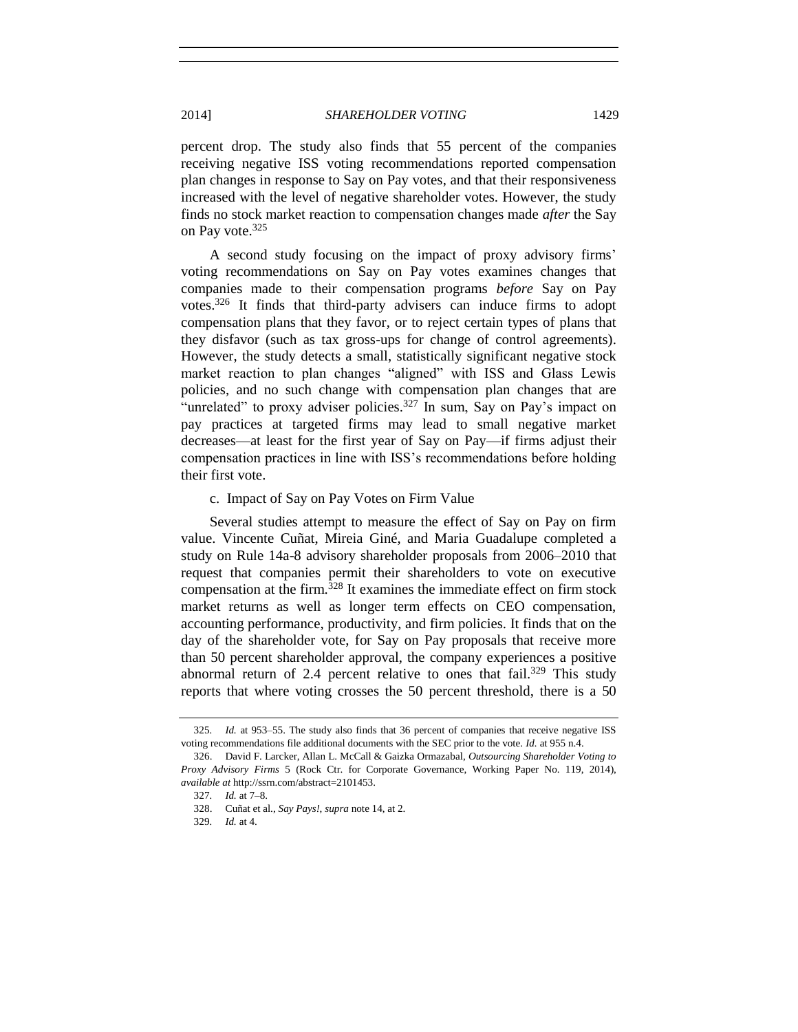percent drop. The study also finds that 55 percent of the companies receiving negative ISS voting recommendations reported compensation plan changes in response to Say on Pay votes, and that their responsiveness increased with the level of negative shareholder votes. However, the study finds no stock market reaction to compensation changes made *after* the Say on Pay vote.<sup>325</sup>

A second study focusing on the impact of proxy advisory firms' voting recommendations on Say on Pay votes examines changes that companies made to their compensation programs *before* Say on Pay votes.<sup>326</sup> It finds that third-party advisers can induce firms to adopt compensation plans that they favor, or to reject certain types of plans that they disfavor (such as tax gross-ups for change of control agreements). However, the study detects a small, statistically significant negative stock market reaction to plan changes "aligned" with ISS and Glass Lewis policies, and no such change with compensation plan changes that are "unrelated" to proxy adviser policies.<sup>327</sup> In sum, Say on Pay's impact on pay practices at targeted firms may lead to small negative market decreases—at least for the first year of Say on Pay—if firms adjust their compensation practices in line with ISS's recommendations before holding their first vote.

#### c. Impact of Say on Pay Votes on Firm Value

Several studies attempt to measure the effect of Say on Pay on firm value. Vincente Cuñat, Mireia Giné, and Maria Guadalupe completed a study on Rule 14a-8 advisory shareholder proposals from 2006–2010 that request that companies permit their shareholders to vote on executive compensation at the firm.<sup>328</sup> It examines the immediate effect on firm stock market returns as well as longer term effects on CEO compensation, accounting performance, productivity, and firm policies. It finds that on the day of the shareholder vote, for Say on Pay proposals that receive more than 50 percent shareholder approval, the company experiences a positive abnormal return of 2.4 percent relative to ones that fail.<sup>329</sup> This study reports that where voting crosses the 50 percent threshold, there is a 50

<sup>325</sup>*. Id.* at 953–55. The study also finds that 36 percent of companies that receive negative ISS voting recommendations file additional documents with the SEC prior to the vote. *Id.* at 955 n.4.

<sup>326.</sup> David F. Larcker, Allan L. McCall & Gaizka Ormazabal, *Outsourcing Shareholder Voting to Proxy Advisory Firms* 5 (Rock Ctr. for Corporate Governance, Working Paper No. 119, 2014), *available at* http://ssrn.com/abstract=2101453.

<sup>327</sup>*. Id.* at 7–8.

<sup>328.</sup> Cuñat et al., *Say Pays!*, *supra* not[e 14,](#page-3-2) at 2.

<sup>329</sup>*. Id.* at 4.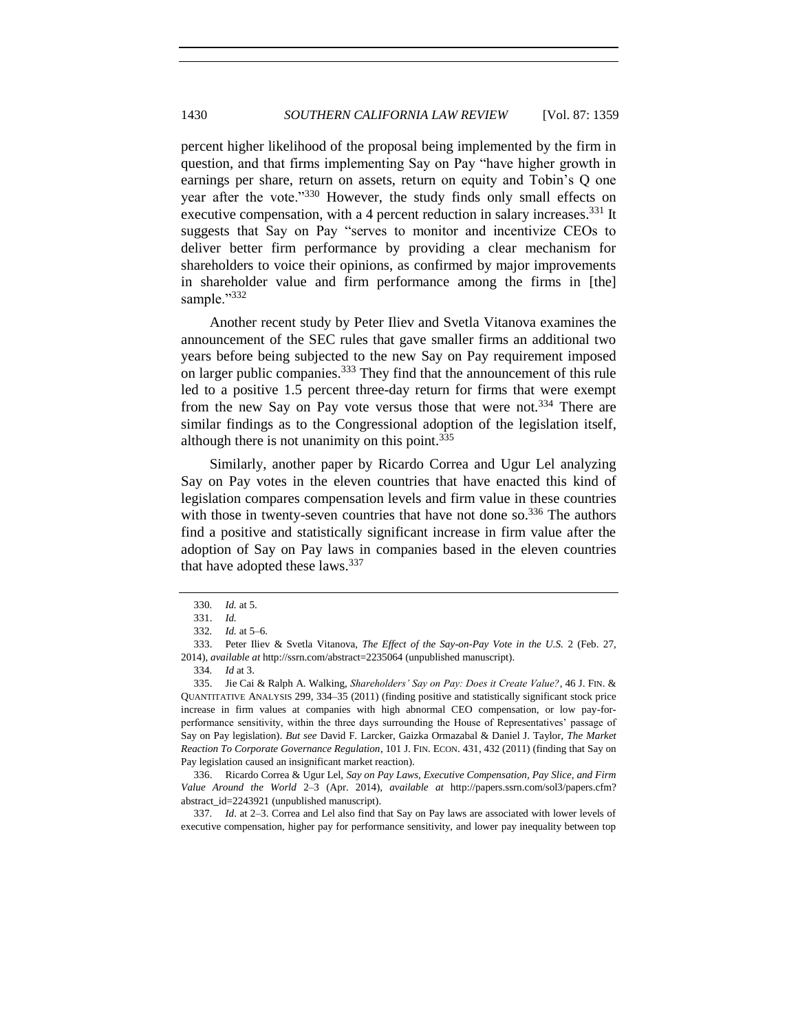percent higher likelihood of the proposal being implemented by the firm in question, and that firms implementing Say on Pay "have higher growth in earnings per share, return on assets, return on equity and Tobin's Q one year after the vote."<sup>330</sup> However, the study finds only small effects on executive compensation, with a 4 percent reduction in salary increases.<sup>331</sup> It suggests that Say on Pay "serves to monitor and incentivize CEOs to deliver better firm performance by providing a clear mechanism for shareholders to voice their opinions, as confirmed by major improvements in shareholder value and firm performance among the firms in [the] sample."332

Another recent study by Peter Iliev and Svetla Vitanova examines the announcement of the SEC rules that gave smaller firms an additional two years before being subjected to the new Say on Pay requirement imposed on larger public companies.<sup>333</sup> They find that the announcement of this rule led to a positive 1.5 percent three-day return for firms that were exempt from the new Say on Pay vote versus those that were not.<sup>334</sup> There are similar findings as to the Congressional adoption of the legislation itself, although there is not unanimity on this point.  $335$ 

Similarly, another paper by Ricardo Correa and Ugur Lel analyzing Say on Pay votes in the eleven countries that have enacted this kind of legislation compares compensation levels and firm value in these countries with those in twenty-seven countries that have not done so.<sup>336</sup> The authors find a positive and statistically significant increase in firm value after the adoption of Say on Pay laws in companies based in the eleven countries that have adopted these laws.<sup>337</sup>

336. Ricardo Correa & Ugur Lel, *Say on Pay Laws, Executive Compensation, Pay Slice, and Firm Value Around the World* 2–3 (Apr. 2014), *available at* http://papers.ssrn.com/sol3/papers.cfm? abstract\_id=2243921 (unpublished manuscript).

337*. Id*. at 2–3. Correa and Lel also find that Say on Pay laws are associated with lower levels of executive compensation, higher pay for performance sensitivity, and lower pay inequality between top

<sup>330</sup>*. Id.* at 5.

<sup>331.</sup> *Id.*

<sup>332</sup>*. Id.* at 5–6.

<sup>333.</sup> Peter Iliev & Svetla Vitanova, *The Effect of the Say-on-Pay Vote in the U.S.* 2 (Feb. 27, 2014), *available at* http://ssrn.com/abstract=2235064 (unpublished manuscript).

<sup>334</sup>*. Id* at 3.

<sup>335.</sup> Jie Cai & Ralph A. Walking, *Shareholders' Say on Pay: Does it Create Value?*, 46 J. FIN. & QUANTITATIVE ANALYSIS 299, 334–35 (2011) (finding positive and statistically significant stock price increase in firm values at companies with high abnormal CEO compensation, or low pay-forperformance sensitivity, within the three days surrounding the House of Representatives' passage of Say on Pay legislation). *But see* David F. Larcker, Gaizka Ormazabal & Daniel J. Taylor, *The Market Reaction To Corporate Governance Regulation*, 101 J. FIN. ECON. 431, 432 (2011) (finding that Say on Pay legislation caused an insignificant market reaction).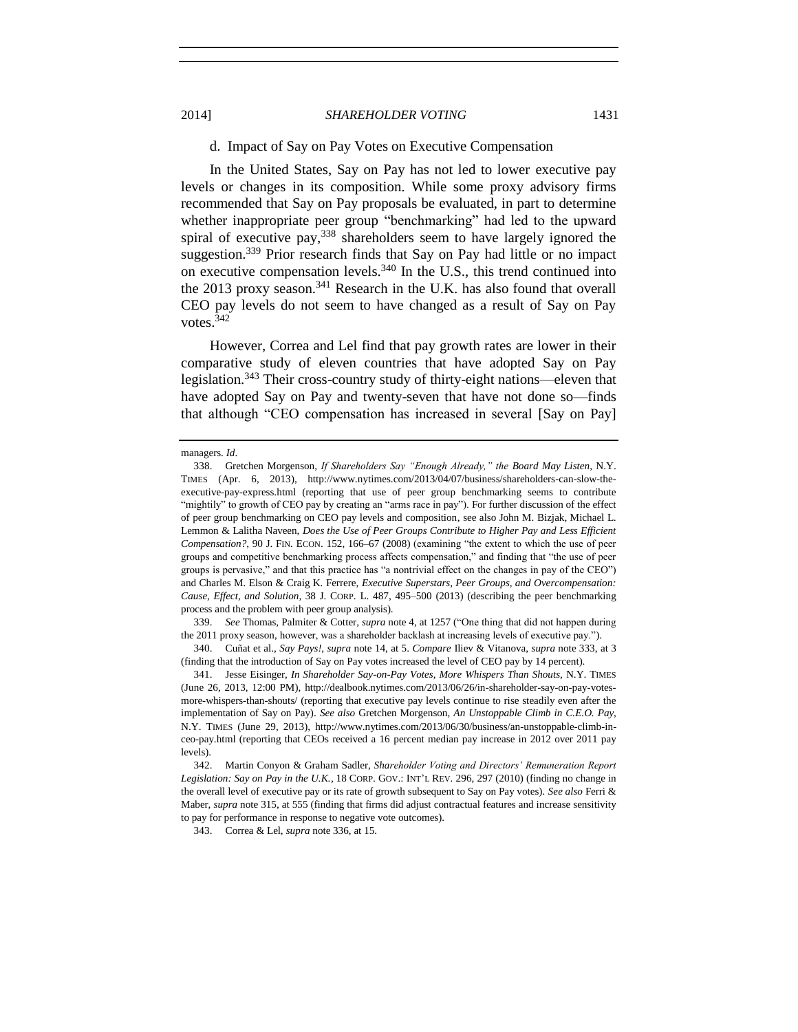## d. Impact of Say on Pay Votes on Executive Compensation

In the United States, Say on Pay has not led to lower executive pay levels or changes in its composition. While some proxy advisory firms recommended that Say on Pay proposals be evaluated, in part to determine whether inappropriate peer group "benchmarking" had led to the upward spiral of executive pay,  $338$  shareholders seem to have largely ignored the suggestion.<sup>339</sup> Prior research finds that Say on Pay had little or no impact on executive compensation levels.<sup>340</sup> In the U.S., this trend continued into the 2013 proxy season.<sup>341</sup> Research in the U.K. has also found that overall CEO pay levels do not seem to have changed as a result of Say on Pay votes. 342

However, Correa and Lel find that pay growth rates are lower in their comparative study of eleven countries that have adopted Say on Pay legislation.<sup>343</sup> Their cross-country study of thirty-eight nations—eleven that have adopted Say on Pay and twenty-seven that have not done so—finds that although "CEO compensation has increased in several [Say on Pay]

339. *See* Thomas, Palmiter & Cotter, *supra* note [4,](#page-1-0) at 1257 ("One thing that did not happen during the 2011 proxy season, however, was a shareholder backlash at increasing levels of executive pay.").

340. Cuñat et al., *Say Pays!*, *supra* note [14,](#page-3-0) at 5. *Compare* Iliev & Vitanova, *supra* not[e 333,](#page-71-0) at 3 (finding that the introduction of Say on Pay votes increased the level of CEO pay by 14 percent).

343. Correa & Lel, *supra* not[e 336,](#page-71-1) at 15.

managers. *Id*.

<sup>338.</sup> Gretchen Morgenson, *If Shareholders Say "Enough Already," the Board May Listen*, N.Y. TIMES (Apr. 6, 2013), http://www.nytimes.com/2013/04/07/business/shareholders-can-slow-theexecutive-pay-express.html (reporting that use of peer group benchmarking seems to contribute "mightily" to growth of CEO pay by creating an "arms race in pay"). For further discussion of the effect of peer group benchmarking on CEO pay levels and composition, see also John M. Bizjak, Michael L. Lemmon & Lalitha Naveen, *Does the Use of Peer Groups Contribute to Higher Pay and Less Efficient Compensation?*, 90 J. FIN. ECON. 152, 166–67 (2008) (examining "the extent to which the use of peer groups and competitive benchmarking process affects compensation," and finding that "the use of peer groups is pervasive," and that this practice has "a nontrivial effect on the changes in pay of the CEO") and Charles M. Elson & Craig K. Ferrere, *Executive Superstars, Peer Groups, and Overcompensation: Cause, Effect, and Solution*, 38 J. CORP. L. 487, 495–500 (2013) (describing the peer benchmarking process and the problem with peer group analysis).

<sup>341.</sup> Jesse Eisinger, *In Shareholder Say-on-Pay Votes, More Whispers Than Shouts*, N.Y. TIMES (June 26, 2013, 12:00 PM), http://dealbook.nytimes.com/2013/06/26/in-shareholder-say-on-pay-votesmore-whispers-than-shouts/ (reporting that executive pay levels continue to rise steadily even after the implementation of Say on Pay). *See also* Gretchen Morgenson, *An Unstoppable Climb in C.E.O. Pay*, N.Y. TIMES (June 29, 2013), http://www.nytimes.com/2013/06/30/business/an-unstoppable-climb-inceo-pay.html (reporting that CEOs received a 16 percent median pay increase in 2012 over 2011 pay levels).

<sup>342.</sup> Martin Conyon & Graham Sadler, *Shareholder Voting and Directors' Remuneration Report Legislation: Say on Pay in the U.K.*, 18 CORP. GOV.: INT'L REV. 296, 297 (2010) (finding no change in the overall level of executive pay or its rate of growth subsequent to Say on Pay votes)*. See also* Ferri & Maber, *supra* not[e 315,](#page-68-0) at 555 (finding that firms did adjust contractual features and increase sensitivity to pay for performance in response to negative vote outcomes).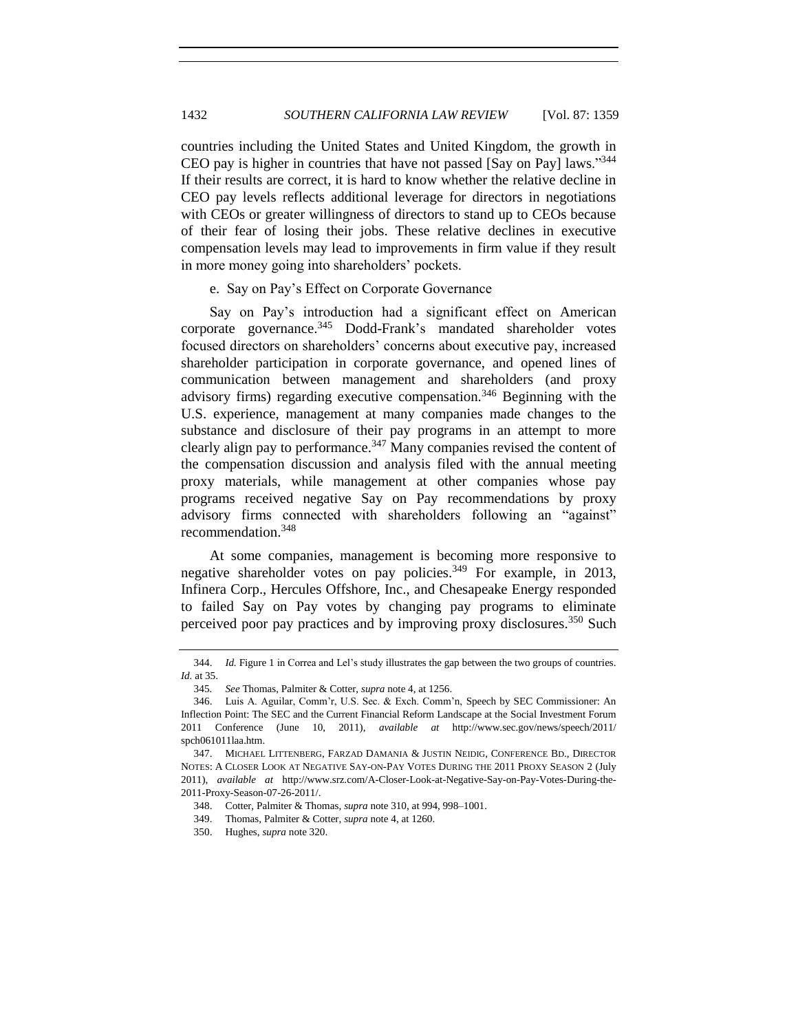countries including the United States and United Kingdom, the growth in CEO pay is higher in countries that have not passed [Say on Pay] laws."<sup>344</sup> If their results are correct, it is hard to know whether the relative decline in CEO pay levels reflects additional leverage for directors in negotiations with CEOs or greater willingness of directors to stand up to CEOs because of their fear of losing their jobs. These relative declines in executive compensation levels may lead to improvements in firm value if they result in more money going into shareholders' pockets.

## e. Say on Pay's Effect on Corporate Governance

Say on Pay's introduction had a significant effect on American corporate governance.<sup>345</sup> Dodd-Frank's mandated shareholder votes focused directors on shareholders' concerns about executive pay, increased shareholder participation in corporate governance, and opened lines of communication between management and shareholders (and proxy advisory firms) regarding executive compensation.<sup>346</sup> Beginning with the U.S. experience, management at many companies made changes to the substance and disclosure of their pay programs in an attempt to more clearly align pay to performance.<sup>347</sup> Many companies revised the content of the compensation discussion and analysis filed with the annual meeting proxy materials, while management at other companies whose pay programs received negative Say on Pay recommendations by proxy advisory firms connected with shareholders following an "against" recommendation.<sup>348</sup>

At some companies, management is becoming more responsive to negative shareholder votes on pay policies.<sup>349</sup> For example, in 2013, Infinera Corp., Hercules Offshore, Inc., and Chesapeake Energy responded to failed Say on Pay votes by changing pay programs to eliminate perceived poor pay practices and by improving proxy disclosures.<sup>350</sup> Such

<sup>344.</sup> *Id.* Figure 1 in Correa and Lel's study illustrates the gap between the two groups of countries. *Id.* at 35.

<sup>345</sup>*. See* Thomas, Palmiter & Cotter, *supra* not[e 4,](#page-1-0) at 1256.

<sup>346.</sup> Luis A. Aguilar, Comm'r, U.S. Sec. & Exch. Comm'n, Speech by SEC Commissioner: An Inflection Point: The SEC and the Current Financial Reform Landscape at the Social Investment Forum 2011 Conference (June 10, 2011), *available at* http://www.sec.gov/news/speech/2011/ spch061011laa.htm.

<sup>347.</sup> MICHAEL LITTENBERG, FARZAD DAMANIA & JUSTIN NEIDIG, CONFERENCE BD., DIRECTOR NOTES: A CLOSER LOOK AT NEGATIVE SAY-ON-PAY VOTES DURING THE 2011 PROXY SEASON 2 (July 2011), *available at* http://www.srz.com/A-Closer-Look-at-Negative-Say-on-Pay-Votes-During-the-2011-Proxy-Season-07-26-2011/.

<sup>348.</sup> Cotter, Palmiter & Thomas, *supra* not[e 310,](#page-67-0) at 994, 998–1001.

<sup>349.</sup> Thomas, Palmiter & Cotter, *supra* note [4,](#page-1-0) at 1260.

<sup>350.</sup> Hughes, *supra* not[e 320.](#page-68-1)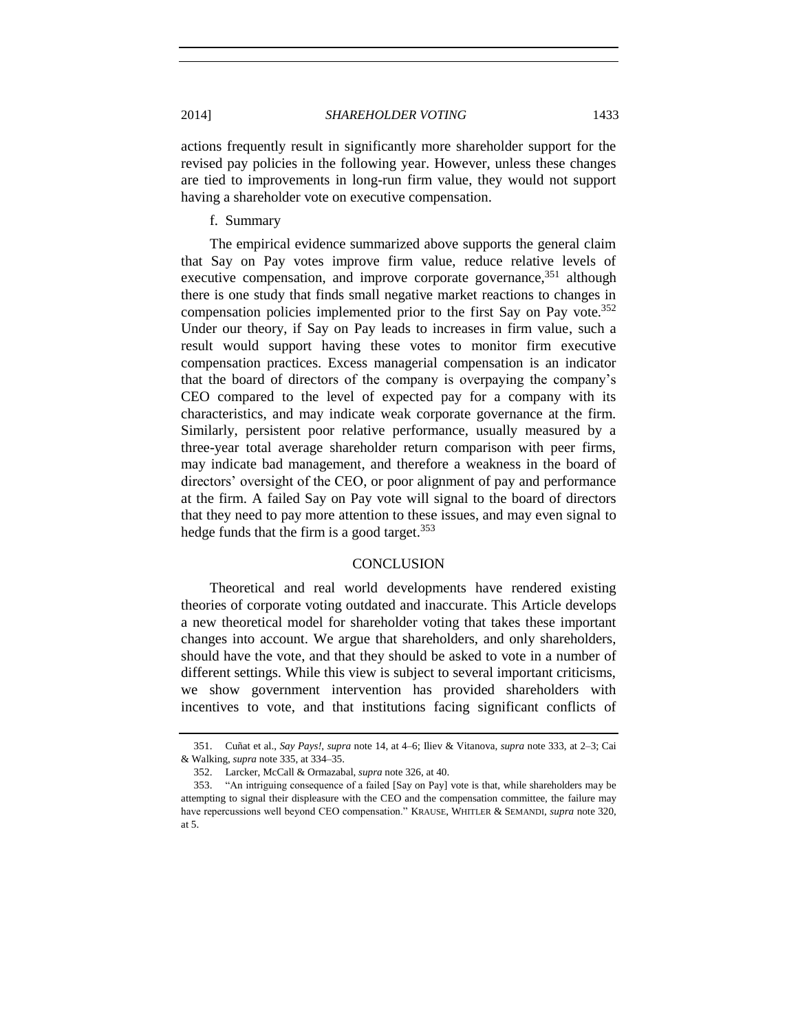2014] *SHAREHOLDER VOTING* 1433

actions frequently result in significantly more shareholder support for the revised pay policies in the following year. However, unless these changes are tied to improvements in long-run firm value, they would not support having a shareholder vote on executive compensation.

## f. Summary

The empirical evidence summarized above supports the general claim that Say on Pay votes improve firm value, reduce relative levels of executive compensation, and improve corporate governance,  $351$  although there is one study that finds small negative market reactions to changes in compensation policies implemented prior to the first Say on Pay vote.<sup>352</sup> Under our theory, if Say on Pay leads to increases in firm value, such a result would support having these votes to monitor firm executive compensation practices. Excess managerial compensation is an indicator that the board of directors of the company is overpaying the company's CEO compared to the level of expected pay for a company with its characteristics, and may indicate weak corporate governance at the firm. Similarly, persistent poor relative performance, usually measured by a three-year total average shareholder return comparison with peer firms, may indicate bad management, and therefore a weakness in the board of directors' oversight of the CEO, or poor alignment of pay and performance at the firm. A failed Say on Pay vote will signal to the board of directors that they need to pay more attention to these issues, and may even signal to hedge funds that the firm is a good target. $353$ 

## **CONCLUSION**

Theoretical and real world developments have rendered existing theories of corporate voting outdated and inaccurate. This Article develops a new theoretical model for shareholder voting that takes these important changes into account. We argue that shareholders, and only shareholders, should have the vote, and that they should be asked to vote in a number of different settings. While this view is subject to several important criticisms, we show government intervention has provided shareholders with incentives to vote, and that institutions facing significant conflicts of

<sup>351.</sup> Cuñat et al., *Say Pays!*, *supra* note [14,](#page-3-0) at 4–6; Iliev & Vitanova, *supra* note [333,](#page-71-0) at 2–3; Cai & Walking, *supra* note [335,](#page-71-2) at 334–35.

<sup>352.</sup> Larcker, McCall & Ormazabal, *supra* not[e 326,](#page-70-0) at 40.

<sup>353.</sup> "An intriguing consequence of a failed [Say on Pay] vote is that, while shareholders may be attempting to signal their displeasure with the CEO and the compensation committee, the failure may have repercussions well beyond CEO compensation." KRAUSE, WHITLER & SEMANDI, *supra* note [320,](#page-68-1)  at 5.